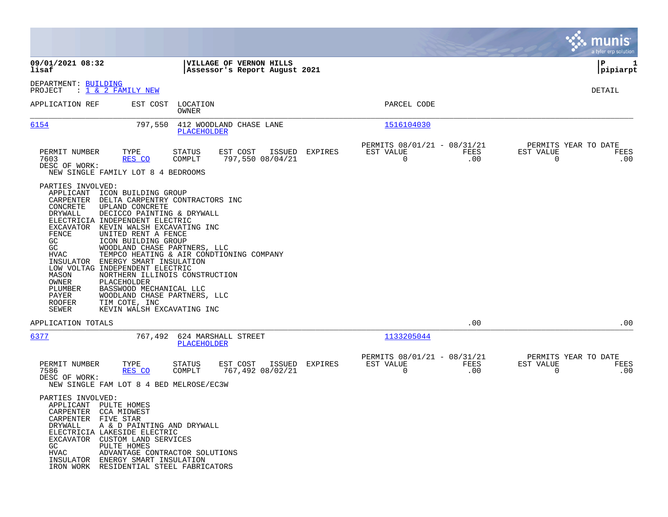|                                                                                                                                                                                    |                                                                                                                                                                                                                                                                                                                                                                                                                                                                                                                             |                                        |                                                          |         |                                               |             |                                                     | munis<br>a tyler erp solution |
|------------------------------------------------------------------------------------------------------------------------------------------------------------------------------------|-----------------------------------------------------------------------------------------------------------------------------------------------------------------------------------------------------------------------------------------------------------------------------------------------------------------------------------------------------------------------------------------------------------------------------------------------------------------------------------------------------------------------------|----------------------------------------|----------------------------------------------------------|---------|-----------------------------------------------|-------------|-----------------------------------------------------|-------------------------------|
| 09/01/2021 08:32<br>lisaf                                                                                                                                                          |                                                                                                                                                                                                                                                                                                                                                                                                                                                                                                                             |                                        | VILLAGE OF VERNON HILLS<br>Assessor's Report August 2021 |         |                                               |             |                                                     | IΡ<br>1<br> pipiarpt          |
| DEPARTMENT: BUILDING<br>PROJECT                                                                                                                                                    | : 1 & 2 FAMILY NEW                                                                                                                                                                                                                                                                                                                                                                                                                                                                                                          |                                        |                                                          |         |                                               |             |                                                     | DETAIL                        |
| APPLICATION REF                                                                                                                                                                    | EST COST                                                                                                                                                                                                                                                                                                                                                                                                                                                                                                                    | LOCATION<br>OWNER                      |                                                          |         | PARCEL CODE                                   |             |                                                     |                               |
| 6154                                                                                                                                                                               | 797,550                                                                                                                                                                                                                                                                                                                                                                                                                                                                                                                     | 412 WOODLAND CHASE LANE<br>PLACEHOLDER |                                                          |         | 1516104030                                    |             |                                                     |                               |
| PERMIT NUMBER<br>7603<br>DESC OF WORK:                                                                                                                                             | TYPE<br>RES CO<br>NEW SINGLE FAMILY LOT 8 4 BEDROOMS                                                                                                                                                                                                                                                                                                                                                                                                                                                                        | <b>STATUS</b><br>COMPLT                | EST COST<br>ISSUED<br>797,550 08/04/21                   | EXPIRES | PERMITS 08/01/21 - 08/31/21<br>EST VALUE<br>0 | FEES<br>.00 | PERMITS YEAR TO DATE<br>EST VALUE<br>$\overline{0}$ | FEES<br>.00                   |
| PARTIES INVOLVED:<br>APPLICANT<br>CARPENTER<br>CONCRETE<br>DRYWALL<br>EXCAVATOR<br>FENCE<br>GC<br>GC<br>HVAC<br>INSULATOR<br>MASON<br>OWNER<br>PLUMBER<br>PAYER<br>ROOFER<br>SEWER | ICON BUILDING GROUP<br>DELTA CARPENTRY CONTRACTORS INC<br>UPLAND CONCRETE<br>DECICCO PAINTING & DRYWALL<br>ELECTRICIA INDEPENDENT ELECTRIC<br>KEVIN WALSH EXCAVATING INC<br>UNITED RENT A FENCE<br>ICON BUILDING GROUP<br>WOODLAND CHASE PARTNERS, LLC<br>TEMPCO HEATING & AIR CONDTIONING COMPANY<br>ENERGY SMART INSULATION<br>LOW VOLTAG INDEPENDENT ELECTRIC<br>NORTHERN ILLINOIS CONSTRUCTION<br>PLACEHOLDER<br>BASSWOOD MECHANICAL LLC<br>WOODLAND CHASE PARTNERS, LLC<br>TIM COTE, INC<br>KEVIN WALSH EXCAVATING INC |                                        |                                                          |         |                                               |             |                                                     |                               |
| APPLICATION TOTALS                                                                                                                                                                 |                                                                                                                                                                                                                                                                                                                                                                                                                                                                                                                             |                                        |                                                          |         |                                               | .00         |                                                     | .00                           |
| 6377                                                                                                                                                                               | 767,492                                                                                                                                                                                                                                                                                                                                                                                                                                                                                                                     | 624 MARSHALL STREET<br>PLACEHOLDER     |                                                          |         | 1133205044                                    |             |                                                     |                               |
| PERMIT NUMBER<br>7586<br>DESC OF WORK:                                                                                                                                             | TYPE<br>RES CO<br>NEW SINGLE FAM LOT 8 4 BED MELROSE/EC3W                                                                                                                                                                                                                                                                                                                                                                                                                                                                   | STATUS<br>COMPLT                       | EST COST<br>ISSUED EXPIRES<br>767,492 08/02/21           |         | PERMITS 08/01/21 - 08/31/21<br>EST VALUE<br>0 | FEES<br>.00 | PERMITS YEAR TO DATE<br>EST VALUE<br>0              | FEES<br>.00                   |
| PARTIES INVOLVED:<br>APPLICANT PULTE HOMES<br>CARPENTER CCA MIDWEST<br>CARPENTER FIVE STAR<br>DRYWALL<br>GC<br>HVAC                                                                | A & D PAINTING AND DRYWALL<br>ELECTRICIA LAKESIDE ELECTRIC<br>EXCAVATOR CUSTOM LAND SERVICES<br>PULTE HOMES<br>ADVANTAGE CONTRACTOR SOLUTIONS<br>INSULATOR ENERGY SMART INSULATION<br>IRON WORK RESIDENTIAL STEEL FABRICATORS                                                                                                                                                                                                                                                                                               |                                        |                                                          |         |                                               |             |                                                     |                               |

 $\sim$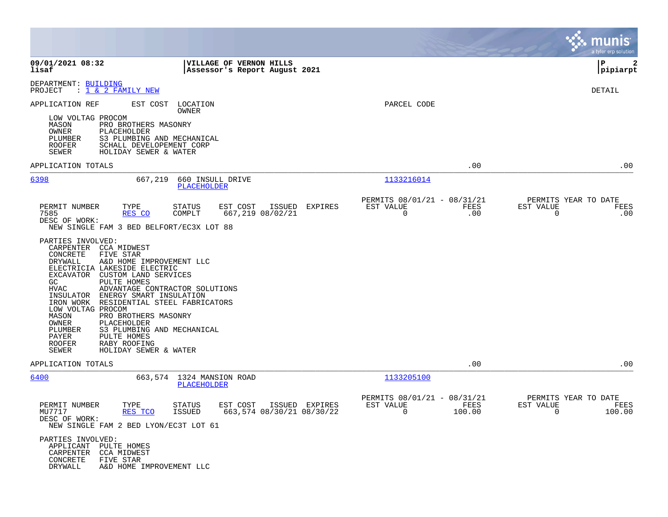|                                                                                                                                                                                                                                                                                                                                                                                                                                                                                                        |                                                                             |                                                                        | munis<br>a tyler erp solution                                   |
|--------------------------------------------------------------------------------------------------------------------------------------------------------------------------------------------------------------------------------------------------------------------------------------------------------------------------------------------------------------------------------------------------------------------------------------------------------------------------------------------------------|-----------------------------------------------------------------------------|------------------------------------------------------------------------|-----------------------------------------------------------------|
| 09/01/2021 08:32<br>lisaf                                                                                                                                                                                                                                                                                                                                                                                                                                                                              | <b>VILLAGE OF VERNON HILLS</b><br>Assessor's Report August 2021             |                                                                        | $\overline{\mathbf{2}}$<br>l P<br> pipiarpt                     |
| DEPARTMENT: BUILDING<br>: <u>1 &amp; 2 FAMILY NEW</u><br>PROJECT                                                                                                                                                                                                                                                                                                                                                                                                                                       |                                                                             |                                                                        | <b>DETAIL</b>                                                   |
| EST COST<br>APPLICATION REF<br>LOW VOLTAG PROCOM<br>MASON<br>PRO BROTHERS MASONRY<br>OWNER<br>PLACEHOLDER<br>S3 PLUMBING AND MECHANICAL<br>PLUMBER<br>SCHALL DEVELOPEMENT CORP<br><b>ROOFER</b><br>SEWER<br>HOLIDAY SEWER & WATER                                                                                                                                                                                                                                                                      | LOCATION<br>OWNER                                                           | PARCEL CODE                                                            |                                                                 |
| APPLICATION TOTALS                                                                                                                                                                                                                                                                                                                                                                                                                                                                                     |                                                                             | .00                                                                    | .00                                                             |
| 6398<br>667,219                                                                                                                                                                                                                                                                                                                                                                                                                                                                                        | 660 INSULL DRIVE<br>PLACEHOLDER                                             | 1133216014                                                             |                                                                 |
| PERMIT NUMBER<br>TYPE<br>7585<br>RES CO<br>DESC OF WORK:<br>NEW SINGLE FAM 3 BED BELFORT/EC3X LOT 88<br>PARTIES INVOLVED:<br>CARPENTER CCA MIDWEST                                                                                                                                                                                                                                                                                                                                                     | STATUS<br>EST COST<br>ISSUED EXPIRES<br>COMPLT<br>667,219 08/02/21          | PERMITS 08/01/21 - 08/31/21<br>FEES<br>EST VALUE<br>$\Omega$<br>.00    | PERMITS YEAR TO DATE<br>EST VALUE<br>FEES<br>$\Omega$<br>.00    |
| CONCRETE<br>FIVE STAR<br>DRYWALL<br>A&D HOME IMPROVEMENT LLC<br>ELECTRICIA LAKESIDE ELECTRIC<br>EXCAVATOR CUSTOM LAND SERVICES<br>GC<br>PULTE HOMES<br><b>HVAC</b><br>ADVANTAGE CONTRACTOR SOLUTIONS<br>INSULATOR ENERGY SMART INSULATION<br>IRON WORK RESIDENTIAL STEEL FABRICATORS<br>LOW VOLTAG PROCOM<br>MASON<br>PRO BROTHERS MASONRY<br>OWNER<br>PLACEHOLDER<br>PLUMBER<br>S3 PLUMBING AND MECHANICAL<br>PULTE HOMES<br>PAYER<br><b>ROOFER</b><br>RABY ROOFING<br>HOLIDAY SEWER & WATER<br>SEWER |                                                                             |                                                                        |                                                                 |
| APPLICATION TOTALS                                                                                                                                                                                                                                                                                                                                                                                                                                                                                     |                                                                             | .00                                                                    | .00                                                             |
| 6400                                                                                                                                                                                                                                                                                                                                                                                                                                                                                                   | 663,574 1324 MANSION ROAD<br><b>PLACEHOLDER</b>                             | 1133205100                                                             |                                                                 |
| PERMIT NUMBER<br>TYPE<br>RES TCO<br>MU7717<br>DESC OF WORK:<br>NEW SINGLE FAM 2 BED LYON/EC3T LOT 61                                                                                                                                                                                                                                                                                                                                                                                                   | EST COST<br>STATUS<br>ISSUED EXPIRES<br>663,574 08/30/21 08/30/22<br>ISSUED | PERMITS 08/01/21 - 08/31/21<br>EST VALUE<br>FEES<br>$\Omega$<br>100.00 | PERMITS YEAR TO DATE<br>EST VALUE<br>FEES<br>$\Omega$<br>100.00 |
| PARTIES INVOLVED:<br>APPLICANT<br>PULTE HOMES<br>CARPENTER<br>CCA MIDWEST<br>CONCRETE<br>FIVE STAR<br>DRYWALL<br>A&D HOME IMPROVEMENT LLC                                                                                                                                                                                                                                                                                                                                                              |                                                                             |                                                                        |                                                                 |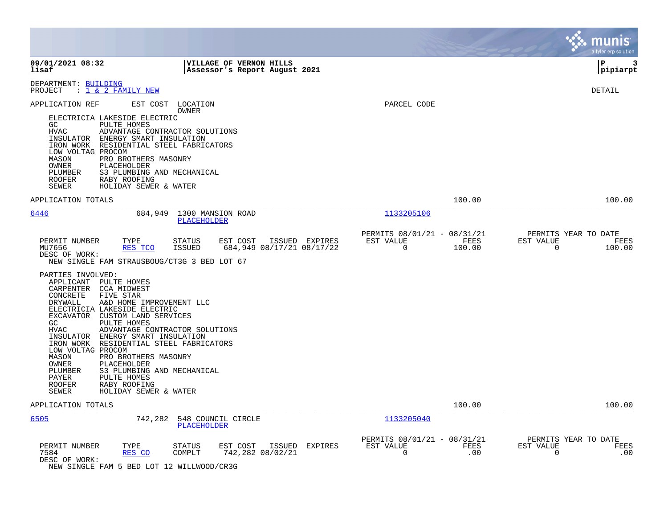|                                                                                                                                                                                                                                                                                                                                                                                                                                                                                                                                                                 |                                                                        | munis<br>a tyler erp solution                                   |
|-----------------------------------------------------------------------------------------------------------------------------------------------------------------------------------------------------------------------------------------------------------------------------------------------------------------------------------------------------------------------------------------------------------------------------------------------------------------------------------------------------------------------------------------------------------------|------------------------------------------------------------------------|-----------------------------------------------------------------|
| 09/01/2021 08:32<br><b>VILLAGE OF VERNON HILLS</b><br>lisaf<br>Assessor's Report August 2021                                                                                                                                                                                                                                                                                                                                                                                                                                                                    |                                                                        | l P<br>3<br> pipiarpt                                           |
| DEPARTMENT: BUILDING<br>: $\overline{1}$ & 2 FAMILY NEW<br>PROJECT                                                                                                                                                                                                                                                                                                                                                                                                                                                                                              |                                                                        | <b>DETAIL</b>                                                   |
| APPLICATION REF<br>EST COST LOCATION<br>OWNER<br>ELECTRICIA LAKESIDE ELECTRIC<br>GC<br>PULTE HOMES<br><b>HVAC</b><br>ADVANTAGE CONTRACTOR SOLUTIONS<br>INSULATOR ENERGY SMART INSULATION<br>IRON WORK RESIDENTIAL STEEL FABRICATORS<br>LOW VOLTAG PROCOM<br>PRO BROTHERS MASONRY<br>MASON<br>OWNER<br>PLACEHOLDER<br>S3 PLUMBING AND MECHANICAL<br>PLUMBER<br>RABY ROOFING<br><b>ROOFER</b><br>SEWER<br>HOLIDAY SEWER & WATER                                                                                                                                   | PARCEL CODE                                                            |                                                                 |
| APPLICATION TOTALS                                                                                                                                                                                                                                                                                                                                                                                                                                                                                                                                              | 100.00                                                                 | 100.00                                                          |
| 6446<br>684,949<br>1300 MANSION ROAD<br>PLACEHOLDER                                                                                                                                                                                                                                                                                                                                                                                                                                                                                                             | 1133205106                                                             |                                                                 |
| PERMIT NUMBER<br>TYPE<br>STATUS<br>EST COST<br>ISSUED EXPIRES<br>RES TCO<br>684,949 08/17/21 08/17/22<br>MU7656<br><b>ISSUED</b><br>DESC OF WORK:<br>NEW SINGLE FAM STRAUSBOUG/CT3G 3 BED LOT 67<br>PARTIES INVOLVED:<br>APPLICANT PULTE HOMES<br>CARPENTER CCA MIDWEST<br>CONCRETE<br>FIVE STAR<br>A&D HOME IMPROVEMENT LLC<br>DRYWALL<br>ELECTRICIA LAKESIDE ELECTRIC<br>EXCAVATOR CUSTOM LAND SERVICES<br>PULTE HOMES<br>GC<br><b>HVAC</b><br>ADVANTAGE CONTRACTOR SOLUTIONS<br>INSULATOR ENERGY SMART INSULATION<br>IRON WORK RESIDENTIAL STEEL FABRICATORS | PERMITS 08/01/21 - 08/31/21<br>EST VALUE<br>FEES<br>$\Omega$<br>100.00 | PERMITS YEAR TO DATE<br>EST VALUE<br>FEES<br>$\Omega$<br>100.00 |
| LOW VOLTAG PROCOM<br>MASON<br>PRO BROTHERS MASONRY<br>OWNER<br>PLACEHOLDER<br>S3 PLUMBING AND MECHANICAL<br>PLUMBER<br>PAYER<br>PULTE HOMES<br><b>ROOFER</b><br>RABY ROOFING<br>HOLIDAY SEWER & WATER<br>SEWER                                                                                                                                                                                                                                                                                                                                                  |                                                                        |                                                                 |
| APPLICATION TOTALS                                                                                                                                                                                                                                                                                                                                                                                                                                                                                                                                              | 100.00                                                                 | 100.00                                                          |
| 742,282<br>548 COUNCIL CIRCLE<br>6505<br><b>PLACEHOLDER</b>                                                                                                                                                                                                                                                                                                                                                                                                                                                                                                     | 1133205040                                                             |                                                                 |
| EST COST<br>PERMIT NUMBER<br>TYPE<br>STATUS<br>ISSUED<br>EXPIRES<br>RES CO<br>COMPLT<br>742,282 08/02/21<br>7584<br>DESC OF WORK:<br>NEW SINGLE FAM 5 BED LOT 12 WILLWOOD/CR3G                                                                                                                                                                                                                                                                                                                                                                                  | PERMITS 08/01/21 - 08/31/21<br>EST VALUE<br>FEES<br>$\mathbf 0$<br>.00 | PERMITS YEAR TO DATE<br>EST VALUE<br>FEES<br>$\Omega$<br>.00    |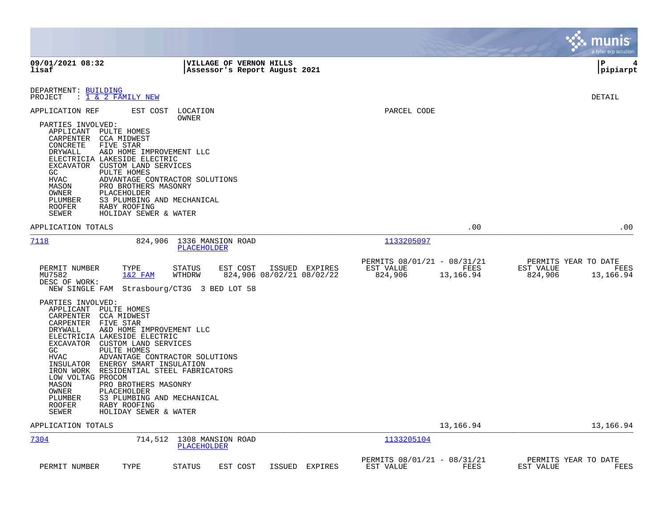|                                                                                                                                                                                               |                                                                                                                                                                                                                                                                                                                                                                    |                                          |                                                          |                |                                                     |                   |                                              | munis<br>a tyler erp solution |
|-----------------------------------------------------------------------------------------------------------------------------------------------------------------------------------------------|--------------------------------------------------------------------------------------------------------------------------------------------------------------------------------------------------------------------------------------------------------------------------------------------------------------------------------------------------------------------|------------------------------------------|----------------------------------------------------------|----------------|-----------------------------------------------------|-------------------|----------------------------------------------|-------------------------------|
| 09/01/2021 08:32<br>lisaf                                                                                                                                                                     |                                                                                                                                                                                                                                                                                                                                                                    |                                          | VILLAGE OF VERNON HILLS<br>Assessor's Report August 2021 |                |                                                     |                   |                                              | P<br>4<br> pipiarpt           |
| DEPARTMENT: BUILDING<br>PROJECT                                                                                                                                                               | : 1 & 2 FAMILY NEW                                                                                                                                                                                                                                                                                                                                                 |                                          |                                                          |                |                                                     |                   |                                              | DETAIL                        |
| APPLICATION REF<br>PARTIES INVOLVED:<br>APPLICANT PULTE HOMES<br>CARPENTER CCA MIDWEST<br>CONCRETE<br>DRYWALL<br>GC<br><b>HVAC</b><br>MASON<br>OWNER<br>PLUMBER<br><b>ROOFER</b><br>SEWER     | FIVE STAR<br>A&D HOME IMPROVEMENT LLC<br>ELECTRICIA LAKESIDE ELECTRIC<br>EXCAVATOR CUSTOM LAND SERVICES<br>PULTE HOMES<br>ADVANTAGE CONTRACTOR SOLUTIONS<br>PRO BROTHERS MASONRY<br>PLACEHOLDER<br>S3 PLUMBING AND MECHANICAL<br>RABY ROOFING<br>HOLIDAY SEWER & WATER                                                                                             | EST COST LOCATION<br>OWNER               |                                                          |                | PARCEL CODE                                         |                   |                                              |                               |
| APPLICATION TOTALS                                                                                                                                                                            |                                                                                                                                                                                                                                                                                                                                                                    |                                          |                                                          |                |                                                     | .00               |                                              | .00                           |
| 7118                                                                                                                                                                                          |                                                                                                                                                                                                                                                                                                                                                                    | 824,906 1336 MANSION ROAD<br>PLACEHOLDER |                                                          |                | 1133205097                                          |                   |                                              |                               |
| PERMIT NUMBER<br>MU7582<br>DESC OF WORK:                                                                                                                                                      | TYPE<br>$1&2$ FAM<br>NEW SINGLE FAM Strasbourg/CT3G 3 BED LOT 58                                                                                                                                                                                                                                                                                                   | STATUS<br>WTHDRW                         | EST COST<br>824,906 08/02/21 08/02/22                    | ISSUED EXPIRES | PERMITS 08/01/21 - 08/31/21<br>EST VALUE<br>824,906 | FEES<br>13,166.94 | PERMITS YEAR TO DATE<br>EST VALUE<br>824,906 | FEES<br>13,166.94             |
| PARTIES INVOLVED:<br>APPLICANT PULTE HOMES<br>CARPENTER<br>CARPENTER<br>DRYWALL<br>GC<br><b>HVAC</b><br>IRON WORK<br>LOW VOLTAG PROCOM<br>MASON<br>OWNER<br>PLUMBER<br><b>ROOFER</b><br>SEWER | <b>CCA MIDWEST</b><br>FIVE STAR<br>A&D HOME IMPROVEMENT LLC<br>ELECTRICIA LAKESIDE ELECTRIC<br>EXCAVATOR CUSTOM LAND SERVICES<br>PULTE HOMES<br>ADVANTAGE CONTRACTOR SOLUTIONS<br>INSULATOR ENERGY SMART INSULATION<br>RESIDENTIAL STEEL FABRICATORS<br>PRO BROTHERS MASONRY<br>PLACEHOLDER<br>S3 PLUMBING AND MECHANICAL<br>RABY ROOFING<br>HOLIDAY SEWER & WATER |                                          |                                                          |                |                                                     |                   |                                              |                               |
| APPLICATION TOTALS                                                                                                                                                                            |                                                                                                                                                                                                                                                                                                                                                                    |                                          |                                                          |                |                                                     | 13,166.94         |                                              | 13,166.94                     |
| 7304                                                                                                                                                                                          | 714,512                                                                                                                                                                                                                                                                                                                                                            | 1308 MANSION ROAD<br><b>PLACEHOLDER</b>  |                                                          |                | 1133205104                                          |                   |                                              |                               |
| PERMIT NUMBER                                                                                                                                                                                 | TYPE                                                                                                                                                                                                                                                                                                                                                               | <b>STATUS</b>                            | EST COST                                                 | ISSUED EXPIRES | PERMITS 08/01/21 - 08/31/21<br>EST VALUE            | FEES              | PERMITS YEAR TO DATE<br>EST VALUE            | FEES                          |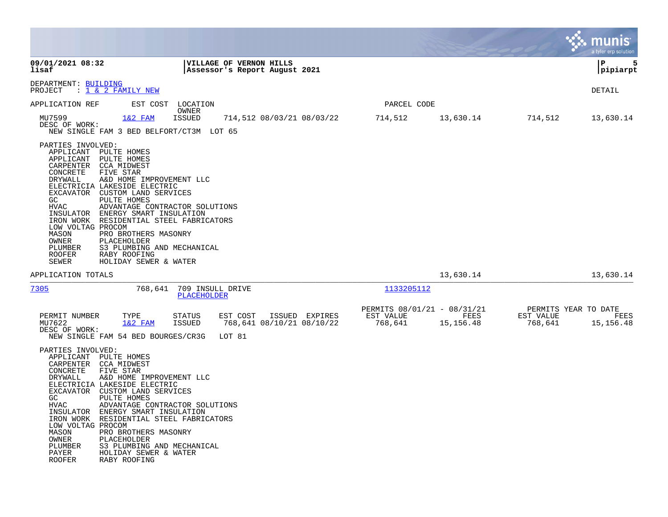|                                                                                                                                                                                  |                                                                                                                                                                                                                                                                                                                                                                                                               |                                 |                                                                 |                |                                                     |                   |                      | munis<br>a tyler erp solution             |
|----------------------------------------------------------------------------------------------------------------------------------------------------------------------------------|---------------------------------------------------------------------------------------------------------------------------------------------------------------------------------------------------------------------------------------------------------------------------------------------------------------------------------------------------------------------------------------------------------------|---------------------------------|-----------------------------------------------------------------|----------------|-----------------------------------------------------|-------------------|----------------------|-------------------------------------------|
| 09/01/2021 08:32<br>lisaf                                                                                                                                                        |                                                                                                                                                                                                                                                                                                                                                                                                               |                                 | <b>VILLAGE OF VERNON HILLS</b><br>Assessor's Report August 2021 |                |                                                     |                   |                      | ∣P<br>5<br> pipiarpt                      |
| DEPARTMENT: BUILDING<br>PROJECT                                                                                                                                                  | $: 1 \& 2$ FAMILY NEW                                                                                                                                                                                                                                                                                                                                                                                         |                                 |                                                                 |                |                                                     |                   |                      | DETAIL                                    |
| APPLICATION REF                                                                                                                                                                  | EST COST                                                                                                                                                                                                                                                                                                                                                                                                      | LOCATION<br>OWNER               |                                                                 |                | PARCEL CODE                                         |                   |                      |                                           |
| MU7599<br>DESC OF WORK:                                                                                                                                                          | $1&2$ FAM<br>NEW SINGLE FAM 3 BED BELFORT/CT3M LOT 65                                                                                                                                                                                                                                                                                                                                                         | <b>ISSUED</b>                   | 714,512 08/03/21 08/03/22                                       |                | 714,512                                             | 13,630.14         | 714,512              | 13,630.14                                 |
| PARTIES INVOLVED:<br>APPLICANT<br>CONCRETE<br>DRYWALL<br>GC<br><b>HVAC</b><br>IRON WORK<br>LOW VOLTAG PROCOM<br>MASON<br>OWNER<br>PLUMBER<br>ROOFER<br>SEWER                     | APPLICANT PULTE HOMES<br>PULTE HOMES<br>CARPENTER CCA MIDWEST<br>FIVE STAR<br>A&D HOME IMPROVEMENT LLC<br>ELECTRICIA LAKESIDE ELECTRIC<br>EXCAVATOR CUSTOM LAND SERVICES<br>PULTE HOMES<br>ADVANTAGE CONTRACTOR SOLUTIONS<br>INSULATOR ENERGY SMART INSULATION<br>RESIDENTIAL STEEL FABRICATORS<br>PRO BROTHERS MASONRY<br>PLACEHOLDER<br>S3 PLUMBING AND MECHANICAL<br>RABY ROOFING<br>HOLIDAY SEWER & WATER |                                 |                                                                 |                |                                                     |                   |                      |                                           |
| APPLICATION TOTALS                                                                                                                                                               |                                                                                                                                                                                                                                                                                                                                                                                                               |                                 |                                                                 |                |                                                     | 13,630.14         |                      | 13,630.14                                 |
| 7305                                                                                                                                                                             | 768,641                                                                                                                                                                                                                                                                                                                                                                                                       | 709 INSULL DRIVE<br>PLACEHOLDER |                                                                 |                | 1133205112                                          |                   |                      |                                           |
| PERMIT NUMBER<br>MU7622<br>DESC OF WORK:                                                                                                                                         | TYPE<br>$1&2$ FAM<br>NEW SINGLE FAM 54 BED BOURGES/CR3G                                                                                                                                                                                                                                                                                                                                                       | <b>STATUS</b><br><b>ISSUED</b>  | EST COST<br>768,641 08/10/21 08/10/22<br>LOT 81                 | ISSUED EXPIRES | PERMITS 08/01/21 - 08/31/21<br>EST VALUE<br>768,641 | FEES<br>15,156.48 | EST VALUE<br>768,641 | PERMITS YEAR TO DATE<br>FEES<br>15,156.48 |
| PARTIES INVOLVED:<br>CARPENTER<br>CONCRETE<br>DRYWALL<br>EXCAVATOR<br>GC<br><b>HVAC</b><br>IRON WORK<br>LOW VOLTAG PROCOM<br>MASON<br>OWNER<br>PLUMBER<br>PAYER<br><b>ROOFER</b> | APPLICANT PULTE HOMES<br>CCA MIDWEST<br>FIVE STAR<br>A&D HOME IMPROVEMENT LLC<br>ELECTRICIA LAKESIDE ELECTRIC<br>CUSTOM LAND SERVICES<br>PULTE HOMES<br>ADVANTAGE CONTRACTOR SOLUTIONS<br>INSULATOR ENERGY SMART INSULATION<br>RESIDENTIAL STEEL FABRICATORS<br>PRO BROTHERS MASONRY<br>PLACEHOLDER<br>S3 PLUMBING AND MECHANICAL<br>HOLIDAY SEWER & WATER<br>RABY ROOFING                                    |                                 |                                                                 |                |                                                     |                   |                      |                                           |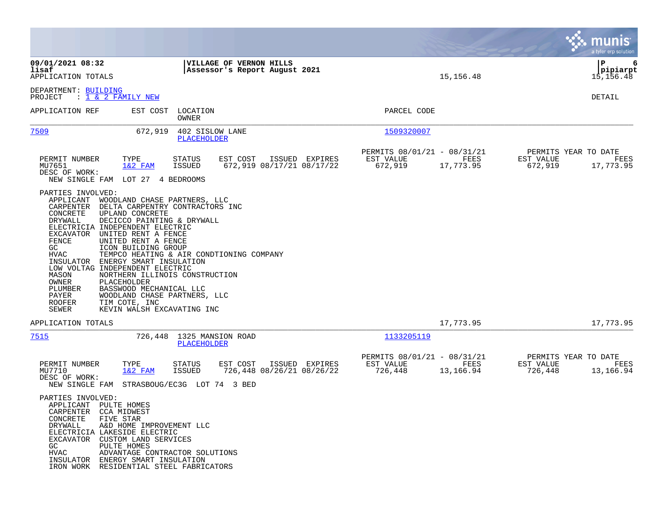|                                                                                                                                                                                                                                                                                                                                                                                                                                                                                                                                                                                                                                          |                                                                                                                   |                                                     |                   | munıs<br>a tyler erp solution                                     |
|------------------------------------------------------------------------------------------------------------------------------------------------------------------------------------------------------------------------------------------------------------------------------------------------------------------------------------------------------------------------------------------------------------------------------------------------------------------------------------------------------------------------------------------------------------------------------------------------------------------------------------------|-------------------------------------------------------------------------------------------------------------------|-----------------------------------------------------|-------------------|-------------------------------------------------------------------|
| 09/01/2021 08:32<br>lisaf<br>APPLICATION TOTALS                                                                                                                                                                                                                                                                                                                                                                                                                                                                                                                                                                                          | VILLAGE OF VERNON HILLS<br>Assessor's Report August 2021                                                          |                                                     | 15, 156. 48       | P<br>6<br> pipiarpt<br>15,156.48                                  |
| DEPARTMENT: BUILDING<br>: 1 & 2 FAMILY NEW<br>PROJECT                                                                                                                                                                                                                                                                                                                                                                                                                                                                                                                                                                                    |                                                                                                                   |                                                     |                   | DETAIL                                                            |
| EST COST<br>APPLICATION REF                                                                                                                                                                                                                                                                                                                                                                                                                                                                                                                                                                                                              | LOCATION<br>OWNER                                                                                                 | PARCEL CODE                                         |                   |                                                                   |
| 7509<br>672,919                                                                                                                                                                                                                                                                                                                                                                                                                                                                                                                                                                                                                          | 402 SISLOW LANE<br>PLACEHOLDER                                                                                    | 1509320007                                          |                   |                                                                   |
| PERMIT NUMBER<br>TYPE<br>MU7651<br>$1&2$ FAM<br>DESC OF WORK:<br>NEW SINGLE FAM LOT 27 4 BEDROOMS                                                                                                                                                                                                                                                                                                                                                                                                                                                                                                                                        | EST COST<br>STATUS<br>ISSUED EXPIRES<br><b>ISSUED</b><br>672,919 08/17/21 08/17/22                                | PERMITS 08/01/21 - 08/31/21<br>EST VALUE<br>672,919 | FEES<br>17,773.95 | PERMITS YEAR TO DATE<br>EST VALUE<br>FEES<br>672,919<br>17,773.95 |
| PARTIES INVOLVED:<br>APPLICANT<br>WOODLAND CHASE PARTNERS, LLC<br>CARPENTER<br>DELTA CARPENTRY CONTRACTORS INC<br>CONCRETE<br>UPLAND CONCRETE<br>DRYWALL<br>DECICCO PAINTING & DRYWALL<br>ELECTRICIA INDEPENDENT ELECTRIC<br>EXCAVATOR<br>UNITED RENT A FENCE<br>FENCE<br>UNITED RENT A FENCE<br>GC<br>ICON BUILDING GROUP<br>HVAC<br>INSULATOR<br>ENERGY SMART INSULATION<br>LOW VOLTAG INDEPENDENT ELECTRIC<br>MASON<br>NORTHERN ILLINOIS CONSTRUCTION<br>OWNER<br>PLACEHOLDER<br>PLUMBER<br>BASSWOOD MECHANICAL LLC<br>PAYER<br>WOODLAND CHASE PARTNERS, LLC<br><b>ROOFER</b><br>TIM COTE, INC<br>SEWER<br>KEVIN WALSH EXCAVATING INC | TEMPCO HEATING & AIR CONDTIONING COMPANY                                                                          |                                                     |                   |                                                                   |
| APPLICATION TOTALS                                                                                                                                                                                                                                                                                                                                                                                                                                                                                                                                                                                                                       |                                                                                                                   |                                                     | 17,773.95         | 17,773.95                                                         |
| 7515<br>726,448                                                                                                                                                                                                                                                                                                                                                                                                                                                                                                                                                                                                                          | 1325 MANSION ROAD<br>PLACEHOLDER                                                                                  | 1133205119                                          |                   |                                                                   |
| PERMIT NUMBER<br>TYPE<br>$1&2$ FAM<br>MU7710<br>DESC OF WORK:<br>NEW SINGLE FAM                                                                                                                                                                                                                                                                                                                                                                                                                                                                                                                                                          | STATUS<br>EST COST<br>ISSUED EXPIRES<br>726,448 08/26/21 08/26/22<br><b>ISSUED</b><br>STRASBOUG/EC3G LOT 74 3 BED | PERMITS 08/01/21 - 08/31/21<br>EST VALUE<br>726,448 | FEES<br>13,166.94 | PERMITS YEAR TO DATE<br>EST VALUE<br>FEES<br>726,448<br>13,166.94 |
| PARTIES INVOLVED:<br>APPLICANT PULTE HOMES<br>CARPENTER CCA MIDWEST<br>CONCRETE<br>FIVE STAR<br>DRYWALL<br>A&D HOME IMPROVEMENT LLC<br>ELECTRICIA LAKESIDE ELECTRIC<br>EXCAVATOR CUSTOM LAND SERVICES<br>PULTE HOMES<br>GC<br>HVAC<br>ADVANTAGE CONTRACTOR SOLUTIONS<br>INSULATOR ENERGY SMART INSULATION<br>IRON WORK RESIDENTIAL STEEL FABRICATORS                                                                                                                                                                                                                                                                                     |                                                                                                                   |                                                     |                   |                                                                   |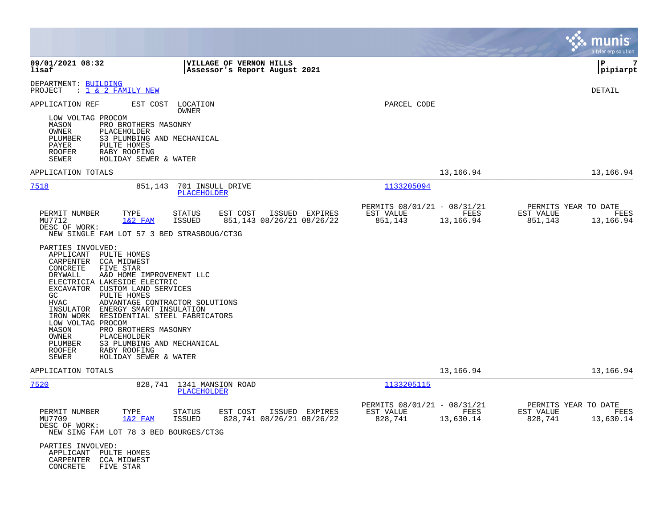|                                                                                                                                                                                                                                                                                                                                                                                                                                                                                                                                                        |                                                                                           |                                                     |                   | munis<br>a tyler erp solution                                     |
|--------------------------------------------------------------------------------------------------------------------------------------------------------------------------------------------------------------------------------------------------------------------------------------------------------------------------------------------------------------------------------------------------------------------------------------------------------------------------------------------------------------------------------------------------------|-------------------------------------------------------------------------------------------|-----------------------------------------------------|-------------------|-------------------------------------------------------------------|
| 09/01/2021 08:32<br>lisaf                                                                                                                                                                                                                                                                                                                                                                                                                                                                                                                              | VILLAGE OF VERNON HILLS<br>Assessor's Report August 2021                                  |                                                     |                   | l P<br>7<br> pipiarpt                                             |
| DEPARTMENT: BUILDING<br>: 1 & 2 FAMILY NEW<br>PROJECT                                                                                                                                                                                                                                                                                                                                                                                                                                                                                                  |                                                                                           |                                                     |                   | DETAIL                                                            |
| APPLICATION REF<br>LOW VOLTAG PROCOM<br>MASON<br>PRO BROTHERS MASONRY<br>OWNER<br>PLACEHOLDER<br>PLUMBER<br>S3 PLUMBING AND MECHANICAL<br>PAYER<br>PULTE HOMES<br><b>ROOFER</b><br>RABY ROOFING<br>SEWER<br>HOLIDAY SEWER & WATER                                                                                                                                                                                                                                                                                                                      | EST COST LOCATION<br>OWNER                                                                | PARCEL CODE                                         |                   |                                                                   |
| APPLICATION TOTALS                                                                                                                                                                                                                                                                                                                                                                                                                                                                                                                                     |                                                                                           |                                                     | 13,166.94         | 13,166.94                                                         |
| 7518<br>851,143                                                                                                                                                                                                                                                                                                                                                                                                                                                                                                                                        | 701 INSULL DRIVE<br><b>PLACEHOLDER</b>                                                    | 1133205094                                          |                   |                                                                   |
| PERMIT NUMBER<br>TYPE<br>MU7712<br>$1&2$ FAM<br>DESC OF WORK:<br>NEW SINGLE FAM LOT 57 3 BED STRASBOUG/CT3G                                                                                                                                                                                                                                                                                                                                                                                                                                            | <b>STATUS</b><br>EST COST ISSUED EXPIRES<br>851,143 08/26/21 08/26/22<br><b>ISSUED</b>    | PERMITS 08/01/21 - 08/31/21<br>EST VALUE<br>851,143 | FEES<br>13,166.94 | PERMITS YEAR TO DATE<br>EST VALUE<br>FEES<br>851,143<br>13,166.94 |
| PARTIES INVOLVED:<br>APPLICANT PULTE HOMES<br>CARPENTER CCA MIDWEST<br>FIVE STAR<br>CONCRETE<br>DRYWALL<br>A&D HOME IMPROVEMENT LLC<br>ELECTRICIA LAKESIDE ELECTRIC<br>EXCAVATOR CUSTOM LAND SERVICES<br>GC.<br>PULTE HOMES<br><b>HVAC</b><br>ADVANTAGE CONTRACTOR SOLUTIONS<br>INSULATOR ENERGY SMART INSULATION<br>IRON WORK RESIDENTIAL STEEL FABRICATORS<br>LOW VOLTAG PROCOM<br>MASON<br>PRO BROTHERS MASONRY<br>OWNER<br>PLACEHOLDER<br>PLUMBER<br>S3 PLUMBING AND MECHANICAL<br><b>ROOFER</b><br>RABY ROOFING<br>HOLIDAY SEWER & WATER<br>SEWER |                                                                                           |                                                     |                   |                                                                   |
| APPLICATION TOTALS                                                                                                                                                                                                                                                                                                                                                                                                                                                                                                                                     |                                                                                           |                                                     | 13,166.94         | 13,166.94                                                         |
| 7520<br>828,741                                                                                                                                                                                                                                                                                                                                                                                                                                                                                                                                        | 1341 MANSION ROAD<br>PLACEHOLDER                                                          | 1133205115                                          |                   |                                                                   |
| PERMIT NUMBER<br>TYPE<br>$1&2$ FAM<br>MU7709<br>DESC OF WORK:<br>NEW SING FAM LOT 78 3 BED BOURGES/CT3G                                                                                                                                                                                                                                                                                                                                                                                                                                                | <b>STATUS</b><br>EST COST<br>ISSUED EXPIRES<br>828,741 08/26/21 08/26/22<br><b>ISSUED</b> | PERMITS 08/01/21 - 08/31/21<br>EST VALUE<br>828,741 | FEES<br>13,630.14 | PERMITS YEAR TO DATE<br>EST VALUE<br>FEES<br>828,741<br>13,630.14 |
| PARTIES INVOLVED:<br>APPLICANT PULTE HOMES<br>CCA MIDWEST<br>CARPENTER<br>CONCRETE<br>FIVE STAR                                                                                                                                                                                                                                                                                                                                                                                                                                                        |                                                                                           |                                                     |                   |                                                                   |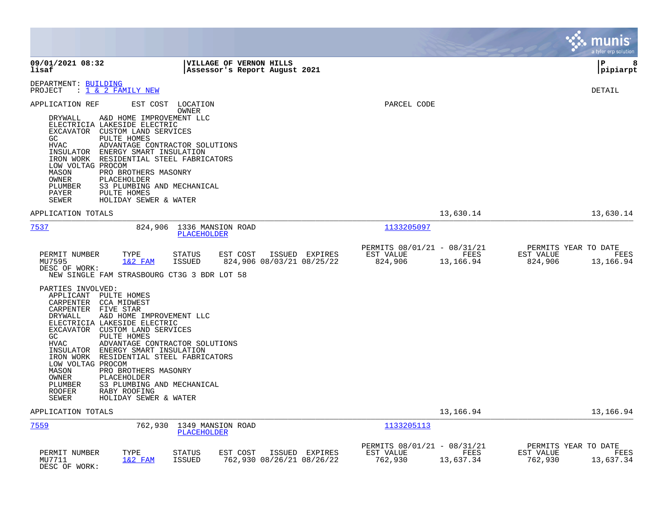|                                                                                                                                                                                                                                                                                                                                                                                                                                                                                                                                                 |                                                                       | munis<br>a tyler erp solution                                                          |
|-------------------------------------------------------------------------------------------------------------------------------------------------------------------------------------------------------------------------------------------------------------------------------------------------------------------------------------------------------------------------------------------------------------------------------------------------------------------------------------------------------------------------------------------------|-----------------------------------------------------------------------|----------------------------------------------------------------------------------------|
| 09/01/2021 08:32<br>VILLAGE OF VERNON HILLS<br>Assessor's Report August 2021<br>lisaf                                                                                                                                                                                                                                                                                                                                                                                                                                                           |                                                                       | 8<br>ΙP<br>pipiarpt                                                                    |
| DEPARTMENT: BUILDING<br>: <u>1 &amp; 2 FAMILY NEW</u><br>PROJECT                                                                                                                                                                                                                                                                                                                                                                                                                                                                                |                                                                       | DETAIL                                                                                 |
| EST COST LOCATION<br>APPLICATION REF<br>OWNER<br>DRYWALL<br>A&D HOME IMPROVEMENT LLC<br>ELECTRICIA LAKESIDE ELECTRIC<br>EXCAVATOR CUSTOM LAND SERVICES<br>PULTE HOMES<br>GC<br><b>HVAC</b><br>ADVANTAGE CONTRACTOR SOLUTIONS<br>INSULATOR ENERGY SMART INSULATION<br>IRON WORK RESIDENTIAL STEEL FABRICATORS<br>LOW VOLTAG PROCOM<br>PRO BROTHERS MASONRY<br>MASON<br>OWNER<br>PLACEHOLDER<br>PLUMBER<br>S3 PLUMBING AND MECHANICAL<br>PAYER<br>PULTE HOMES<br>HOLIDAY SEWER & WATER<br>SEWER                                                   | PARCEL CODE                                                           |                                                                                        |
| APPLICATION TOTALS                                                                                                                                                                                                                                                                                                                                                                                                                                                                                                                              |                                                                       | 13,630.14<br>13,630.14                                                                 |
| 7537<br>824,906 1336 MANSION ROAD<br><b>PLACEHOLDER</b>                                                                                                                                                                                                                                                                                                                                                                                                                                                                                         | 1133205097                                                            |                                                                                        |
| TYPE<br>EST COST<br>PERMIT NUMBER<br><b>STATUS</b><br>MU7595<br>$1&2$ FAM<br><b>ISSUED</b><br>824,906 08/03/21 08/25/22<br>DESC OF WORK:<br>NEW SINGLE FAM STRASBOURG CT3G 3 BDR LOT 58                                                                                                                                                                                                                                                                                                                                                         | PERMITS 08/01/21 - 08/31/21<br>ISSUED EXPIRES<br>EST VALUE<br>824,906 | PERMITS YEAR TO DATE<br>FEES<br>EST VALUE<br>FEES<br>13,166.94<br>824,906<br>13,166.94 |
| PARTIES INVOLVED:<br>APPLICANT PULTE HOMES<br>CARPENTER CCA MIDWEST<br>CARPENTER FIVE STAR<br>A&D HOME IMPROVEMENT LLC<br>DRYWALL<br>ELECTRICIA LAKESIDE ELECTRIC<br>EXCAVATOR CUSTOM LAND SERVICES<br>PULTE HOMES<br>GC<br><b>HVAC</b><br>ADVANTAGE CONTRACTOR SOLUTIONS<br>INSULATOR ENERGY SMART INSULATION<br>RESIDENTIAL STEEL FABRICATORS<br>IRON WORK<br>LOW VOLTAG PROCOM<br>MASON<br>PRO BROTHERS MASONRY<br>OWNER<br>PLACEHOLDER<br>PLUMBER<br>S3 PLUMBING AND MECHANICAL<br>RABY ROOFING<br>ROOFER<br>SEWER<br>HOLIDAY SEWER & WATER |                                                                       |                                                                                        |
| APPLICATION TOTALS                                                                                                                                                                                                                                                                                                                                                                                                                                                                                                                              |                                                                       | 13,166.94<br>13,166.94                                                                 |
| 7559<br>762,930 1349 MANSION ROAD<br>PLACEHOLDER                                                                                                                                                                                                                                                                                                                                                                                                                                                                                                | 1133205113                                                            |                                                                                        |
| PERMIT NUMBER<br>TYPE<br>EST COST<br>STATUS<br>$1&2$ FAM<br>ISSUED<br>762,930 08/26/21 08/26/22<br>MU7711<br>DESC OF WORK:                                                                                                                                                                                                                                                                                                                                                                                                                      | PERMITS 08/01/21 - 08/31/21<br>ISSUED EXPIRES<br>EST VALUE<br>762,930 | PERMITS YEAR TO DATE<br>FEES<br>EST VALUE<br>FEES<br>13,637.34<br>762,930<br>13,637.34 |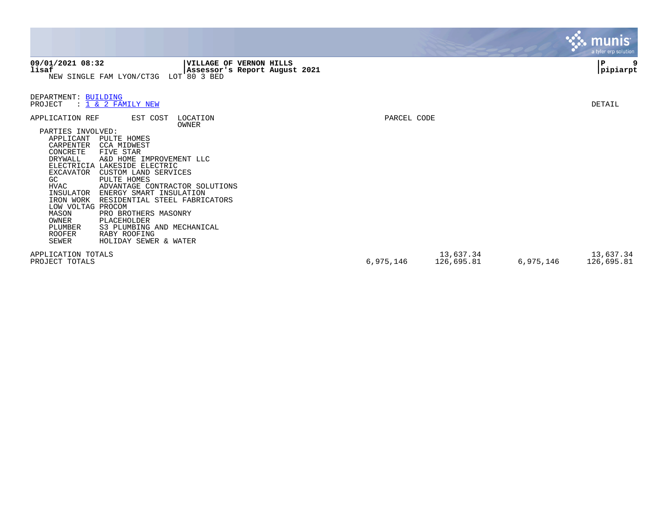|                                                                                                                                                                                                                                                                                                                               |             |                         |           | $\sim$ munis<br>a tyler erp solution |
|-------------------------------------------------------------------------------------------------------------------------------------------------------------------------------------------------------------------------------------------------------------------------------------------------------------------------------|-------------|-------------------------|-----------|--------------------------------------|
| 09/01/2021 08:32<br><b>VILLAGE OF VERNON HILLS</b><br>lisaf<br>Assessor's Report August 2021<br>LOT 80 3 BED<br>NEW SINGLE FAM LYON/CT3G                                                                                                                                                                                      |             |                         |           | ∣P<br>9<br> pipiarpt                 |
| DEPARTMENT: BUILDING<br>: 1 & 2 FAMILY NEW<br>PROJECT                                                                                                                                                                                                                                                                         |             |                         |           | DETAIL                               |
| APPLICATION REF<br>EST COST<br>LOCATION<br>OWNER<br>PARTIES INVOLVED:<br>APPLICANT<br>PULTE HOMES<br>CARPENTER<br><b>CCA MIDWEST</b><br>CONCRETE<br>FIVE STAR<br>DRYWALL<br>A&D HOME IMPROVEMENT LLC<br>ELECTRICIA LAKESIDE ELECTRIC<br>CUSTOM LAND SERVICES<br>EXCAVATOR<br>GC<br>PULTE HOMES                                | PARCEL CODE |                         |           |                                      |
| <b>HVAC</b><br>ADVANTAGE CONTRACTOR SOLUTIONS<br>INSULATOR<br>ENERGY SMART INSULATION<br>IRON WORK<br>RESIDENTIAL STEEL FABRICATORS<br>LOW VOLTAG PROCOM<br>MASON<br>PRO BROTHERS MASONRY<br>OWNER<br>PLACEHOLDER<br>PLUMBER<br>S3 PLUMBING AND MECHANICAL<br><b>ROOFER</b><br>RABY ROOFING<br>SEWER<br>HOLIDAY SEWER & WATER |             |                         |           |                                      |
| APPLICATION TOTALS<br>PROJECT TOTALS                                                                                                                                                                                                                                                                                          | 6,975,146   | 13,637.34<br>126,695.81 | 6,975,146 | 13,637.34<br>126,695.81              |

 $\sim$   $\sim$   $\sim$   $\sim$   $\sim$   $\sim$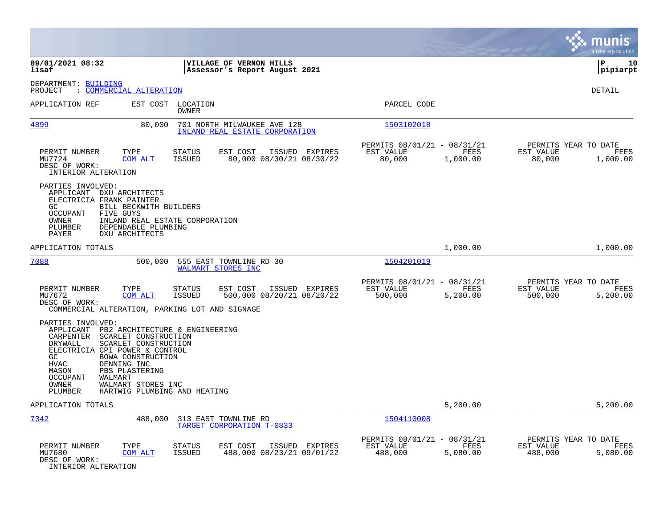|                                                                                                                                                                                                                                                                                                      |                                                                                           |                                                                                | munis<br>a tyler erp solution                                    |
|------------------------------------------------------------------------------------------------------------------------------------------------------------------------------------------------------------------------------------------------------------------------------------------------------|-------------------------------------------------------------------------------------------|--------------------------------------------------------------------------------|------------------------------------------------------------------|
| 09/01/2021 08:32<br>lisaf                                                                                                                                                                                                                                                                            | VILLAGE OF VERNON HILLS<br>Assessor's Report August 2021                                  |                                                                                | l P<br>10<br> pipiarpt                                           |
| DEPARTMENT: BUILDING<br>: COMMERCIAL ALTERATION<br>PROJECT                                                                                                                                                                                                                                           |                                                                                           |                                                                                | <b>DETAIL</b>                                                    |
| APPLICATION REF<br>EST COST                                                                                                                                                                                                                                                                          | LOCATION<br>OWNER                                                                         | PARCEL CODE                                                                    |                                                                  |
| 4899<br>80,000                                                                                                                                                                                                                                                                                       | 701 NORTH MILWAUKEE AVE 128<br>INLAND REAL ESTATE CORPORATION                             | 1503102018                                                                     |                                                                  |
| TYPE<br>PERMIT NUMBER<br>MU7724<br>COM ALT<br>DESC OF WORK:<br>INTERIOR ALTERATION                                                                                                                                                                                                                   | EST COST<br><b>STATUS</b><br>ISSUED EXPIRES<br>ISSUED<br>80,000 08/30/21 08/30/22         | PERMITS 08/01/21 - 08/31/21<br>EST VALUE<br>FEES<br>80,000<br>1,000.00         | PERMITS YEAR TO DATE<br>EST VALUE<br>FEES<br>80,000<br>1,000.00  |
| PARTIES INVOLVED:<br>APPLICANT DXU ARCHITECTS<br>ELECTRICIA FRANK PAINTER<br>BILL BECKWITH BUILDERS<br>GC<br>FIVE GUYS<br><b>OCCUPANT</b><br>OWNER<br>DEPENDABLE PLUMBING<br>PLUMBER<br>PAYER<br>DXU ARCHITECTS                                                                                      | INLAND REAL ESTATE CORPORATION                                                            |                                                                                |                                                                  |
| APPLICATION TOTALS                                                                                                                                                                                                                                                                                   |                                                                                           | 1,000.00                                                                       | 1,000.00                                                         |
| 7088<br>500,000                                                                                                                                                                                                                                                                                      | 555 EAST TOWNLINE RD 30<br>WALMART STORES INC                                             | 1504201019                                                                     |                                                                  |
| PERMIT NUMBER<br>TYPE<br>COM ALT<br>MU7672<br>DESC OF WORK:<br>COMMERCIAL ALTERATION, PARKING LOT AND SIGNAGE                                                                                                                                                                                        | <b>STATUS</b><br>EST COST<br>ISSUED EXPIRES<br>500,000 08/20/21 08/20/22<br><b>ISSUED</b> | PERMITS 08/01/21 - 08/31/21<br>EST VALUE<br>FEES<br>500,000<br>5,200.00        | PERMITS YEAR TO DATE<br>EST VALUE<br>FEES<br>500,000<br>5,200.00 |
| PARTIES INVOLVED:<br>APPLICANT<br>CARPENTER<br>SCARLET CONSTRUCTION<br>SCARLET CONSTRUCTION<br>DRYWALL<br>ELECTRICIA CPI POWER & CONTROL<br>GC<br>BOWA CONSTRUCTION<br><b>HVAC</b><br>DENNING INC<br>PBS PLASTERING<br>MASON<br><b>OCCUPANT</b><br>WALMART<br>OWNER<br>WALMART STORES INC<br>PLUMBER | PB2 ARCHITECTURE & ENGINEERING<br>HARTWIG PLUMBING AND HEATING                            |                                                                                |                                                                  |
| APPLICATION TOTALS                                                                                                                                                                                                                                                                                   |                                                                                           | 5,200.00                                                                       | 5,200.00                                                         |
| 7342<br>488,000                                                                                                                                                                                                                                                                                      | 313 EAST TOWNLINE RD<br>TARGET CORPORATION T-0833                                         | 1504110008                                                                     |                                                                  |
| PERMIT NUMBER<br>TYPE<br><b>COM ALT</b><br>MU7680<br>DESC OF WORK:<br>INTERIOR ALTERATION                                                                                                                                                                                                            | EST COST<br>ISSUED EXPIRES<br><b>STATUS</b><br>488,000 08/23/21 09/01/22<br><b>ISSUED</b> | PERMITS 08/01/21 - 08/31/21<br>EST VALUE<br><b>FEES</b><br>488,000<br>5,080.00 | PERMITS YEAR TO DATE<br>EST VALUE<br>FEES<br>488,000<br>5,080.00 |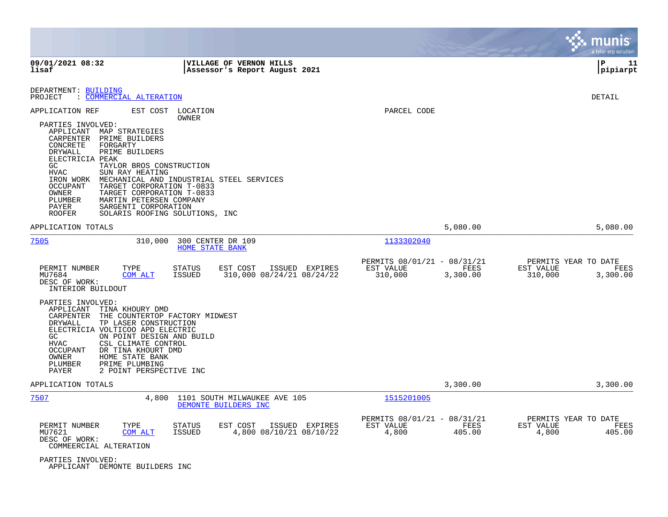|                                                                                                                                                                                                                                                                                                                                                                                                                                                                           |                                                                                    |                                                                         | munis<br>a tyler erp solution                                    |
|---------------------------------------------------------------------------------------------------------------------------------------------------------------------------------------------------------------------------------------------------------------------------------------------------------------------------------------------------------------------------------------------------------------------------------------------------------------------------|------------------------------------------------------------------------------------|-------------------------------------------------------------------------|------------------------------------------------------------------|
| 09/01/2021 08:32<br>lisaf                                                                                                                                                                                                                                                                                                                                                                                                                                                 | VILLAGE OF VERNON HILLS<br>Assessor's Report August 2021                           |                                                                         | l P<br>11<br> pipiarpt                                           |
| DEPARTMENT: BUILDING<br>PROJECT<br>: COMMERCIAL ALTERATION                                                                                                                                                                                                                                                                                                                                                                                                                |                                                                                    |                                                                         | DETAIL                                                           |
| APPLICATION REF<br>EST COST<br>PARTIES INVOLVED:<br>MAP STRATEGIES<br>APPLICANT<br>CARPENTER<br>PRIME BUILDERS<br>CONCRETE<br>FORGARTY<br>DRYWALL<br>PRIME BUILDERS<br>ELECTRICIA PEAK<br>GC<br>TAYLOR BROS CONSTRUCTION<br>HVAC<br>SUN RAY HEATING<br>IRON WORK<br>OCCUPANT<br>TARGET CORPORATION T-0833<br>OWNER<br>TARGET CORPORATION T-0833<br>PLUMBER<br>MARTIN PETERSEN COMPANY<br>PAYER<br>SARGENTI CORPORATION<br><b>ROOFER</b><br>SOLARIS ROOFING SOLUTIONS, INC | LOCATION<br>OWNER<br>MECHANICAL AND INDUSTRIAL STEEL SERVICES                      | PARCEL CODE                                                             |                                                                  |
| APPLICATION TOTALS                                                                                                                                                                                                                                                                                                                                                                                                                                                        |                                                                                    | 5,080.00                                                                | 5,080.00                                                         |
| 7505<br>310,000                                                                                                                                                                                                                                                                                                                                                                                                                                                           | 300 CENTER DR 109<br><b>HOME STATE BANK</b>                                        | 1133302040                                                              |                                                                  |
| TYPE<br>PERMIT NUMBER<br>MU7684<br>COM ALT<br>DESC OF WORK:<br>INTERIOR BUILDOUT<br>PARTIES INVOLVED:<br>APPLICANT<br>TINA KHOURY DMD<br>CARPENTER<br>THE COUNTERTOP FACTORY MIDWEST<br>DRYWALL<br>TP LASER CONSTRUCTION<br>ELECTRICIA VOLTICOO APD ELECTRIC<br>GC.<br>ON POINT DESIGN AND BUILD<br>CSL CLIMATE CONTROL<br>HVAC<br>DR TINA KHOURT DMD<br>OCCUPANT<br>OWNER<br>HOME STATE BANK<br>PLUMBER<br>PRIME PLUMBING<br>2 POINT PERSPECTIVE INC<br>PAYER            | EST COST<br>ISSUED EXPIRES<br>STATUS<br><b>ISSUED</b><br>310,000 08/24/21 08/24/22 | PERMITS 08/01/21 - 08/31/21<br>EST VALUE<br>FEES<br>310,000<br>3,300.00 | PERMITS YEAR TO DATE<br>EST VALUE<br>FEES<br>310,000<br>3,300.00 |
| APPLICATION TOTALS                                                                                                                                                                                                                                                                                                                                                                                                                                                        |                                                                                    | 3,300.00                                                                | 3,300.00                                                         |
| 7507<br>4,800                                                                                                                                                                                                                                                                                                                                                                                                                                                             | 1101 SOUTH MILWAUKEE AVE 105<br>DEMONTE BUILDERS INC                               | 1515201005                                                              |                                                                  |
| TYPE<br>PERMIT NUMBER<br>MU7621<br>COM ALT<br>DESC OF WORK:<br>COMMEERCIAL ALTERATION<br>PARTIES INVOLVED:<br>APPLICANT DEMONTE BUILDERS INC                                                                                                                                                                                                                                                                                                                              | ISSUED EXPIRES<br>STATUS<br>EST COST<br>ISSUED<br>4,800 08/10/21 08/10/22          | PERMITS 08/01/21 - 08/31/21<br>EST VALUE<br>FEES<br>4,800<br>405.00     | PERMITS YEAR TO DATE<br>EST VALUE<br>FEES<br>4,800<br>405.00     |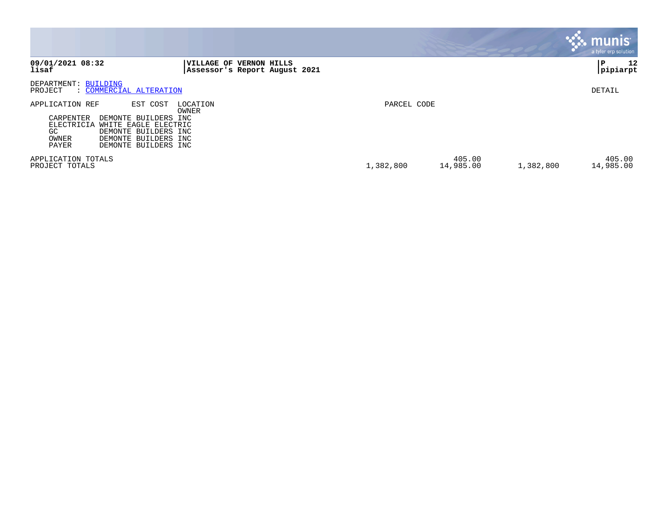|                                                                                                                                                                                                                |                                                          |             |                     | <b>munis</b><br>a tyler erp solution |
|----------------------------------------------------------------------------------------------------------------------------------------------------------------------------------------------------------------|----------------------------------------------------------|-------------|---------------------|--------------------------------------|
| 09/01/2021 08:32<br>lisaf                                                                                                                                                                                      | VILLAGE OF VERNON HILLS<br>Assessor's Report August 2021 |             |                     | 12<br>P<br> pipiarpt                 |
| DEPARTMENT: BUILDING<br>: COMMERCIAL ALTERATION<br>PROJECT                                                                                                                                                     |                                                          |             |                     | DETAIL                               |
| APPLICATION REF<br>EST COST<br><b>CARPENTER</b><br>DEMONTE BUILDERS INC<br>ELECTRICIA<br>WHITE EAGLE ELECTRIC<br>DEMONTE BUILDERS INC<br>GC.<br>OWNER<br>DEMONTE BUILDERS INC<br>PAYER<br>DEMONTE BUILDERS INC | LOCATION<br>OWNER                                        | PARCEL CODE |                     |                                      |
| APPLICATION TOTALS<br>PROJECT TOTALS                                                                                                                                                                           |                                                          | 1,382,800   | 405.00<br>14,985.00 | 405.00<br>1,382,800<br>14,985.00     |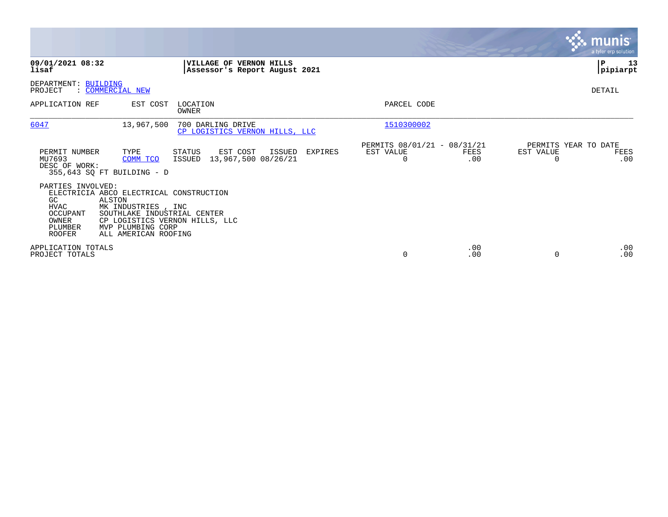|                                                                                                                                                                                                                        |                                                                          |                                               |             |           | <b>munis</b><br>a tyler erp solution |
|------------------------------------------------------------------------------------------------------------------------------------------------------------------------------------------------------------------------|--------------------------------------------------------------------------|-----------------------------------------------|-------------|-----------|--------------------------------------|
| 09/01/2021 08:32<br>lisaf                                                                                                                                                                                              | VILLAGE OF VERNON HILLS<br>Assessor's Report August 2021                 |                                               |             |           | ∣P<br>13<br> pipiarpt                |
| DEPARTMENT: BUILDING<br>PROJECT<br>: COMMERCIAL NEW                                                                                                                                                                    |                                                                          |                                               |             |           | DETAIL                               |
| APPLICATION REF<br>EST COST                                                                                                                                                                                            | LOCATION<br>OWNER                                                        | PARCEL CODE                                   |             |           |                                      |
| 6047<br>13,967,500                                                                                                                                                                                                     | 700 DARLING DRIVE<br>CP LOGISTICS VERNON HILLS, LLC                      | 1510300002                                    |             |           |                                      |
| PERMIT NUMBER<br>TYPE<br>MU7693<br>COMM TCO<br>DESC OF WORK:<br>355,643 SQ FT BUILDING - D                                                                                                                             | EST COST<br>STATUS<br>ISSUED<br>EXPIRES<br>ISSUED<br>13,967,500 08/26/21 | PERMITS 08/01/21 - 08/31/21<br>EST VALUE<br>0 | FEES<br>.00 | EST VALUE | PERMITS YEAR TO DATE<br>FEES<br>.00  |
| PARTIES INVOLVED:<br>ELECTRICIA ABCO ELECTRICAL CONSTRUCTION<br><b>ALSTON</b><br>GC<br><b>HVAC</b><br>MK INDUSTRIES, INC<br>OCCUPANT<br>OWNER<br>PLUMBER<br>MVP PLUMBING CORP<br><b>ROOFER</b><br>ALL AMERICAN ROOFING | SOUTHLAKE INDUSTRIAL CENTER<br>CP LOGISTICS VERNON HILLS, LLC            |                                               |             |           |                                      |
| APPLICATION TOTALS<br>PROJECT TOTALS                                                                                                                                                                                   |                                                                          | 0                                             | .00<br>.00  | $\Omega$  | .00<br>.00                           |

**Contract**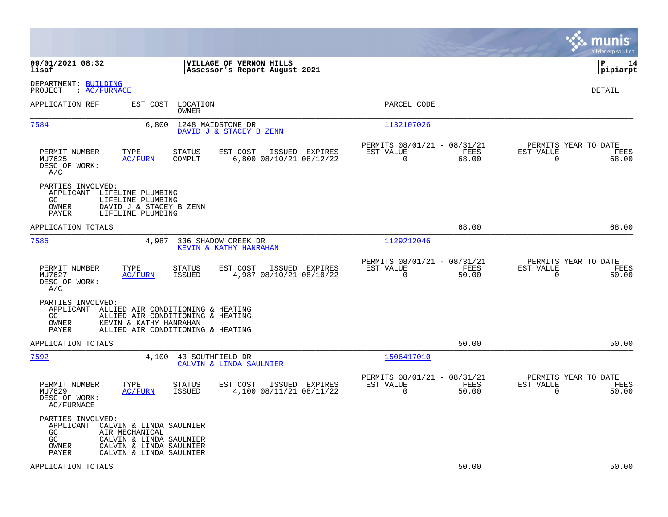|                                                                                           |                                                                                                          |                                                          |                                                         |               |                                                  | munis<br>a tyler erp solution |
|-------------------------------------------------------------------------------------------|----------------------------------------------------------------------------------------------------------|----------------------------------------------------------|---------------------------------------------------------|---------------|--------------------------------------------------|-------------------------------|
| 09/01/2021 08:32<br>lisaf                                                                 |                                                                                                          | VILLAGE OF VERNON HILLS<br>Assessor's Report August 2021 |                                                         |               |                                                  | lР<br>14<br> pipiarpt         |
| DEPARTMENT: BUILDING<br>: AC/FURNACE<br>PROJECT                                           |                                                                                                          |                                                          |                                                         |               |                                                  | <b>DETAIL</b>                 |
| APPLICATION REF                                                                           | EST COST<br>LOCATION<br>OWNER                                                                            |                                                          | PARCEL CODE                                             |               |                                                  |                               |
| 7584                                                                                      | 6,800<br>1248 MAIDSTONE DR                                                                               | DAVID J & STACEY B ZENN                                  | 1132107026                                              |               |                                                  |                               |
| PERMIT NUMBER<br>TYPE<br>MU7625<br>DESC OF WORK:<br>A/C                                   | <b>STATUS</b><br><b>AC/FURN</b><br>COMPLT                                                                | EST COST<br>ISSUED EXPIRES<br>6,800 08/10/21 08/12/22    | PERMITS 08/01/21 - 08/31/21<br>EST VALUE<br>$\mathbf 0$ | FEES<br>68.00 | PERMITS YEAR TO DATE<br>EST VALUE<br>$\mathbf 0$ | FEES<br>68.00                 |
| PARTIES INVOLVED:<br>APPLICANT<br>GC<br>OWNER<br>PAYER                                    | LIFELINE PLUMBING<br>LIFELINE PLUMBING<br>DAVID J & STACEY B ZENN<br>LIFELINE PLUMBING                   |                                                          |                                                         |               |                                                  |                               |
| APPLICATION TOTALS                                                                        |                                                                                                          |                                                          |                                                         | 68.00         |                                                  | 68.00                         |
| 7586                                                                                      | 4,987                                                                                                    | 336 SHADOW CREEK DR<br>KEVIN & KATHY HANRAHAN            | 1129212046                                              |               |                                                  |                               |
| PERMIT NUMBER<br>TYPE<br>MU7627<br>DESC OF WORK:<br>A/C                                   | STATUS<br><b>ISSUED</b><br>AC/FURN                                                                       | EST COST<br>ISSUED EXPIRES<br>4,987 08/10/21 08/10/22    | PERMITS 08/01/21 - 08/31/21<br>EST VALUE<br>0           | FEES<br>50.00 | PERMITS YEAR TO DATE<br>EST VALUE<br>$\mathbf 0$ | FEES<br>50.00                 |
| PARTIES INVOLVED:<br>APPLICANT ALLIED AIR CONDITIONING & HEATING<br>GC.<br>OWNER<br>PAYER | ALLIED AIR CONDITIONING & HEATING<br>KEVIN & KATHY HANRAHAN<br>ALLIED AIR CONDITIONING & HEATING         |                                                          |                                                         |               |                                                  |                               |
| APPLICATION TOTALS                                                                        |                                                                                                          |                                                          |                                                         | 50.00         |                                                  | 50.00                         |
| 7592                                                                                      | 4,100<br>43 SOUTHFIELD DR                                                                                | CALVIN & LINDA SAULNIER                                  | 1506417010                                              |               |                                                  |                               |
| PERMIT NUMBER<br>TYPE<br>MU7629<br>DESC OF WORK:<br>AC/FURNACE                            | <b>STATUS</b><br>AC/FURN<br>ISSUED                                                                       | EST COST<br>ISSUED EXPIRES<br>4,100 08/11/21 08/11/22    | PERMITS 08/01/21 - 08/31/21<br>EST VALUE<br>0           | FEES<br>50.00 | PERMITS YEAR TO DATE<br>EST VALUE<br>$\mathbf 0$ | FEES<br>50.00                 |
| PARTIES INVOLVED:<br>APPLICANT<br>AIR MECHANICAL<br>GC.<br>GC<br>OWNER<br>PAYER           | CALVIN & LINDA SAULNIER<br>CALVIN & LINDA SAULNIER<br>CALVIN & LINDA SAULNIER<br>CALVIN & LINDA SAULNIER |                                                          |                                                         |               |                                                  |                               |
| APPLICATION TOTALS                                                                        |                                                                                                          |                                                          |                                                         | 50.00         |                                                  | 50.00                         |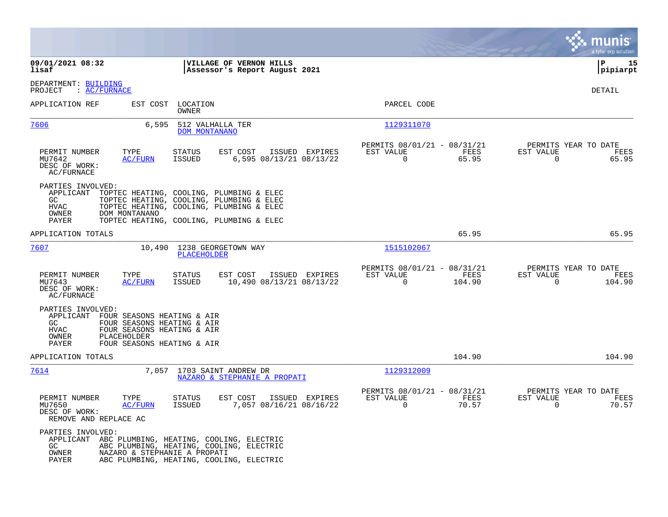|                                                                                                                                                                                                                          |                                            |                                                         |                |                                                  | munis<br>a tyler erp solution |
|--------------------------------------------------------------------------------------------------------------------------------------------------------------------------------------------------------------------------|--------------------------------------------|---------------------------------------------------------|----------------|--------------------------------------------------|-------------------------------|
| 09/01/2021 08:32<br>VILLAGE OF VERNON HILLS<br>lisaf<br>Assessor's Report August 2021                                                                                                                                    |                                            |                                                         |                |                                                  | P<br>15<br> pipiarpt          |
| DEPARTMENT: BUILDING<br>PROJECT<br>: AC/FURNACE                                                                                                                                                                          |                                            |                                                         |                |                                                  | <b>DETAIL</b>                 |
| APPLICATION REF<br>EST COST LOCATION<br>OWNER                                                                                                                                                                            |                                            | PARCEL CODE                                             |                |                                                  |                               |
| 7606<br>6,595<br>512 VALHALLA TER<br>DOM MONTANANO                                                                                                                                                                       |                                            | 1129311070                                              |                |                                                  |                               |
| PERMIT NUMBER<br>TYPE<br>EST COST<br><b>STATUS</b><br>MU7642<br>AC/FURN<br>ISSUED<br>DESC OF WORK:<br>AC/FURNACE                                                                                                         | ISSUED EXPIRES<br>6,595 08/13/21 08/13/22  | PERMITS 08/01/21 - 08/31/21<br>EST VALUE<br>$\mathbf 0$ | FEES<br>65.95  | PERMITS YEAR TO DATE<br>EST VALUE<br>$\mathbf 0$ | FEES<br>65.95                 |
| PARTIES INVOLVED:<br>APPLICANT TOPTEC HEATING, COOLING, PLUMBING & ELEC<br>GC.<br>TOPTEC HEATING, COOLING, PLUMBING & ELEC<br><b>HVAC</b><br>TOPTEC HEATING, COOLING, PLUMBING & ELEC<br>OWNER<br>DOM MONTANANO          |                                            |                                                         |                |                                                  |                               |
| PAYER<br>TOPTEC HEATING, COOLING, PLUMBING & ELEC                                                                                                                                                                        |                                            |                                                         |                |                                                  |                               |
| APPLICATION TOTALS                                                                                                                                                                                                       |                                            |                                                         | 65.95          |                                                  | 65.95                         |
| 7607<br>10,490 1238 GEORGETOWN WAY<br>PLACEHOLDER                                                                                                                                                                        |                                            | 1515102067                                              |                |                                                  |                               |
| PERMIT NUMBER<br>TYPE<br><b>STATUS</b><br>EST COST<br>MU7643<br>AC/FURN<br>ISSUED<br>DESC OF WORK:<br>AC/FURNACE                                                                                                         | ISSUED EXPIRES<br>10,490 08/13/21 08/13/22 | PERMITS 08/01/21 - 08/31/21<br>EST VALUE<br>$\Omega$    | FEES<br>104.90 | PERMITS YEAR TO DATE<br>EST VALUE<br>$\Omega$    | FEES<br>104.90                |
| PARTIES INVOLVED:<br>APPLICANT FOUR SEASONS HEATING & AIR<br>GC<br>FOUR SEASONS HEATING & AIR<br>HVAC<br>FOUR SEASONS HEATING & AIR<br>PLACEHOLDER<br>OWNER<br>FOUR SEASONS HEATING & AIR<br>PAYER                       |                                            |                                                         |                |                                                  |                               |
| APPLICATION TOTALS                                                                                                                                                                                                       |                                            |                                                         | 104.90         |                                                  | 104.90                        |
| 7614<br>7,057<br>1703 SAINT ANDREW DR<br>NAZARO & STEPHANIE A PROPATI                                                                                                                                                    |                                            | 1129312009                                              |                |                                                  |                               |
| PERMIT NUMBER<br>TYPE<br><b>STATUS</b><br>EST COST<br>MU7650<br>AC/FURN<br>ISSUED<br>DESC OF WORK:<br>REMOVE AND REPLACE AC                                                                                              | ISSUED EXPIRES<br>7,057 08/16/21 08/16/22  | PERMITS 08/01/21 - 08/31/21<br>EST VALUE<br>0           | FEES<br>70.57  | PERMITS YEAR TO DATE<br>EST VALUE<br>0           | FEES<br>70.57                 |
| PARTIES INVOLVED:<br>APPLICANT ABC PLUMBING, HEATING, COOLING, ELECTRIC<br>ABC PLUMBING, HEATING, COOLING, ELECTRIC<br>GC.<br>OWNER<br>NAZARO & STEPHANIE A PROPATI<br>ABC PLUMBING, HEATING, COOLING, ELECTRIC<br>PAYER |                                            |                                                         |                |                                                  |                               |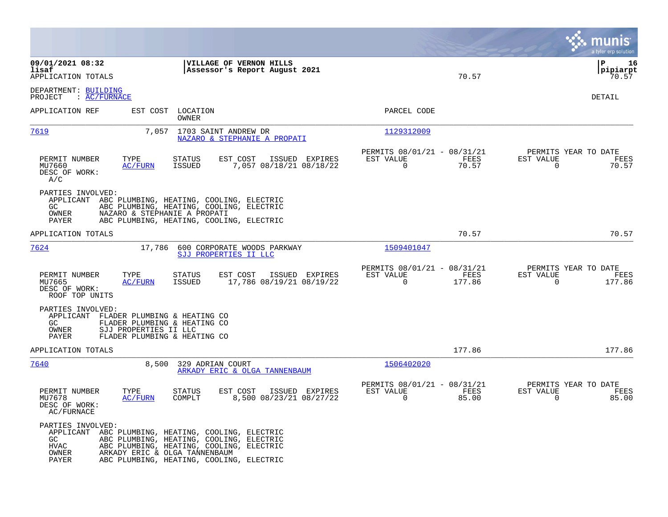|                                                                                                                                                                                                                                                                                 |                                                                          | a tyler erp solution                                               |
|---------------------------------------------------------------------------------------------------------------------------------------------------------------------------------------------------------------------------------------------------------------------------------|--------------------------------------------------------------------------|--------------------------------------------------------------------|
| 09/01/2021 08:32<br><b>VILLAGE OF VERNON HILLS</b><br>lisaf<br>Assessor's Report August 2021<br>APPLICATION TOTALS                                                                                                                                                              | 70.57                                                                    | l P<br>16<br> pipiarpt<br>70.57                                    |
| DEPARTMENT: BUILDING<br>PROJECT : AC/FURNACE                                                                                                                                                                                                                                    |                                                                          | DETAIL                                                             |
| APPLICATION REF<br>EST COST LOCATION<br>OWNER                                                                                                                                                                                                                                   | PARCEL CODE                                                              |                                                                    |
| 7619<br>7,057<br>1703 SAINT ANDREW DR<br>NAZARO & STEPHANIE A PROPATI                                                                                                                                                                                                           | 1129312009                                                               |                                                                    |
| TYPE<br>EST COST<br>PERMIT NUMBER<br><b>STATUS</b><br>ISSUED EXPIRES<br><b>ISSUED</b><br>7,057 08/18/21 08/18/22<br>MU7660<br>AC/FURN<br>DESC OF WORK:<br>A/C                                                                                                                   | PERMITS 08/01/21 - 08/31/21<br>FEES<br>EST VALUE<br>$\Omega$<br>70.57    | PERMITS YEAR TO DATE<br>EST VALUE<br>FEES<br>$\mathbf 0$<br>70.57  |
| PARTIES INVOLVED:<br>APPLICANT ABC PLUMBING, HEATING, COOLING, ELECTRIC<br>ABC PLUMBING, HEATING, COOLING, ELECTRIC<br>GC.<br>NAZARO & STEPHANIE A PROPATI<br>OWNER<br>ABC PLUMBING, HEATING, COOLING, ELECTRIC<br>PAYER                                                        |                                                                          |                                                                    |
| APPLICATION TOTALS                                                                                                                                                                                                                                                              | 70.57                                                                    | 70.57                                                              |
| 7624<br>17,786<br>600 CORPORATE WOODS PARKWAY<br>SJJ PROPERTIES II LLC                                                                                                                                                                                                          | 1509401047                                                               |                                                                    |
| TYPE<br>EST COST<br>PERMIT NUMBER<br><b>STATUS</b><br>ISSUED EXPIRES<br>17,786 08/19/21 08/19/22<br>MU7665<br>AC/FURN<br>ISSUED<br>DESC OF WORK:<br>ROOF TOP UNITS                                                                                                              | PERMITS 08/01/21 - 08/31/21<br>EST VALUE<br>FEES<br>$\Omega$<br>177.86   | PERMITS YEAR TO DATE<br>EST VALUE<br>FEES<br>$\mathbf 0$<br>177.86 |
| PARTIES INVOLVED:<br>APPLICANT<br>FLADER PLUMBING & HEATING CO<br>GC.<br>FLADER PLUMBING & HEATING CO<br>OWNER<br>SJJ PROPERTIES II LLC<br>FLADER PLUMBING & HEATING CO<br>PAYER                                                                                                |                                                                          |                                                                    |
| APPLICATION TOTALS                                                                                                                                                                                                                                                              | 177.86                                                                   | 177.86                                                             |
| 7640<br>8,500<br>329 ADRIAN COURT<br>ARKADY ERIC & OLGA TANNENBAUM                                                                                                                                                                                                              | 1506402020                                                               |                                                                    |
| PERMIT NUMBER<br>TYPE<br><b>STATUS</b><br>EST COST<br>ISSUED EXPIRES<br>MU7678<br><b>AC/FURN</b><br>COMPLT<br>8,500 08/23/21 08/27/22<br>DESC OF WORK:<br>AC/FURNACE                                                                                                            | PERMITS 08/01/21 - 08/31/21<br>EST VALUE<br>FEES<br>$\mathbf 0$<br>85.00 | PERMITS YEAR TO DATE<br>EST VALUE<br>FEES<br>$\mathbf 0$<br>85.00  |
| PARTIES INVOLVED:<br>APPLICANT<br>ABC PLUMBING, HEATING, COOLING, ELECTRIC<br>ABC PLUMBING, HEATING, COOLING, ELECTRIC<br>GC<br>ABC PLUMBING, HEATING, COOLING, ELECTRIC<br>HVAC<br>OWNER<br>ARKADY ERIC & OLGA TANNENBAUM<br>ABC PLUMBING, HEATING, COOLING, ELECTRIC<br>PAYER |                                                                          |                                                                    |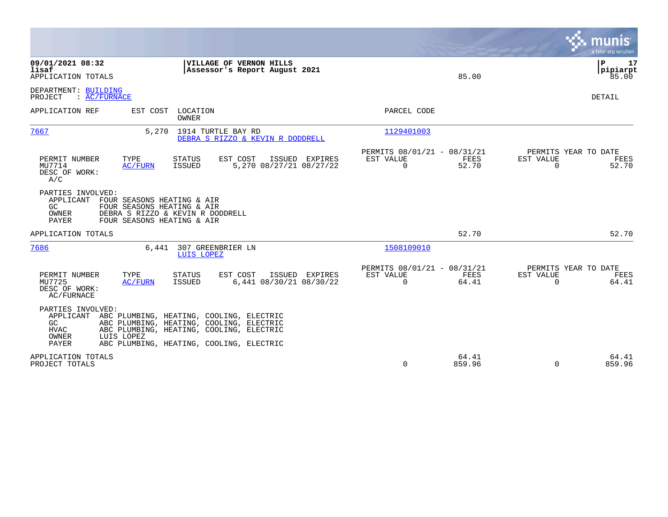|                                                                                                                                                                                                         |                                                                                 | munis<br>a tyler erp solution                                            |
|---------------------------------------------------------------------------------------------------------------------------------------------------------------------------------------------------------|---------------------------------------------------------------------------------|--------------------------------------------------------------------------|
| 09/01/2021 08:32<br><b>VILLAGE OF VERNON HILLS</b><br>lisaf<br>Assessor's Report August 2021<br>APPLICATION TOTALS                                                                                      | 85.00                                                                           | ΙP<br>17<br> pipiarpt<br>85.00                                           |
| DEPARTMENT: BUILDING<br>PROJECT<br>: AC/FURNACE                                                                                                                                                         |                                                                                 | DETAIL                                                                   |
| APPLICATION REF<br>EST COST LOCATION<br><b>OWNER</b>                                                                                                                                                    | PARCEL CODE                                                                     |                                                                          |
| 7667<br>5,270 1914 TURTLE BAY RD<br>DEBRA S RIZZO & KEVIN R DODDRELL                                                                                                                                    | 1129401003                                                                      |                                                                          |
| PERMIT NUMBER<br>TYPE<br>EST COST<br>ISSUED EXPIRES<br>STATUS<br>ISSUED<br>5,270 08/27/21 08/27/22<br>MU7714<br>AC/FURN<br>DESC OF WORK:<br>A/C                                                         | PERMITS 08/01/21 - 08/31/21<br>FEES<br>EST VALUE<br>52.70<br>$\Omega$           | PERMITS YEAR TO DATE<br><b>EST VALUE</b><br>FEES<br>$\Omega$<br>52.70    |
| PARTIES INVOLVED:<br>APPLICANT<br>FOUR SEASONS HEATING & AIR<br>FOUR SEASONS HEATING & AIR<br>GC.<br>DEBRA S RIZZO & KEVIN R DODDRELL<br>OWNER<br>PAYER<br>FOUR SEASONS HEATING & AIR                   |                                                                                 |                                                                          |
| APPLICATION TOTALS                                                                                                                                                                                      | 52.70                                                                           | 52.70                                                                    |
| 7686<br>6,441 307 GREENBRIER LN<br>LUIS LOPEZ                                                                                                                                                           | 1508109010                                                                      |                                                                          |
| PERMIT NUMBER<br>TYPE<br><b>STATUS</b><br>EST COST<br>ISSUED EXPIRES<br>MU7725<br>6,441 08/30/21 08/30/22<br>AC/FURN<br>ISSUED<br>DESC OF WORK:<br><b>AC/FURNACE</b>                                    | PERMITS 08/01/21 - 08/31/21<br><b>EST VALUE</b><br>FEES<br>$\mathbf 0$<br>64.41 | PERMITS YEAR TO DATE<br><b>EST VALUE</b><br>FEES<br>$\mathbf 0$<br>64.41 |
| PARTIES INVOLVED:<br>ABC PLUMBING, HEATING, COOLING, ELECTRIC<br>APPLICANT<br>GC<br>ABC PLUMBING, HEATING, COOLING, ELECTRIC<br>ABC PLUMBING, HEATING, COOLING, ELECTRIC<br>HVAC<br>OWNER<br>LUIS LOPEZ |                                                                                 |                                                                          |
| PAYER<br>ABC PLUMBING, HEATING, COOLING, ELECTRIC                                                                                                                                                       |                                                                                 |                                                                          |
| APPLICATION TOTALS<br>PROJECT TOTALS                                                                                                                                                                    | 64.41<br>$\Omega$<br>859.96                                                     | 64.41<br>$\Omega$<br>859.96                                              |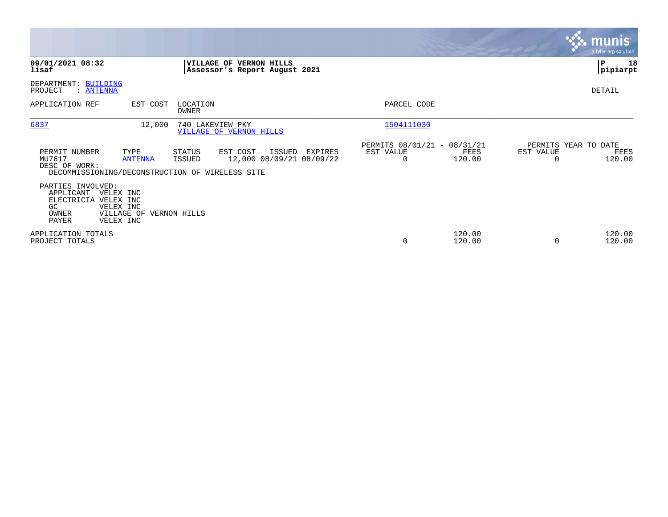|                                                                                                                                      |                                    |                                                          |         |                                                      |                  |           | <b>munis</b><br>a tyler erp solution   |
|--------------------------------------------------------------------------------------------------------------------------------------|------------------------------------|----------------------------------------------------------|---------|------------------------------------------------------|------------------|-----------|----------------------------------------|
| 09/01/2021 08:32<br>lisaf                                                                                                            |                                    | VILLAGE OF VERNON HILLS<br>Assessor's Report August 2021 |         |                                                      |                  |           | ∣P<br>18<br> pipiarpt                  |
| DEPARTMENT: BUILDING<br>PROJECT<br>: ANTENNA                                                                                         |                                    |                                                          |         |                                                      |                  |           | DETAIL                                 |
| APPLICATION REF                                                                                                                      | EST COST<br>LOCATION<br>OWNER      |                                                          |         | PARCEL CODE                                          |                  |           |                                        |
| 6837                                                                                                                                 | 740 LAKEVIEW PKY<br>12,000         | VILLAGE OF VERNON HILLS                                  |         | 1504111030                                           |                  |           |                                        |
| TYPE<br>PERMIT NUMBER<br>MU7617<br>DESC OF WORK:<br>DECOMMISSIONING/DECONSTRUCTION OF WIRELESS SITE                                  | STATUS<br><b>ANTENNA</b><br>ISSUED | EST COST<br>ISSUED<br>12,000 08/09/21 08/09/22           | EXPIRES | PERMITS 08/01/21 - 08/31/21<br>EST VALUE<br>$\Omega$ | FEES<br>120.00   | EST VALUE | PERMITS YEAR TO DATE<br>FEES<br>120.00 |
| PARTIES INVOLVED:<br>APPLICANT<br>VELEX INC<br>ELECTRICIA VELEX INC<br>VELEX INC<br>GC.<br>OWNER<br>VILLAGE OF<br>PAYER<br>VELEX INC | VERNON HILLS                       |                                                          |         |                                                      |                  |           |                                        |
| APPLICATION TOTALS<br>PROJECT TOTALS                                                                                                 |                                    |                                                          |         | $\mathbf 0$                                          | 120.00<br>120.00 |           | 120.00<br>120.00                       |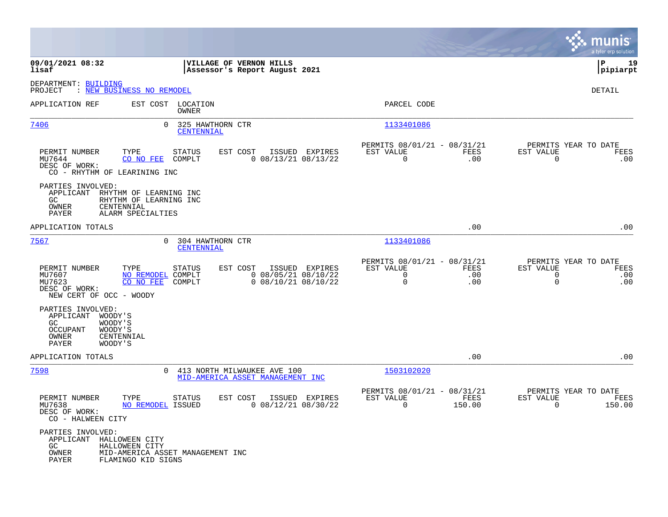|                                                                                                                              |                                                           |                                                                              |                                                                        |                    |                                                                 | munis<br>a tyler erp solution |
|------------------------------------------------------------------------------------------------------------------------------|-----------------------------------------------------------|------------------------------------------------------------------------------|------------------------------------------------------------------------|--------------------|-----------------------------------------------------------------|-------------------------------|
| 09/01/2021 08:32<br>lisaf                                                                                                    |                                                           | VILLAGE OF VERNON HILLS<br>Assessor's Report August 2021                     |                                                                        |                    |                                                                 | ΙP<br>19<br> pipiarpt         |
| DEPARTMENT: BUILDING<br>: <u>NEW BUSINESS NO REMODEL</u><br>PROJECT                                                          |                                                           |                                                                              |                                                                        |                    |                                                                 | DETAIL                        |
| APPLICATION REF                                                                                                              | EST COST LOCATION<br>OWNER                                |                                                                              | PARCEL CODE                                                            |                    |                                                                 |                               |
| 7406                                                                                                                         | 325 HAWTHORN CTR<br>0<br>CENTENNIAL                       |                                                                              | 1133401086                                                             |                    |                                                                 |                               |
| PERMIT NUMBER<br>TYPE<br>MU7644<br>DESC OF WORK:<br>CO - RHYTHM OF LEARINING INC                                             | <b>STATUS</b><br>CO NO FEE<br>COMPLT                      | EST COST<br>ISSUED EXPIRES<br>$0$ 08/13/21 08/13/22                          | PERMITS 08/01/21 - 08/31/21<br>EST VALUE<br>$\mathbf 0$                | FEES<br>.00        | PERMITS YEAR TO DATE<br>EST VALUE<br>$\mathbf 0$                | FEES<br>.00                   |
| PARTIES INVOLVED:<br>APPLICANT RHYTHM OF LEARNING INC<br>GC<br>OWNER<br>CENTENNIAL<br>PAYER                                  | RHYTHM OF LEARNING INC<br>ALARM SPECIALTIES               |                                                                              |                                                                        |                    |                                                                 |                               |
| APPLICATION TOTALS                                                                                                           |                                                           |                                                                              |                                                                        | .00                |                                                                 | .00                           |
| 7567                                                                                                                         | 304 HAWTHORN CTR<br>$\Omega$<br>CENTENNIAL                |                                                                              | 1133401086                                                             |                    |                                                                 |                               |
| PERMIT NUMBER<br>TYPE<br>MU7607<br>MU7623<br>DESC OF WORK:<br>NEW CERT OF OCC - WOODY                                        | <b>STATUS</b><br>NO REMODEL COMPLT<br>CO NO FEE<br>COMPLT | EST COST<br>ISSUED EXPIRES<br>$0$ 08/05/21 08/10/22<br>$0$ 08/10/21 08/10/22 | PERMITS 08/01/21 - 08/31/21<br>EST VALUE<br>$\mathbf 0$<br>$\mathbf 0$ | FEES<br>.00<br>.00 | PERMITS YEAR TO DATE<br>EST VALUE<br>$\mathbf 0$<br>$\mathbf 0$ | FEES<br>.00<br>.00            |
| PARTIES INVOLVED:<br>APPLICANT<br>WOODY'S<br>GC<br>WOODY'S<br>OCCUPANT<br>WOODY'S<br>CENTENNIAL<br>OWNER<br>PAYER<br>WOODY'S |                                                           |                                                                              |                                                                        |                    |                                                                 |                               |
| APPLICATION TOTALS                                                                                                           |                                                           |                                                                              |                                                                        | .00                |                                                                 | .00                           |
| 7598                                                                                                                         | $\Omega$                                                  | 413 NORTH MILWAUKEE AVE 100<br>MID-AMERICA ASSET MANAGEMENT INC              | 1503102020                                                             |                    |                                                                 |                               |
| PERMIT NUMBER<br>TYPE<br>MU7638<br>DESC OF WORK:<br>CO - HALWEEN CITY                                                        | <b>STATUS</b><br>NO REMODEL ISSUED                        | EST COST<br>ISSUED EXPIRES<br>$0$ 08/12/21 08/30/22                          | PERMITS 08/01/21 - 08/31/21<br>EST VALUE<br>$\mathbf 0$                | FEES<br>150.00     | PERMITS YEAR TO DATE<br>EST VALUE<br>$\mathbf 0$                | FEES<br>150.00                |
| PARTIES INVOLVED:<br>APPLICANT HALLOWEEN CITY<br>GC<br>HALLOWEEN CITY<br>OWNER<br>PAYER                                      | MID-AMERICA ASSET MANAGEMENT INC<br>FLAMINGO KID SIGNS    |                                                                              |                                                                        |                    |                                                                 |                               |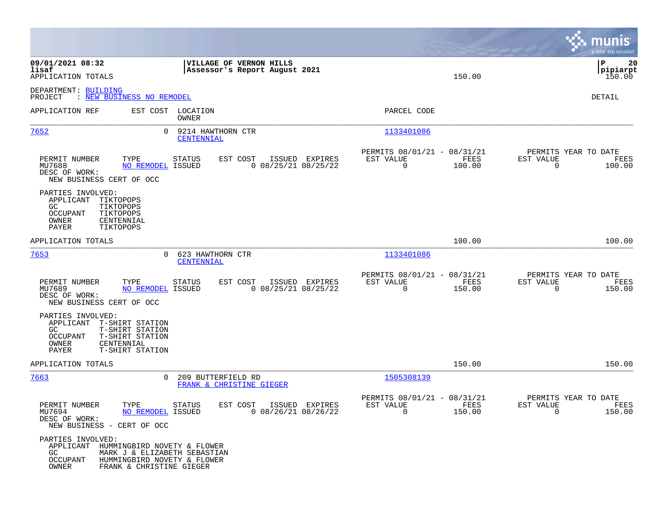|                                                                                                                                                                                  |                                                                      |                                                                              | munis<br>a tyler erp solution                                         |
|----------------------------------------------------------------------------------------------------------------------------------------------------------------------------------|----------------------------------------------------------------------|------------------------------------------------------------------------------|-----------------------------------------------------------------------|
| 09/01/2021 08:32<br>lisaf<br>APPLICATION TOTALS                                                                                                                                  | VILLAGE OF VERNON HILLS<br>Assessor's Report August 2021             | 150.00                                                                       | ΙP<br>20<br> pipiarpt<br>150.00                                       |
| DEPARTMENT: BUILDING<br>PROJECT<br>: NEW BUSINESS NO REMODEL                                                                                                                     |                                                                      |                                                                              | DETAIL                                                                |
| APPLICATION REF                                                                                                                                                                  | EST COST LOCATION<br>OWNER                                           | PARCEL CODE                                                                  |                                                                       |
| 7652                                                                                                                                                                             | 9214 HAWTHORN CTR<br>$\Omega$<br>CENTENNIAL                          | 1133401086                                                                   |                                                                       |
| PERMIT NUMBER<br>TYPE<br>MU7688<br>NO REMODEL ISSUED<br>DESC OF WORK:<br>NEW BUSINESS CERT OF OCC                                                                                | EST COST<br>STATUS<br>ISSUED EXPIRES<br>$0$ 08/25/21 08/25/22        | PERMITS 08/01/21 - 08/31/21<br>FEES<br>EST VALUE<br>0<br>100.00              | PERMITS YEAR TO DATE<br>EST VALUE<br>FEES<br>0<br>100.00              |
| PARTIES INVOLVED:<br>APPLICANT TIKTOPOPS<br>GC.<br>TIKTOPOPS<br>OCCUPANT<br>TIKTOPOPS<br>OWNER<br>CENTENNIAL<br>PAYER<br>TIKTOPOPS                                               |                                                                      |                                                                              |                                                                       |
| APPLICATION TOTALS                                                                                                                                                               |                                                                      | 100.00                                                                       | 100.00                                                                |
| 7653                                                                                                                                                                             | 623 HAWTHORN CTR<br>$\Omega$<br><b>CENTENNIAL</b>                    | 1133401086                                                                   |                                                                       |
| PERMIT NUMBER<br>TYPE<br>MU7689<br>NO REMODEL ISSUED<br>DESC OF WORK:<br>NEW BUSINESS CERT OF OCC                                                                                | EST COST<br>STATUS<br>ISSUED EXPIRES<br>$0$ 08/25/21 08/25/22        | PERMITS 08/01/21 - 08/31/21<br>FEES<br>EST VALUE<br>0<br>150.00              | PERMITS YEAR TO DATE<br>EST VALUE<br>FEES<br>$\overline{0}$<br>150.00 |
| PARTIES INVOLVED:<br>APPLICANT T-SHIRT STATION<br>T-SHIRT STATION<br>GC.<br>OCCUPANT<br>T-SHIRT STATION<br>OWNER<br>CENTENNIAL<br>PAYER<br>T-SHIRT STATION                       |                                                                      |                                                                              |                                                                       |
| APPLICATION TOTALS                                                                                                                                                               |                                                                      | 150.00                                                                       | 150.00                                                                |
| 7663                                                                                                                                                                             | 209 BUTTERFIELD RD<br>$\Omega$<br>FRANK & CHRISTINE GIEGER           | 1505308139                                                                   |                                                                       |
| PERMIT NUMBER<br>TYPE<br>MU7694<br>NO REMODEL ISSUED<br>DESC OF WORK:<br>NEW BUSINESS - CERT OF OCC                                                                              | EST COST<br>ISSUED EXPIRES<br><b>STATUS</b><br>$0$ 08/26/21 08/26/22 | PERMITS 08/01/21 - 08/31/21<br>EST VALUE<br>FEES<br>150.00<br>$\overline{a}$ | PERMITS YEAR TO DATE<br>EST VALUE<br>FEES<br>150.00<br>$\overline{0}$ |
| PARTIES INVOLVED:<br>APPLICANT HUMMINGBIRD NOVETY & FLOWER<br>GC<br>MARK J & ELIZABETH SEBASTIAN<br>OCCUPANT<br>HUMMINGBIRD NOVETY & FLOWER<br>OWNER<br>FRANK & CHRISTINE GIEGER |                                                                      |                                                                              |                                                                       |

and the contract of the contract of the contract of the contract of the contract of the contract of the contract of

the contract of the contract of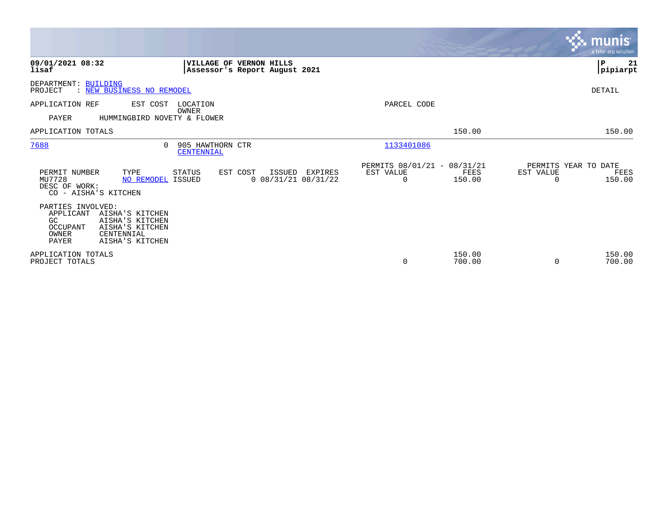|                                                                                                                                                              |                                                                            |                                                                 |                  | <b>munis</b><br>a tyler erp solution                            |
|--------------------------------------------------------------------------------------------------------------------------------------------------------------|----------------------------------------------------------------------------|-----------------------------------------------------------------|------------------|-----------------------------------------------------------------|
| 09/01/2021 08:32<br>lisaf                                                                                                                                    | VILLAGE OF VERNON HILLS<br>Assessor's Report August 2021                   |                                                                 |                  | ${\bf P}$<br>21<br> pipiarpt                                    |
| DEPARTMENT: BUILDING<br>PROJECT<br>: NEW BUSINESS NO REMODEL                                                                                                 |                                                                            |                                                                 |                  | DETAIL                                                          |
| APPLICATION REF<br>EST COST<br>PAYER                                                                                                                         | LOCATION<br><b>OWNER</b><br>HUMMINGBIRD NOVETY & FLOWER                    | PARCEL CODE                                                     |                  |                                                                 |
| APPLICATION TOTALS                                                                                                                                           |                                                                            |                                                                 | 150.00           | 150.00                                                          |
| 7688                                                                                                                                                         | 905 HAWTHORN CTR<br>$\Omega$<br><b>CENTENNIAL</b>                          | 1133401086                                                      |                  |                                                                 |
| PERMIT NUMBER<br>TYPE<br>MU7728<br>DESC OF WORK:<br>CO - AISHA'S KITCHEN                                                                                     | EST COST<br>ISSUED<br>STATUS<br>NO REMODEL ISSUED<br>$0$ 08/31/21 08/31/22 | PERMITS 08/01/21 - 08/31/21<br>EST VALUE<br>EXPIRES<br>$\Omega$ | FEES<br>150.00   | PERMITS YEAR TO DATE<br>EST VALUE<br>FEES<br>150.00<br>$\Omega$ |
| PARTIES INVOLVED:<br>APPLICANT<br>AISHA'S KITCHEN<br>GC<br>AISHA'S KITCHEN<br>AISHA'S KITCHEN<br>OCCUPANT<br>OWNER<br>CENTENNIAL<br>PAYER<br>AISHA'S KITCHEN |                                                                            |                                                                 |                  |                                                                 |
| APPLICATION TOTALS<br>PROJECT TOTALS                                                                                                                         |                                                                            | 0                                                               | 150.00<br>700.00 | 150.00<br>700.00<br>$\Omega$                                    |

 $\sim$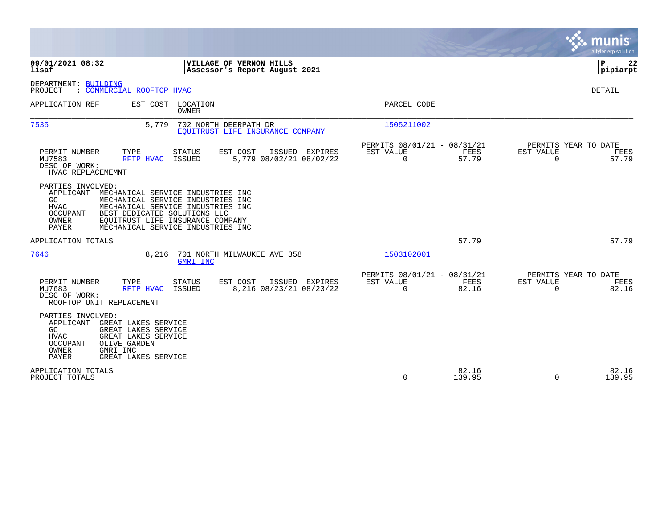|                                                                                                                                                                                                                                                                                                                   |                                                                          | munis<br>a tyler erp solution                                     |
|-------------------------------------------------------------------------------------------------------------------------------------------------------------------------------------------------------------------------------------------------------------------------------------------------------------------|--------------------------------------------------------------------------|-------------------------------------------------------------------|
| 09/01/2021 08:32<br>VILLAGE OF VERNON HILLS<br>lisaf<br>Assessor's Report August 2021                                                                                                                                                                                                                             |                                                                          | ΙP<br>22<br> pipiarpt                                             |
| DEPARTMENT: BUILDING<br>: COMMERCIAL ROOFTOP HVAC<br>PROJECT                                                                                                                                                                                                                                                      |                                                                          | <b>DETAIL</b>                                                     |
| EST COST LOCATION<br>APPLICATION REF<br>OWNER                                                                                                                                                                                                                                                                     | PARCEL CODE                                                              |                                                                   |
| 5,779<br>7535<br>702 NORTH DEERPATH DR<br>EOUITRUST LIFE INSURANCE COMPANY                                                                                                                                                                                                                                        | 1505211002                                                               |                                                                   |
| TYPE<br>EST COST<br>ISSUED EXPIRES<br>PERMIT NUMBER<br><b>STATUS</b><br>MU7583<br>5,779 08/02/21 08/02/22<br>RFTP HVAC<br>ISSUED<br>DESC OF WORK:<br>HVAC REPLACEMEMNT                                                                                                                                            | PERMITS 08/01/21 - 08/31/21<br>EST VALUE<br>FEES<br>$\mathbf 0$<br>57.79 | PERMITS YEAR TO DATE<br>EST VALUE<br>FEES<br>57.79<br>$\Omega$    |
| PARTIES INVOLVED:<br>APPLICANT<br>MECHANICAL SERVICE INDUSTRIES INC<br>GC.<br>MECHANICAL SERVICE INDUSTRIES INC<br><b>HVAC</b><br>MECHANICAL SERVICE INDUSTRIES INC<br>BEST DEDICATED SOLUTIONS LLC<br>OCCUPANT<br>OWNER<br>EQUITRUST LIFE INSURANCE COMPANY<br><b>PAYER</b><br>MECHANICAL SERVICE INDUSTRIES INC |                                                                          |                                                                   |
| APPLICATION TOTALS                                                                                                                                                                                                                                                                                                | 57.79                                                                    | 57.79                                                             |
| 7646<br>8,216<br>701 NORTH MILWAUKEE AVE 358<br>GMRI INC                                                                                                                                                                                                                                                          | 1503102001                                                               |                                                                   |
| PERMIT NUMBER<br>TYPE<br><b>STATUS</b><br>EST COST<br>ISSUED EXPIRES<br>MU7683<br>8,216 08/23/21 08/23/22<br>RFTP HVAC<br>ISSUED<br>DESC OF WORK:<br>ROOFTOP UNIT REPLACEMENT                                                                                                                                     | PERMITS 08/01/21 - 08/31/21<br>EST VALUE<br>FEES<br>$\Omega$<br>82.16    | PERMITS YEAR TO DATE<br>EST VALUE<br>FEES<br>$\mathbf 0$<br>82.16 |
| PARTIES INVOLVED:<br>APPLICANT<br>GREAT LAKES SERVICE<br>GREAT LAKES SERVICE<br>GC<br>GREAT LAKES SERVICE<br>HVAC<br>OLIVE GARDEN<br>OCCUPANT<br>OWNER<br>GMRI INC<br>PAYER<br>GREAT LAKES SERVICE                                                                                                                |                                                                          |                                                                   |
| APPLICATION TOTALS<br>PROJECT TOTALS                                                                                                                                                                                                                                                                              | 82.16<br>$\Omega$<br>139.95                                              | 82.16<br>139.95<br>$\Omega$                                       |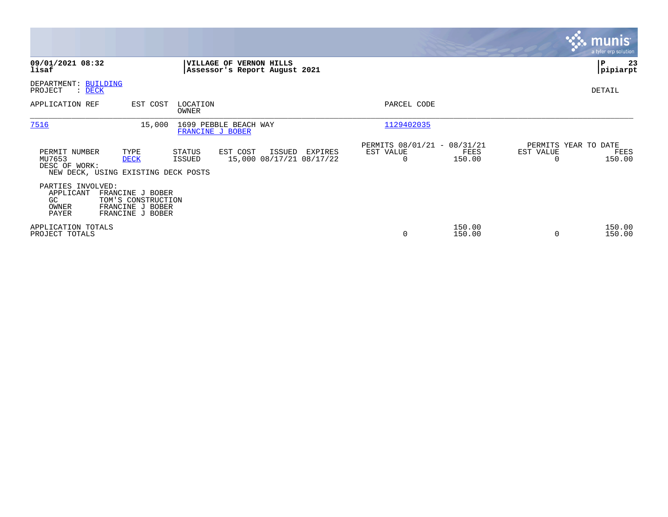|                                                                                 |                                                                                |                                           |                                                          |         |                                               |                  |                | munis <sup>®</sup><br>a tyler erp solution |
|---------------------------------------------------------------------------------|--------------------------------------------------------------------------------|-------------------------------------------|----------------------------------------------------------|---------|-----------------------------------------------|------------------|----------------|--------------------------------------------|
| 09/01/2021 08:32<br>lisaf                                                       |                                                                                |                                           | VILLAGE OF VERNON HILLS<br>Assessor's Report August 2021 |         |                                               |                  |                | P<br>23<br> pipiarpt                       |
| DEPARTMENT: BUILDING<br>PROJECT<br>$\therefore$ DECK                            |                                                                                |                                           |                                                          |         |                                               |                  |                | DETAIL                                     |
| APPLICATION REF                                                                 | EST COST                                                                       | LOCATION<br>OWNER                         |                                                          |         | PARCEL CODE                                   |                  |                |                                            |
| 7516                                                                            | 15,000                                                                         | 1699 PEBBLE BEACH WAY<br>FRANCINE J BOBER |                                                          |         | 1129402035                                    |                  |                |                                            |
| PERMIT NUMBER<br>MU7653<br>DESC OF WORK:<br>NEW DECK, USING EXISTING DECK POSTS | TYPE<br><b>DECK</b>                                                            | STATUS<br>ISSUED                          | EST COST<br>ISSUED<br>15,000 08/17/21 08/17/22           | EXPIRES | PERMITS 08/01/21 - 08/31/21<br>EST VALUE<br>0 | FEES<br>150.00   | EST VALUE<br>0 | PERMITS YEAR TO DATE<br>FEES<br>150.00     |
| PARTIES INVOLVED:<br>APPLICANT<br>GC<br>OWNER<br>PAYER                          | FRANCINE J BOBER<br>TOM'S CONSTRUCTION<br>FRANCINE J BOBER<br>FRANCINE J BOBER |                                           |                                                          |         |                                               |                  |                |                                            |
| APPLICATION TOTALS<br>PROJECT TOTALS                                            |                                                                                |                                           |                                                          |         | 0                                             | 150.00<br>150.00 | 0              | 150.00<br>150.00                           |

**Contract**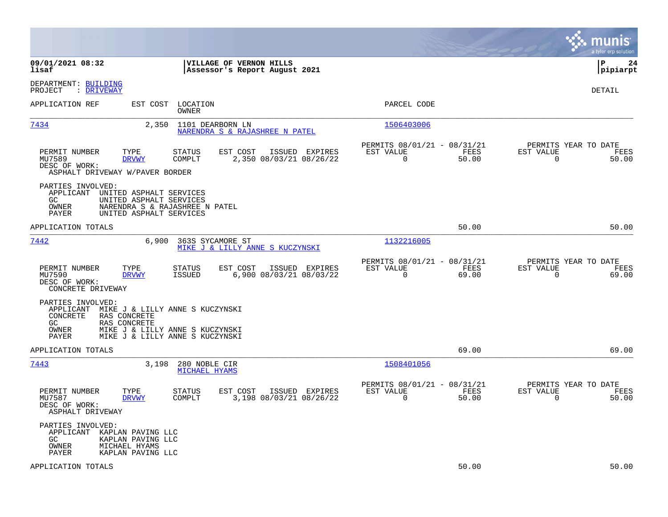|                                                                                                                                                                                                             |                                                                          | munis<br>a tyler erp solution                                     |
|-------------------------------------------------------------------------------------------------------------------------------------------------------------------------------------------------------------|--------------------------------------------------------------------------|-------------------------------------------------------------------|
| 09/01/2021 08:32<br>VILLAGE OF VERNON HILLS<br>lisaf<br>Assessor's Report August 2021                                                                                                                       |                                                                          | ΙP<br>24<br> pipiarpt                                             |
| DEPARTMENT: BUILDING<br>PROJECT<br>: DRIVEWAY                                                                                                                                                               |                                                                          | DETAIL                                                            |
| APPLICATION REF<br>EST COST<br>LOCATION<br>OWNER                                                                                                                                                            | PARCEL CODE                                                              |                                                                   |
| 7434<br>2,350<br>1101 DEARBORN LN<br>NARENDRA S & RAJASHREE N PATEL                                                                                                                                         | 1506403006                                                               |                                                                   |
| PERMIT NUMBER<br>TYPE<br><b>STATUS</b><br>EST COST<br>ISSUED EXPIRES<br>MU7589<br>COMPLT<br>2,350 08/03/21 08/26/22<br><b>DRVWY</b><br>DESC OF WORK:<br>ASPHALT DRIVEWAY W/PAVER BORDER                     | PERMITS 08/01/21 - 08/31/21<br>EST VALUE<br>FEES<br>$\Omega$<br>50.00    | PERMITS YEAR TO DATE<br>EST VALUE<br>FEES<br>$\Omega$<br>50.00    |
| PARTIES INVOLVED:<br>APPLICANT<br>UNITED ASPHALT SERVICES<br>GC.<br>UNITED ASPHALT SERVICES<br>OWNER<br>NARENDRA S & RAJASHREE N PATEL<br>PAYER<br>UNITED ASPHALT SERVICES                                  |                                                                          |                                                                   |
| APPLICATION TOTALS                                                                                                                                                                                          | 50.00                                                                    | 50.00                                                             |
| 7442<br>6,900<br>363S SYCAMORE ST<br>MIKE J & LILLY ANNE S KUCZYNSKI                                                                                                                                        | 1132216005                                                               |                                                                   |
| PERMIT NUMBER<br>TYPE<br>EST COST<br>ISSUED EXPIRES<br>STATUS<br>MU7590<br><b>ISSUED</b><br>6,900 08/03/21 08/03/22<br><b>DRVWY</b><br>DESC OF WORK:<br>CONCRETE DRIVEWAY                                   | PERMITS 08/01/21 - 08/31/21<br>FEES<br>EST VALUE<br>$\mathbf 0$<br>69.00 | PERMITS YEAR TO DATE<br>EST VALUE<br>FEES<br>$\mathbf 0$<br>69.00 |
| PARTIES INVOLVED:<br>APPLICANT<br>MIKE J & LILLY ANNE S KUCZYNSKI<br>RAS CONCRETE<br>CONCRETE<br>GC<br>RAS CONCRETE<br>OWNER<br>MIKE J & LILLY ANNE S KUCZYNSKI<br>MIKE J & LILLY ANNE S KUCZYNSKI<br>PAYER |                                                                          |                                                                   |
| APPLICATION TOTALS                                                                                                                                                                                          | 69.00                                                                    | 69.00                                                             |
| 7443<br>280 NOBLE CIR<br>3,198<br>MICHAEL HYAMS                                                                                                                                                             | 1508401056                                                               |                                                                   |
| PERMIT NUMBER<br>STATUS<br>EST COST<br>ISSUED EXPIRES<br>TYPE<br>3,198 08/03/21 08/26/22<br>MU7587<br><b>DRVWY</b><br>COMPLT<br>DESC OF WORK:<br>ASPHALT DRIVEWAY                                           | PERMITS 08/01/21 - 08/31/21<br>EST VALUE<br>FEES<br>$\Omega$<br>50.00    | PERMITS YEAR TO DATE<br>EST VALUE<br>FEES<br>$\mathbf 0$<br>50.00 |
| PARTIES INVOLVED:<br>APPLICANT KAPLAN PAVING LLC<br>GC<br>KAPLAN PAVING LLC<br>OWNER<br>MICHAEL HYAMS<br>PAYER<br>KAPLAN PAVING LLC                                                                         |                                                                          |                                                                   |
| APPLICATION TOTALS                                                                                                                                                                                          | 50.00                                                                    | 50.00                                                             |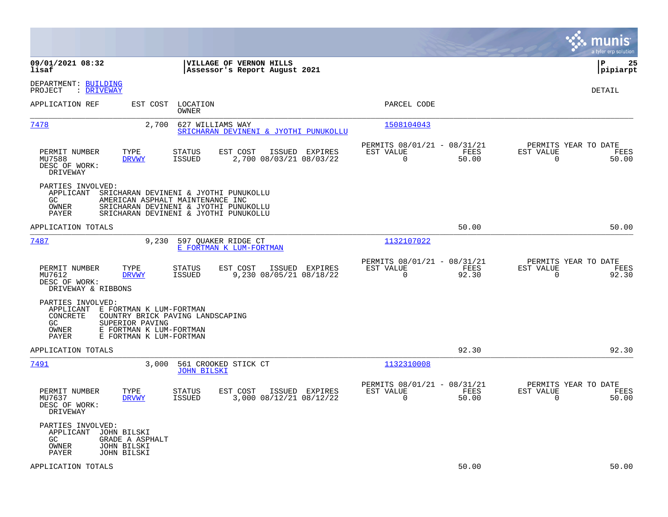|                                                                                                                                                                         |                                                                                                                                                             |                                                                          | munis<br>a tyler erp solution                                  |
|-------------------------------------------------------------------------------------------------------------------------------------------------------------------------|-------------------------------------------------------------------------------------------------------------------------------------------------------------|--------------------------------------------------------------------------|----------------------------------------------------------------|
| 09/01/2021 08:32<br>lisaf                                                                                                                                               | VILLAGE OF VERNON HILLS<br>Assessor's Report August 2021                                                                                                    |                                                                          | l P<br>25<br> pipiarpt                                         |
| DEPARTMENT: BUILDING<br>: DRIVEWAY<br>PROJECT                                                                                                                           |                                                                                                                                                             |                                                                          | DETAIL                                                         |
| APPLICATION REF<br>EST COST                                                                                                                                             | LOCATION<br>OWNER                                                                                                                                           | PARCEL CODE                                                              |                                                                |
| 7478<br>2,700                                                                                                                                                           | 627 WILLIAMS WAY<br>SRICHARAN DEVINENI & JYOTHI PUNUKOLLU                                                                                                   | 1508104043                                                               |                                                                |
| PERMIT NUMBER<br>TYPE<br>MU7588<br><b>DRVWY</b><br>DESC OF WORK:<br>DRIVEWAY                                                                                            | EST COST<br>ISSUED EXPIRES<br>STATUS<br>2,700 08/03/21 08/03/22<br>ISSUED                                                                                   | PERMITS 08/01/21 - 08/31/21<br>EST VALUE<br>FEES<br>$\mathbf 0$<br>50.00 | PERMITS YEAR TO DATE<br>EST VALUE<br>FEES<br>$\Omega$<br>50.00 |
| PARTIES INVOLVED:<br>APPLICANT<br>GC.<br>OWNER<br>PAYER                                                                                                                 | SRICHARAN DEVINENI & JYOTHI PUNUKOLLU<br>AMERICAN ASPHALT MAINTENANCE INC<br>SRICHARAN DEVINENI & JYOTHI PUNUKOLLU<br>SRICHARAN DEVINENI & JYOTHI PUNUKOLLU |                                                                          |                                                                |
| APPLICATION TOTALS                                                                                                                                                      |                                                                                                                                                             | 50.00                                                                    | 50.00                                                          |
| 7487<br>9,230                                                                                                                                                           | 597 QUAKER RIDGE CT<br>E FORTMAN K LUM-FORTMAN                                                                                                              | 1132107022                                                               |                                                                |
| PERMIT NUMBER<br>TYPE<br>MU7612<br><b>DRVWY</b><br>DESC OF WORK:<br>DRIVEWAY & RIBBONS                                                                                  | STATUS<br>EST COST<br>ISSUED EXPIRES<br>9,230 08/05/21 08/18/22<br>ISSUED                                                                                   | PERMITS 08/01/21 - 08/31/21<br>EST VALUE<br>FEES<br>$\Omega$<br>92.30    | PERMITS YEAR TO DATE<br>EST VALUE<br>FEES<br>$\Omega$<br>92.30 |
| PARTIES INVOLVED:<br>APPLICANT<br>E FORTMAN K LUM-FORTMAN<br>CONCRETE<br>SUPERIOR PAVING<br>GC.<br>OWNER<br>E FORTMAN K LUM-FORTMAN<br>E FORTMAN K LUM-FORTMAN<br>PAYER | COUNTRY BRICK PAVING LANDSCAPING                                                                                                                            |                                                                          |                                                                |
| APPLICATION TOTALS                                                                                                                                                      |                                                                                                                                                             | 92.30                                                                    | 92.30                                                          |
| <u>7491</u><br>3,000                                                                                                                                                    | 561 CROOKED STICK CT<br><b>JOHN BILSKI</b>                                                                                                                  | 1132310008                                                               |                                                                |
| PERMIT NUMBER<br>TYPE<br>MU7637<br><b>DRVWY</b><br>DESC OF WORK:<br>DRIVEWAY                                                                                            | <b>STATUS</b><br>EST COST<br>ISSUED EXPIRES<br><b>ISSUED</b><br>3,000 08/12/21 08/12/22                                                                     | PERMITS 08/01/21 - 08/31/21<br>EST VALUE<br>FEES<br>0<br>50.00           | PERMITS YEAR TO DATE<br>EST VALUE<br>FEES<br>0<br>50.00        |
| PARTIES INVOLVED:<br>APPLICANT<br>JOHN BILSKI<br>GC.<br>GRADE A ASPHALT<br>JOHN BILSKI<br>OWNER<br><b>PAYER</b><br>JOHN BILSKI                                          |                                                                                                                                                             |                                                                          |                                                                |
| APPLICATION TOTALS                                                                                                                                                      |                                                                                                                                                             | 50.00                                                                    | 50.00                                                          |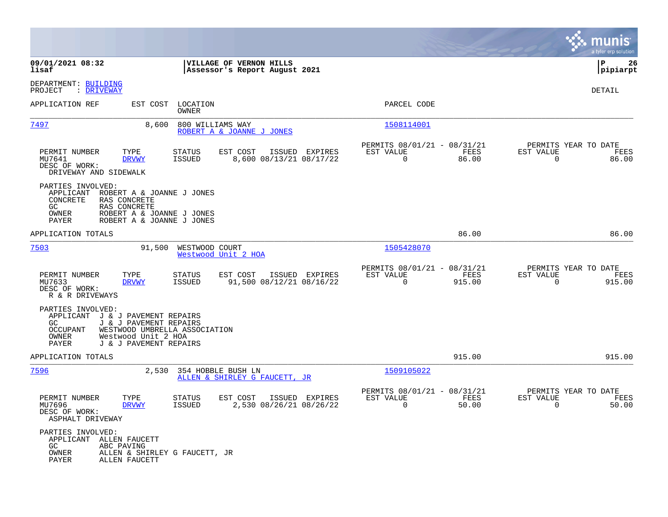|                                                                                                                                                                                                        |                                                                                          |                                                                          | munis<br>a tyler erp solution                                     |
|--------------------------------------------------------------------------------------------------------------------------------------------------------------------------------------------------------|------------------------------------------------------------------------------------------|--------------------------------------------------------------------------|-------------------------------------------------------------------|
| 09/01/2021 08:32<br>lisaf                                                                                                                                                                              | VILLAGE OF VERNON HILLS<br>Assessor's Report August 2021                                 |                                                                          | l P<br>26<br> pipiarpt                                            |
| DEPARTMENT: BUILDING<br>: DRIVEWAY<br>PROJECT                                                                                                                                                          |                                                                                          |                                                                          | DETAIL                                                            |
| APPLICATION REF                                                                                                                                                                                        | EST COST LOCATION<br><b>OWNER</b>                                                        | PARCEL CODE                                                              |                                                                   |
| 7497<br>8,600                                                                                                                                                                                          | 800 WILLIAMS WAY<br>ROBERT A & JOANNE J JONES                                            | 1508114001                                                               |                                                                   |
| TYPE<br>PERMIT NUMBER<br>MU7641<br><b>DRVWY</b><br>DESC OF WORK:<br>DRIVEWAY AND SIDEWALK                                                                                                              | EST COST<br>ISSUED EXPIRES<br>STATUS<br>8,600 08/13/21 08/17/22<br><b>ISSUED</b>         | PERMITS 08/01/21 - 08/31/21<br>EST VALUE<br>FEES<br>$\mathbf 0$<br>86.00 | PERMITS YEAR TO DATE<br>EST VALUE<br>FEES<br>$\mathbf 0$<br>86.00 |
| PARTIES INVOLVED:<br>APPLICANT ROBERT A & JOANNE J JONES<br>CONCRETE<br>RAS CONCRETE<br>RAS CONCRETE<br>GC.<br>ROBERT A & JOANNE J JONES<br>OWNER<br>ROBERT A & JOANNE J JONES<br>PAYER                |                                                                                          |                                                                          |                                                                   |
| APPLICATION TOTALS                                                                                                                                                                                     |                                                                                          | 86.00                                                                    | 86.00                                                             |
| 7503<br>91,500                                                                                                                                                                                         | WESTWOOD COURT<br>Westwood Unit 2 HOA                                                    | 1505428070                                                               |                                                                   |
| PERMIT NUMBER<br>TYPE<br>MU7633<br><b>DRVWY</b><br>DESC OF WORK:<br>R & R DRIVEWAYS                                                                                                                    | <b>STATUS</b><br>EST COST<br>ISSUED EXPIRES<br><b>ISSUED</b><br>91,500 08/12/21 08/16/22 | PERMITS 08/01/21 - 08/31/21<br>EST VALUE<br>FEES<br>$\Omega$<br>915.00   | PERMITS YEAR TO DATE<br>EST VALUE<br>FEES<br>$\Omega$<br>915.00   |
| PARTIES INVOLVED:<br>APPLICANT J & J PAVEMENT REPAIRS<br>GC.<br>J & J PAVEMENT REPAIRS<br>WESTWOOD UMBRELLA ASSOCIATION<br>OCCUPANT<br>OWNER<br>Westwood Unit 2 HOA<br>PAYER<br>J & J PAVEMENT REPAIRS |                                                                                          |                                                                          |                                                                   |
| APPLICATION TOTALS                                                                                                                                                                                     |                                                                                          | 915.00                                                                   | 915.00                                                            |
| 7596<br>2,530                                                                                                                                                                                          | 354 HOBBLE BUSH LN<br>ALLEN & SHIRLEY G FAUCETT, JR                                      | 1509105022                                                               |                                                                   |
| PERMIT NUMBER<br>TYPE<br>MU7696<br><b>DRVWY</b><br>DESC OF WORK:<br>ASPHALT DRIVEWAY                                                                                                                   | <b>STATUS</b><br>EST COST<br>ISSUED EXPIRES<br>2,530 08/26/21 08/26/22<br>ISSUED         | PERMITS 08/01/21 - 08/31/21<br>EST VALUE<br>FEES<br>0<br>50.00           | PERMITS YEAR TO DATE<br>EST VALUE<br>FEES<br>$\mathbf 0$<br>50.00 |
| PARTIES INVOLVED:<br>APPLICANT ALLEN FAUCETT<br>GC<br>ABC PAVING<br>OWNER<br>ALLEN & SHIRLEY G FAUCETT, JR<br>PAYER<br>ALLEN FAUCETT                                                                   |                                                                                          |                                                                          |                                                                   |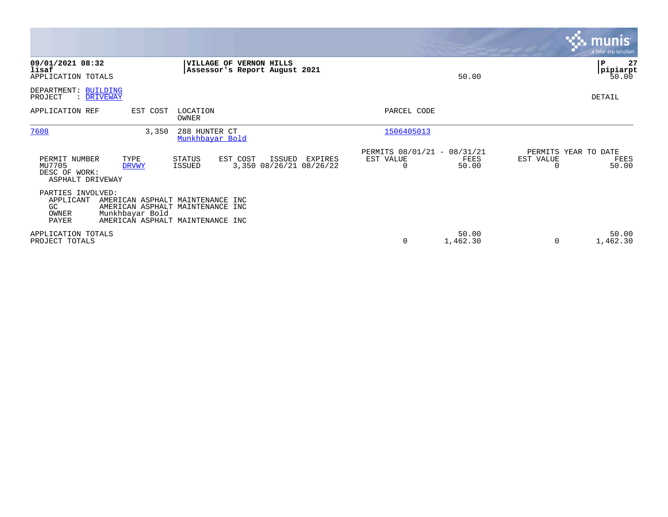|                                                              |                                                                                                                             |                                  |                                                          |         |                                               |                   |           | <b>munis</b><br>a tyler erp solution  |
|--------------------------------------------------------------|-----------------------------------------------------------------------------------------------------------------------------|----------------------------------|----------------------------------------------------------|---------|-----------------------------------------------|-------------------|-----------|---------------------------------------|
| 09/01/2021 08:32<br>lisaf<br>APPLICATION TOTALS              |                                                                                                                             |                                  | VILLAGE OF VERNON HILLS<br>Assessor's Report August 2021 |         |                                               | 50.00             |           | 27<br>P<br>pipiarpt<br>50.00          |
| DEPARTMENT: BUILDING<br>PROJECT                              | : DRIVEWAY                                                                                                                  |                                  |                                                          |         |                                               |                   |           | DETAIL                                |
| APPLICATION REF                                              | EST COST                                                                                                                    | LOCATION<br>OWNER                |                                                          |         | PARCEL CODE                                   |                   |           |                                       |
| 7608                                                         | 3,350                                                                                                                       | 288 HUNTER CT<br>Munkhbayar Bold |                                                          |         | 1506405013                                    |                   |           |                                       |
| PERMIT NUMBER<br>MU7705<br>DESC OF WORK:<br>ASPHALT DRIVEWAY | TYPE<br><b>DRVWY</b>                                                                                                        | STATUS<br>ISSUED                 | EST COST<br>ISSUED<br>3,350 08/26/21 08/26/22            | EXPIRES | PERMITS 08/01/21 - 08/31/21<br>EST VALUE<br>O | FEES<br>50.00     | EST VALUE | PERMITS YEAR TO DATE<br>FEES<br>50.00 |
| PARTIES INVOLVED:<br>APPLICANT<br>GC<br>OWNER<br>PAYER       | AMERICAN ASPHALT MAINTENANCE INC<br>AMERICAN ASPHALT MAINTENANCE INC<br>Munkhbayar Bold<br>AMERICAN ASPHALT MAINTENANCE INC |                                  |                                                          |         |                                               |                   |           |                                       |
| APPLICATION TOTALS<br>PROJECT TOTALS                         |                                                                                                                             |                                  |                                                          |         | 0                                             | 50.00<br>1,462.30 | 0         | 50.00<br>1,462.30                     |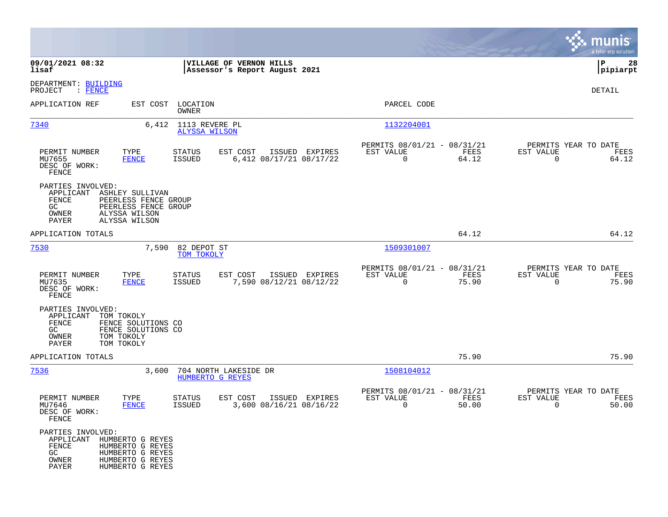|                                                                                  |                                                                                    |                                        |                                                          |                                           |                                                         |                      |                                                  | munis<br>a tyler erp solution |
|----------------------------------------------------------------------------------|------------------------------------------------------------------------------------|----------------------------------------|----------------------------------------------------------|-------------------------------------------|---------------------------------------------------------|----------------------|--------------------------------------------------|-------------------------------|
| 09/01/2021 08:32<br>lisaf                                                        |                                                                                    |                                        | VILLAGE OF VERNON HILLS<br>Assessor's Report August 2021 |                                           |                                                         |                      |                                                  | P<br>28<br> pipiarpt          |
| DEPARTMENT: BUILDING<br>PROJECT<br>: FENCE                                       |                                                                                    |                                        |                                                          |                                           |                                                         |                      |                                                  | DETAIL                        |
| APPLICATION REF                                                                  |                                                                                    | EST COST LOCATION<br>OWNER             |                                                          |                                           | PARCEL CODE                                             |                      |                                                  |                               |
| 7340                                                                             | 6,412                                                                              | 1113 REVERE PL<br><b>ALYSSA WILSON</b> |                                                          |                                           | 1132204001                                              |                      |                                                  |                               |
| PERMIT NUMBER<br>MU7655<br>DESC OF WORK:<br>FENCE                                | TYPE<br><b>FENCE</b>                                                               | STATUS<br><b>ISSUED</b>                | EST COST                                                 | ISSUED EXPIRES<br>6,412 08/17/21 08/17/22 | PERMITS 08/01/21 - 08/31/21<br>EST VALUE<br>$\mathbf 0$ | FEES<br>64.12        | PERMITS YEAR TO DATE<br>EST VALUE<br>$\Omega$    | FEES<br>64.12                 |
| PARTIES INVOLVED:<br>APPLICANT ASHLEY SULLIVAN<br>FENCE<br>GC<br>OWNER<br>PAYER  | PEERLESS FENCE GROUP<br>PEERLESS FENCE GROUP<br>ALYSSA WILSON<br>ALYSSA WILSON     |                                        |                                                          |                                           |                                                         |                      |                                                  |                               |
| APPLICATION TOTALS                                                               |                                                                                    |                                        |                                                          |                                           |                                                         | 64.12                |                                                  | 64.12                         |
| 7530                                                                             | 7,590                                                                              | 82 DEPOT ST<br>TOM TOKOLY              |                                                          |                                           | 1509301007                                              |                      |                                                  |                               |
| PERMIT NUMBER<br>MU7635<br>DESC OF WORK:<br>FENCE                                | TYPE<br><b>FENCE</b>                                                               | <b>STATUS</b><br>ISSUED                | EST COST                                                 | ISSUED EXPIRES<br>7,590 08/12/21 08/12/22 | PERMITS 08/01/21 - 08/31/21<br>EST VALUE<br>$\mathbf 0$ | <b>FEES</b><br>75.90 | PERMITS YEAR TO DATE<br>EST VALUE<br>$\mathbf 0$ | FEES<br>75.90                 |
| PARTIES INVOLVED:<br>APPLICANT<br>FENCE<br>GC<br>OWNER<br>PAYER                  | TOM TOKOLY<br>FENCE SOLUTIONS CO<br>FENCE SOLUTIONS CO<br>TOM TOKOLY<br>TOM TOKOLY |                                        |                                                          |                                           |                                                         |                      |                                                  |                               |
| APPLICATION TOTALS                                                               |                                                                                    |                                        |                                                          |                                           |                                                         | 75.90                |                                                  | 75.90                         |
| 7536                                                                             | 3,600                                                                              | HUMBERTO G REYES                       | 704 NORTH LAKESIDE DR                                    |                                           | 1508104012                                              |                      |                                                  |                               |
| PERMIT NUMBER<br>MU7646<br>DESC OF WORK:<br>FENCE                                | TYPE<br><b>FENCE</b>                                                               | STATUS<br>ISSUED                       | EST COST                                                 | ISSUED EXPIRES<br>3,600 08/16/21 08/16/22 | PERMITS 08/01/21 - 08/31/21<br>EST VALUE<br>0           | FEES<br>50.00        | PERMITS YEAR TO DATE<br>EST VALUE<br>0           | FEES<br>50.00                 |
| PARTIES INVOLVED:<br>APPLICANT HUMBERTO G REYES<br>FENCE<br>GC<br>OWNER<br>PAYER | HUMBERTO G REYES<br>HUMBERTO G REYES<br>HUMBERTO G REYES<br>HUMBERTO G REYES       |                                        |                                                          |                                           |                                                         |                      |                                                  |                               |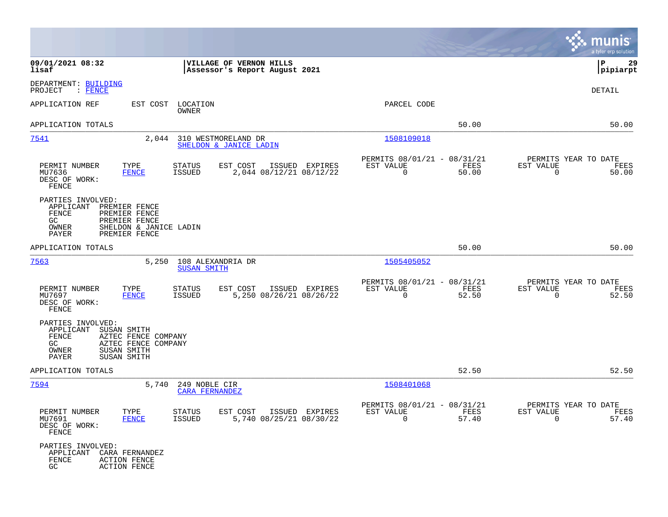|                                                                                                                                                               |                                                                                         |                                                                          | munis<br>a tyler erp solution                                     |
|---------------------------------------------------------------------------------------------------------------------------------------------------------------|-----------------------------------------------------------------------------------------|--------------------------------------------------------------------------|-------------------------------------------------------------------|
| 09/01/2021 08:32<br>lisaf                                                                                                                                     | VILLAGE OF VERNON HILLS<br>Assessor's Report August 2021                                |                                                                          | 29<br> P<br> pipiarpt                                             |
| DEPARTMENT: BUILDING<br>PROJECT<br>$\therefore$ FENCE                                                                                                         |                                                                                         |                                                                          | DETAIL                                                            |
| APPLICATION REF<br>EST COST                                                                                                                                   | LOCATION<br>OWNER                                                                       | PARCEL CODE                                                              |                                                                   |
| APPLICATION TOTALS                                                                                                                                            |                                                                                         | 50.00                                                                    | 50.00                                                             |
| 7541<br>2,044                                                                                                                                                 | 310 WESTMORELAND DR<br>SHELDON & JANICE LADIN                                           | 1508109018                                                               |                                                                   |
| PERMIT NUMBER<br>TYPE<br>MU7636<br><b>FENCE</b><br>DESC OF WORK:<br>FENCE                                                                                     | <b>STATUS</b><br>EST COST<br>ISSUED EXPIRES<br><b>ISSUED</b><br>2,044 08/12/21 08/12/22 | PERMITS 08/01/21 - 08/31/21<br>FEES<br>EST VALUE<br>$\mathbf 0$<br>50.00 | PERMITS YEAR TO DATE<br>EST VALUE<br>FEES<br>0<br>50.00           |
| PARTIES INVOLVED:<br>APPLICANT<br>PREMIER FENCE<br>FENCE<br>PREMIER FENCE<br>GC<br>PREMIER FENCE<br>OWNER<br>SHELDON & JANICE LADIN<br>PAYER<br>PREMIER FENCE |                                                                                         |                                                                          |                                                                   |
| APPLICATION TOTALS                                                                                                                                            |                                                                                         | 50.00                                                                    | 50.00                                                             |
| 7563<br>5,250                                                                                                                                                 | 108 ALEXANDRIA DR<br><b>SUSAN SMITH</b>                                                 | 1505405052                                                               |                                                                   |
| PERMIT NUMBER<br>TYPE<br>MU7697<br><b>FENCE</b><br>DESC OF WORK:<br>FENCE                                                                                     | <b>STATUS</b><br>EST COST<br>ISSUED EXPIRES<br><b>ISSUED</b><br>5,250 08/26/21 08/26/22 | PERMITS 08/01/21 - 08/31/21<br>FEES<br>EST VALUE<br>$\Omega$<br>52.50    | PERMITS YEAR TO DATE<br>EST VALUE<br>FEES<br>$\Omega$<br>52.50    |
| PARTIES INVOLVED:<br>APPLICANT<br>SUSAN SMITH<br>FENCE<br>AZTEC FENCE COMPANY<br>AZTEC FENCE COMPANY<br>GC.<br>SUSAN SMITH<br>OWNER<br>SUSAN SMITH<br>PAYER   |                                                                                         |                                                                          |                                                                   |
| APPLICATION TOTALS                                                                                                                                            |                                                                                         | 52.50                                                                    | 52.50                                                             |
| <u>7594</u><br>5,740                                                                                                                                          | 249 NOBLE CIR<br><b>CARA FERNANDEZ</b>                                                  | 1508401068                                                               |                                                                   |
| PERMIT NUMBER<br>TYPE<br>MU7691<br><b>FENCE</b><br>DESC OF WORK:<br>FENCE                                                                                     | STATUS<br>EST COST<br>ISSUED EXPIRES<br>ISSUED<br>5,740 08/25/21 08/30/22               | PERMITS 08/01/21 - 08/31/21<br>EST VALUE<br>FEES<br>$\mathbf 0$<br>57.40 | PERMITS YEAR TO DATE<br>EST VALUE<br>FEES<br>$\mathbf 0$<br>57.40 |
| PARTIES INVOLVED:<br>APPLICANT<br>CARA FERNANDEZ<br>FENCE<br><b>ACTION FENCE</b><br>GC<br><b>ACTION FENCE</b>                                                 |                                                                                         |                                                                          |                                                                   |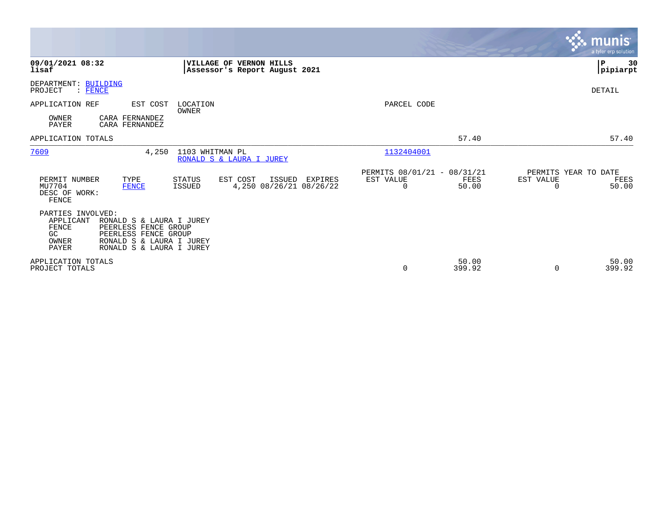|                                                                               |                                                                                                                                  |                                             |                                                                 |         |                                               |                 |                                   | <b>munis</b><br>a tyler erp solution |
|-------------------------------------------------------------------------------|----------------------------------------------------------------------------------------------------------------------------------|---------------------------------------------|-----------------------------------------------------------------|---------|-----------------------------------------------|-----------------|-----------------------------------|--------------------------------------|
| 09/01/2021 08:32<br>lisaf                                                     |                                                                                                                                  |                                             | <b>VILLAGE OF VERNON HILLS</b><br>Assessor's Report August 2021 |         |                                               |                 |                                   | 30<br>∣₽<br> pipiarpt                |
| DEPARTMENT: BUILDING<br>PROJECT<br>$:$ FENCE                                  |                                                                                                                                  |                                             |                                                                 |         |                                               |                 |                                   | DETAIL                               |
| APPLICATION REF                                                               | EST COST                                                                                                                         | LOCATION<br>OWNER                           |                                                                 |         | PARCEL CODE                                   |                 |                                   |                                      |
| OWNER<br><b>PAYER</b>                                                         | CARA FERNANDEZ<br>CARA FERNANDEZ                                                                                                 |                                             |                                                                 |         |                                               |                 |                                   |                                      |
| APPLICATION TOTALS                                                            |                                                                                                                                  |                                             |                                                                 |         |                                               | 57.40           |                                   | 57.40                                |
| 7609                                                                          | 4,250                                                                                                                            | 1103 WHITMAN PL<br>RONALD S & LAURA I JUREY |                                                                 |         | 1132404001                                    |                 |                                   |                                      |
| PERMIT NUMBER<br>MU7704<br>DESC OF WORK:<br><b>FENCE</b>                      | TYPE<br><b>FENCE</b>                                                                                                             | STATUS<br><b>ISSUED</b>                     | EST COST<br>ISSUED<br>4,250 08/26/21 08/26/22                   | EXPIRES | PERMITS 08/01/21 - 08/31/21<br>EST VALUE<br>0 | FEES<br>50.00   | PERMITS YEAR TO DATE<br>EST VALUE | FEES<br>50.00                        |
| PARTIES INVOLVED:<br>APPLICANT<br><b>FENCE</b><br>GC<br>OWNER<br><b>PAYER</b> | RONALD S & LAURA I JUREY<br>PEERLESS FENCE GROUP<br>PEERLESS FENCE GROUP<br>RONALD S & LAURA I JUREY<br>RONALD S & LAURA I JUREY |                                             |                                                                 |         |                                               |                 |                                   |                                      |
| APPLICATION TOTALS<br>PROJECT TOTALS                                          |                                                                                                                                  |                                             |                                                                 |         | 0                                             | 50.00<br>399.92 | $\Omega$                          | 50.00<br>399.92                      |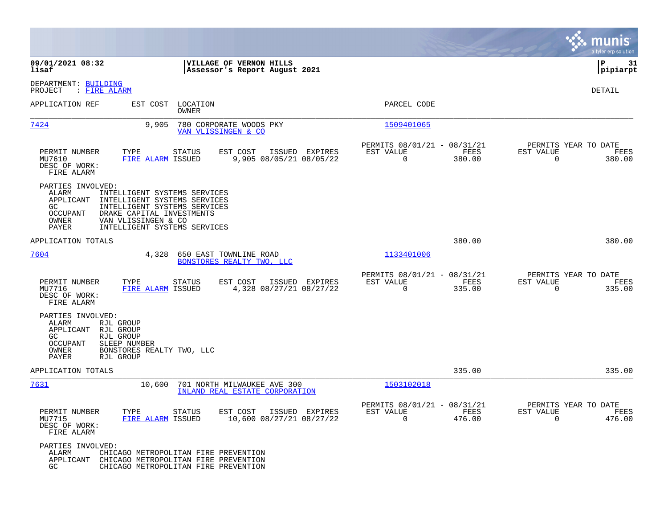|                                                                                                                                  |                                                                                                                                                                                  |                |                                                         |                       |                                                  | munis<br>a tyler erp solution |
|----------------------------------------------------------------------------------------------------------------------------------|----------------------------------------------------------------------------------------------------------------------------------------------------------------------------------|----------------|---------------------------------------------------------|-----------------------|--------------------------------------------------|-------------------------------|
| 09/01/2021 08:32<br>lisaf                                                                                                        | VILLAGE OF VERNON HILLS<br>Assessor's Report August 2021                                                                                                                         |                |                                                         |                       |                                                  | ∣P<br>-31<br> pipiarpt        |
| DEPARTMENT: BUILDING<br>: FIRE ALARM<br>PROJECT                                                                                  |                                                                                                                                                                                  |                |                                                         |                       |                                                  | DETAIL                        |
| APPLICATION REF                                                                                                                  | EST COST LOCATION<br>OWNER                                                                                                                                                       |                | PARCEL CODE                                             |                       |                                                  |                               |
| 7424                                                                                                                             | 9,905<br>780 CORPORATE WOODS PKY<br>VAN VLISSINGEN & CO                                                                                                                          |                | 1509401065                                              |                       |                                                  |                               |
| PERMIT NUMBER<br>MU7610<br>DESC OF WORK:<br>FIRE ALARM                                                                           | TYPE<br>EST COST<br><b>STATUS</b><br>FIRE ALARM ISSUED<br>9,905 08/05/21 08/05/22                                                                                                | ISSUED EXPIRES | PERMITS 08/01/21 - 08/31/21<br>EST VALUE<br>$\Omega$    | FEES<br>380.00        | PERMITS YEAR TO DATE<br>EST VALUE<br>$\Omega$    | FEES<br>380.00                |
| PARTIES INVOLVED:<br>ALARM<br>APPLICANT<br>GC<br><b>OCCUPANT</b><br>OWNER<br>PAYER                                               | INTELLIGENT SYSTEMS SERVICES<br>INTELLIGENT SYSTEMS SERVICES<br>INTELLIGENT SYSTEMS SERVICES<br>DRAKE CAPITAL INVESTMENTS<br>VAN VLISSINGEN & CO<br>INTELLIGENT SYSTEMS SERVICES |                |                                                         |                       |                                                  |                               |
| APPLICATION TOTALS                                                                                                               |                                                                                                                                                                                  |                |                                                         | 380.00                |                                                  | 380.00                        |
| 7604                                                                                                                             | 4,328<br>650 EAST TOWNLINE ROAD<br>BONSTORES REALTY TWO, LLC                                                                                                                     |                | 1133401006                                              |                       |                                                  |                               |
| PERMIT NUMBER<br>MU7716<br>DESC OF WORK:<br>FIRE ALARM                                                                           | EST COST<br>TYPE<br><b>STATUS</b><br>FIRE ALARM ISSUED<br>4,328 08/27/21 08/27/22                                                                                                | ISSUED EXPIRES | PERMITS 08/01/21 - 08/31/21<br>EST VALUE<br>$\mathbf 0$ | FEES<br>335.00        | PERMITS YEAR TO DATE<br>EST VALUE<br>$\mathbf 0$ | FEES<br>335.00                |
| PARTIES INVOLVED:<br>ALARM<br>RJL GROUP<br>APPLICANT<br>RJL GROUP<br>GC.<br>RJL GROUP<br>OCCUPANT<br>OWNER<br>PAYER<br>RJL GROUP | SLEEP NUMBER<br>BONSTORES REALTY TWO, LLC                                                                                                                                        |                |                                                         |                       |                                                  |                               |
| APPLICATION TOTALS                                                                                                               |                                                                                                                                                                                  |                |                                                         | 335.00                |                                                  | 335.00                        |
| 7631                                                                                                                             | 10,600<br>701 NORTH MILWAUKEE AVE 300<br>INLAND REAL ESTATE CORPORATION                                                                                                          |                | 1503102018                                              |                       |                                                  |                               |
| PERMIT NUMBER<br>MU7715<br>DESC OF WORK:<br>FIRE ALARM                                                                           | TYPE<br>STATUS<br>EST COST<br>FIRE ALARM ISSUED<br>10,600 08/27/21 08/27/22                                                                                                      | ISSUED EXPIRES | PERMITS 08/01/21 - 08/31/21<br>EST VALUE<br>$\mathbf 0$ | <b>FEES</b><br>476.00 | PERMITS YEAR TO DATE<br>EST VALUE<br>$\mathbf 0$ | FEES<br>476.00                |
| PARTIES INVOLVED:<br>ALARM<br>APPLICANT<br>GC                                                                                    | CHICAGO METROPOLITAN FIRE PREVENTION<br>CHICAGO METROPOLITAN FIRE PREVENTION<br>CHICAGO METROPOLITAN FIRE PREVENTION                                                             |                |                                                         |                       |                                                  |                               |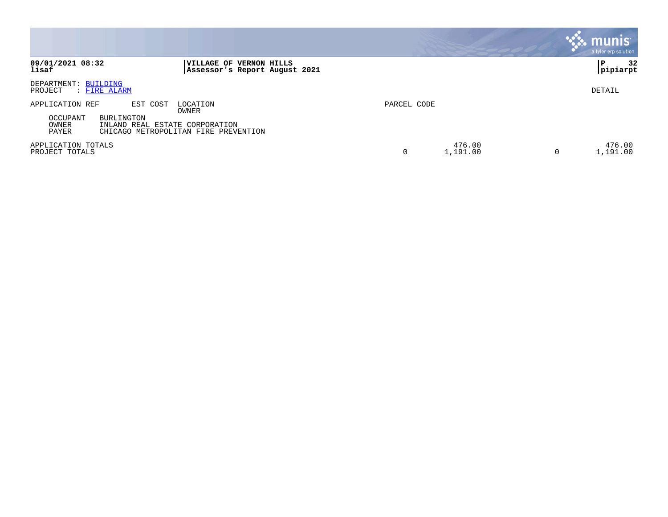|                                                                         |                                                                                             |             |                    | <b>munis</b><br>a tyler erp solution |
|-------------------------------------------------------------------------|---------------------------------------------------------------------------------------------|-------------|--------------------|--------------------------------------|
| 09/01/2021 08:32<br>lisaf                                               | <b> VILLAGE OF VERNON HILLS</b><br>Assessor's Report August 2021                            |             |                    | 32<br>P<br> pipiarpt                 |
| DEPARTMENT: BUILDING<br>PROJECT<br>: FIRE ALARM                         |                                                                                             |             |                    | DETAIL                               |
| APPLICATION REF<br>EST COST<br>OCCUPANT<br>BURLINGTON<br>OWNER<br>PAYER | LOCATION<br>OWNER<br>INLAND REAL ESTATE CORPORATION<br>CHICAGO METROPOLITAN FIRE PREVENTION | PARCEL CODE |                    |                                      |
| APPLICATION TOTALS<br>PROJECT TOTALS                                    |                                                                                             |             | 476.00<br>1,191.00 | 476.00<br>1,191.00                   |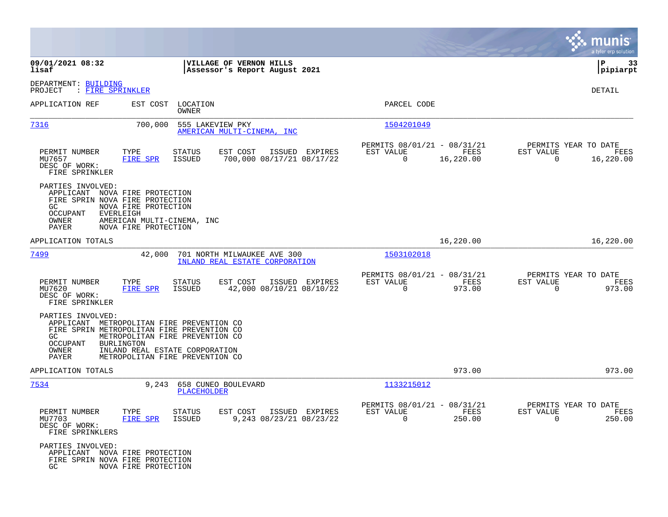|                                                                                                                                                                                                                        |                                                                                                      |                                                                              | munis<br>a tyler erp solution                                         |
|------------------------------------------------------------------------------------------------------------------------------------------------------------------------------------------------------------------------|------------------------------------------------------------------------------------------------------|------------------------------------------------------------------------------|-----------------------------------------------------------------------|
| 09/01/2021 08:32<br>lisaf                                                                                                                                                                                              | VILLAGE OF VERNON HILLS<br>Assessor's Report August 2021                                             |                                                                              | ΙP<br>33<br> pipiarpt                                                 |
| DEPARTMENT: BUILDING<br>: FIRE SPRINKLER<br>PROJECT                                                                                                                                                                    |                                                                                                      |                                                                              | DETAIL                                                                |
| APPLICATION REF                                                                                                                                                                                                        | EST COST LOCATION<br>OWNER                                                                           | PARCEL CODE                                                                  |                                                                       |
| 7316<br>700,000                                                                                                                                                                                                        | 555 LAKEVIEW PKY<br>AMERICAN MULTI-CINEMA, INC                                                       | 1504201049                                                                   |                                                                       |
| PERMIT NUMBER<br>TYPE<br>MU7657<br>FIRE SPR<br>DESC OF WORK:<br>FIRE SPRINKLER                                                                                                                                         | <b>STATUS</b><br>EST COST<br>ISSUED EXPIRES<br>700,000 08/17/21 08/17/22<br>ISSUED                   | PERMITS 08/01/21 - 08/31/21<br>EST VALUE<br>FEES<br>16,220.00<br>$\mathbf 0$ | PERMITS YEAR TO DATE<br>EST VALUE<br>FEES<br>$\mathbf 0$<br>16,220.00 |
| PARTIES INVOLVED:<br>APPLICANT NOVA FIRE PROTECTION<br>FIRE SPRIN NOVA FIRE PROTECTION<br>GC.<br>NOVA FIRE PROTECTION<br>OCCUPANT<br>EVERLEIGH<br>AMERICAN MULTI-CINEMA, INC<br>OWNER<br>NOVA FIRE PROTECTION<br>PAYER |                                                                                                      |                                                                              |                                                                       |
| APPLICATION TOTALS                                                                                                                                                                                                     |                                                                                                      | 16,220.00                                                                    | 16,220.00                                                             |
| 7499<br>42,000                                                                                                                                                                                                         | 701 NORTH MILWAUKEE AVE 300<br>INLAND REAL ESTATE CORPORATION                                        | 1503102018                                                                   |                                                                       |
| PERMIT NUMBER<br>TYPE<br>FIRE SPR<br>MU7620<br>DESC OF WORK:<br>FIRE SPRINKLER                                                                                                                                         | <b>STATUS</b><br>EST COST<br>ISSUED EXPIRES<br>42,000 08/10/21 08/10/22<br>ISSUED                    | PERMITS 08/01/21 - 08/31/21<br>EST VALUE<br>FEES<br>0<br>973.00              | PERMITS YEAR TO DATE<br>EST VALUE<br>FEES<br>$\mathbf 0$<br>973.00    |
| PARTIES INVOLVED:<br>APPLICANT METROPOLITAN FIRE PREVENTION CO<br>FIRE SPRIN METROPOLITAN FIRE PREVENTION CO<br>GC.<br><b>BURLINGTON</b><br>OCCUPANT<br>OWNER<br>PAYER                                                 | METROPOLITAN FIRE PREVENTION CO<br>INLAND REAL ESTATE CORPORATION<br>METROPOLITAN FIRE PREVENTION CO |                                                                              |                                                                       |
| APPLICATION TOTALS                                                                                                                                                                                                     |                                                                                                      | 973.00                                                                       | 973.00                                                                |
| 7534<br>9,243                                                                                                                                                                                                          | 658 CUNEO BOULEVARD<br><b>PLACEHOLDER</b>                                                            | 1133215012                                                                   |                                                                       |
| PERMIT NUMBER<br>TYPE<br>MU7703<br>FIRE SPR<br>DESC OF WORK:<br>FIRE SPRINKLERS                                                                                                                                        | <b>STATUS</b><br>EST COST<br>ISSUED EXPIRES<br><b>ISSUED</b><br>9,243 08/23/21 08/23/22              | PERMITS 08/01/21 - 08/31/21<br>EST VALUE<br>FEES<br>$\Omega$<br>250.00       | PERMITS YEAR TO DATE<br>EST VALUE<br>FEES<br>$\Omega$<br>250.00       |
| PARTIES INVOLVED:<br>APPLICANT NOVA FIRE PROTECTION<br>FIRE SPRIN NOVA FIRE PROTECTION<br>GC.<br>NOVA FIRE PROTECTION                                                                                                  |                                                                                                      |                                                                              |                                                                       |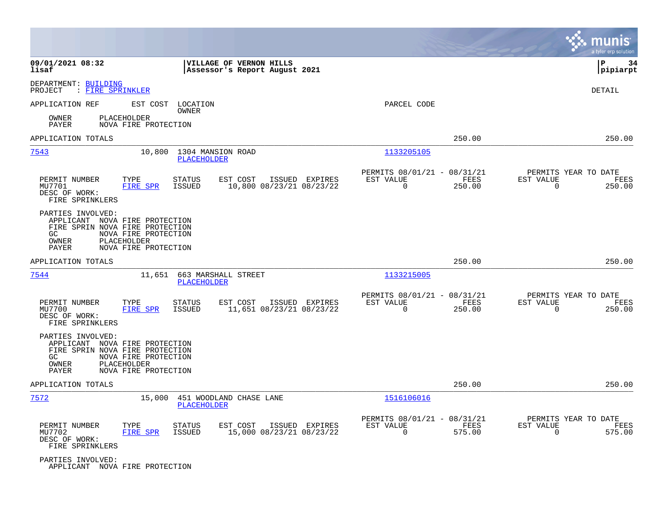|                                                                                                                                |                                                     |                                            |                                                         |                | munis<br>a tyler erp solution                                      |
|--------------------------------------------------------------------------------------------------------------------------------|-----------------------------------------------------|--------------------------------------------|---------------------------------------------------------|----------------|--------------------------------------------------------------------|
| 09/01/2021 08:32<br>lisaf                                                                                                      | VILLAGE OF VERNON HILLS                             | Assessor's Report August 2021              |                                                         |                | ΙP<br>34<br> pipiarpt                                              |
| DEPARTMENT: BUILDING<br>: FIRE SPRINKLER<br>PROJECT                                                                            |                                                     |                                            |                                                         |                | DETAIL                                                             |
| APPLICATION REF                                                                                                                | EST COST<br>LOCATION<br>OWNER                       |                                            | PARCEL CODE                                             |                |                                                                    |
| OWNER<br>PLACEHOLDER<br>PAYER                                                                                                  | NOVA FIRE PROTECTION                                |                                            |                                                         |                |                                                                    |
| APPLICATION TOTALS                                                                                                             |                                                     |                                            |                                                         | 250.00         | 250.00                                                             |
| 7543                                                                                                                           | 10,800<br>1304 MANSION ROAD<br>PLACEHOLDER          |                                            | 1133205105                                              |                |                                                                    |
| PERMIT NUMBER<br>TYPE<br>MU7701<br>FIRE SPR<br>DESC OF WORK:<br>FIRE SPRINKLERS                                                | <b>STATUS</b><br>EST COST<br><b>ISSUED</b>          | ISSUED EXPIRES<br>10,800 08/23/21 08/23/22 | PERMITS 08/01/21 - 08/31/21<br>EST VALUE<br>$\mathbf 0$ | FEES<br>250.00 | PERMITS YEAR TO DATE<br>EST VALUE<br>FEES<br>0<br>250.00           |
| PARTIES INVOLVED:<br>APPLICANT NOVA FIRE PROTECTION<br>FIRE SPRIN NOVA FIRE PROTECTION<br>GC.<br>OWNER<br>PLACEHOLDER<br>PAYER | NOVA FIRE PROTECTION<br>NOVA FIRE PROTECTION        |                                            |                                                         |                |                                                                    |
| APPLICATION TOTALS                                                                                                             |                                                     |                                            |                                                         | 250.00         | 250.00                                                             |
| 7544                                                                                                                           | 11,651<br>663 MARSHALL STREET<br><b>PLACEHOLDER</b> |                                            | 1133215005                                              |                |                                                                    |
| PERMIT NUMBER<br>TYPE<br>MU7700<br>FIRE SPR<br>DESC OF WORK:<br>FIRE SPRINKLERS                                                | <b>STATUS</b><br>EST COST<br>ISSUED                 | ISSUED EXPIRES<br>11,651 08/23/21 08/23/22 | PERMITS 08/01/21 - 08/31/21<br>EST VALUE<br>$\mathbf 0$ | FEES<br>250.00 | PERMITS YEAR TO DATE<br>EST VALUE<br>FEES<br>$\mathbf 0$<br>250.00 |
| PARTIES INVOLVED:<br>APPLICANT NOVA FIRE PROTECTION<br>FIRE SPRIN NOVA FIRE PROTECTION<br>GC<br>OWNER<br>PLACEHOLDER<br>PAYER  | NOVA FIRE PROTECTION<br>NOVA FIRE PROTECTION        |                                            |                                                         |                |                                                                    |
| APPLICATION TOTALS                                                                                                             |                                                     |                                            |                                                         | 250.00         | 250.00                                                             |
| 7572                                                                                                                           | 15,000<br>451 WOODLAND CHASE LANE<br>PLACEHOLDER    |                                            | 1516106016                                              |                |                                                                    |
| PERMIT NUMBER<br>TYPE<br>MU7702<br>FIRE SPR<br>DESC OF WORK:<br>FIRE SPRINKLERS                                                | STATUS<br>EST COST<br><b>ISSUED</b>                 | ISSUED EXPIRES<br>15,000 08/23/21 08/23/22 | PERMITS 08/01/21 - 08/31/21<br>EST VALUE<br>$\mathbf 0$ | FEES<br>575.00 | PERMITS YEAR TO DATE<br>EST VALUE<br>FEES<br>575.00<br>0           |
| PARTIES INVOLVED:<br>APPLICANT NOVA FIRE PROTECTION                                                                            |                                                     |                                            |                                                         |                |                                                                    |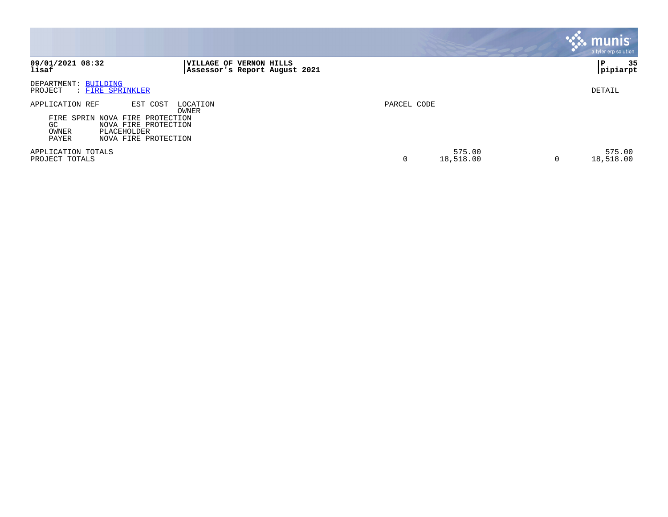|                                                                                                                                                                             |                               |             |                     | <b>munis</b><br>a tyler erp solution |
|-----------------------------------------------------------------------------------------------------------------------------------------------------------------------------|-------------------------------|-------------|---------------------|--------------------------------------|
| 09/01/2021 08:32<br>VILLAGE OF VERNON HILLS<br>lisaf                                                                                                                        | Assessor's Report August 2021 |             |                     | 35<br>P<br> pipiarpt                 |
| DEPARTMENT: BUILDING<br>: FIRE SPRINKLER<br>PROJECT                                                                                                                         |                               |             |                     | DETAIL                               |
| APPLICATION REF<br>EST COST<br>LOCATION<br>OWNER<br>FIRE SPRIN NOVA FIRE PROTECTION<br>GC.<br>NOVA FIRE PROTECTION<br>OWNER<br>PLACEHOLDER<br>NOVA FIRE PROTECTION<br>PAYER |                               | PARCEL CODE |                     |                                      |
| APPLICATION TOTALS<br>PROJECT TOTALS                                                                                                                                        |                               |             | 575.00<br>18,518.00 | 575.00<br>18,518.00                  |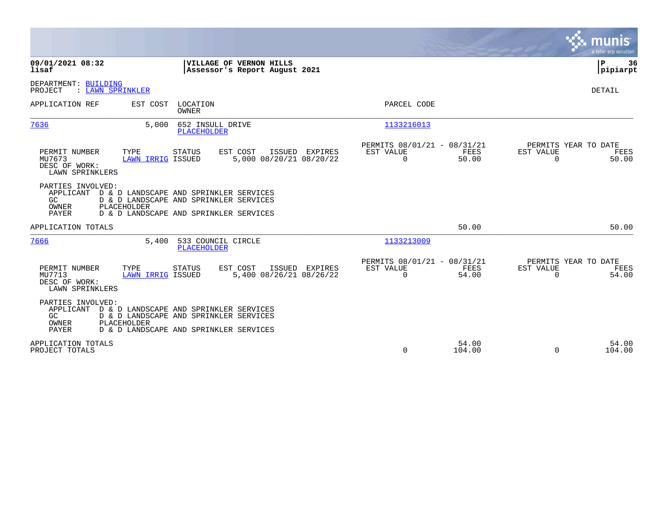|                                                                              |                           |                                                                                                                            |                                                          |                |                                                      |                 |                       | munis<br>a tyler erp solution         |
|------------------------------------------------------------------------------|---------------------------|----------------------------------------------------------------------------------------------------------------------------|----------------------------------------------------------|----------------|------------------------------------------------------|-----------------|-----------------------|---------------------------------------|
| 09/01/2021 08:32<br>lisaf                                                    |                           |                                                                                                                            | VILLAGE OF VERNON HILLS<br>Assessor's Report August 2021 |                |                                                      |                 |                       | P<br>36<br> pipiarpt                  |
| DEPARTMENT: BUILDING<br>: LAWN SPRINKLER<br>PROJECT                          |                           |                                                                                                                            |                                                          |                |                                                      |                 |                       | <b>DETAIL</b>                         |
| APPLICATION REF                                                              | EST COST                  | LOCATION<br>OWNER                                                                                                          |                                                          |                | PARCEL CODE                                          |                 |                       |                                       |
| 7636                                                                         | 5,000                     | 652 INSULL DRIVE<br>PLACEHOLDER                                                                                            |                                                          |                | 1133216013                                           |                 |                       |                                       |
| PERMIT NUMBER<br>MU7673<br>DESC OF WORK:<br>LAWN SPRINKLERS                  | TYPE<br>LAWN IRRIG ISSUED | STATUS                                                                                                                     | EST COST<br>5,000 08/20/21 08/20/22                      | ISSUED EXPIRES | PERMITS 08/01/21 - 08/31/21<br>EST VALUE<br>$\Omega$ | FEES<br>50.00   | EST VALUE<br>$\Omega$ | PERMITS YEAR TO DATE<br>FEES<br>50.00 |
| PARTIES INVOLVED:<br>APPLICANT<br>GC<br>PLACEHOLDER<br>OWNER<br><b>PAYER</b> |                           | D & D LANDSCAPE AND SPRINKLER SERVICES<br>D & D LANDSCAPE AND SPRINKLER SERVICES<br>D & D LANDSCAPE AND SPRINKLER SERVICES |                                                          |                |                                                      |                 |                       |                                       |
| APPLICATION TOTALS                                                           |                           |                                                                                                                            |                                                          |                |                                                      | 50.00           |                       | 50.00                                 |
| 7666                                                                         | 5,400                     | 533 COUNCIL CIRCLE<br><b>PLACEHOLDER</b>                                                                                   |                                                          |                | 1133213009                                           |                 |                       |                                       |
| PERMIT NUMBER<br>MU7713<br>DESC OF WORK:<br>LAWN SPRINKLERS                  | TYPE<br>LAWN IRRIG ISSUED | <b>STATUS</b>                                                                                                              | EST COST<br>5,400 08/26/21 08/26/22                      | ISSUED EXPIRES | PERMITS 08/01/21 - 08/31/21<br>EST VALUE<br>$\Omega$ | FEES<br>54.00   | EST VALUE<br>$\Omega$ | PERMITS YEAR TO DATE<br>FEES<br>54.00 |
| PARTIES INVOLVED:<br>APPLICANT<br>GC<br>OWNER<br>PLACEHOLDER<br><b>PAYER</b> |                           | D & D LANDSCAPE AND SPRINKLER SERVICES<br>D & D LANDSCAPE AND SPRINKLER SERVICES<br>D & D LANDSCAPE AND SPRINKLER SERVICES |                                                          |                |                                                      |                 |                       |                                       |
| APPLICATION TOTALS<br>PROJECT TOTALS                                         |                           |                                                                                                                            |                                                          |                | $\Omega$                                             | 54.00<br>104.00 | $\Omega$              | 54.00<br>104.00                       |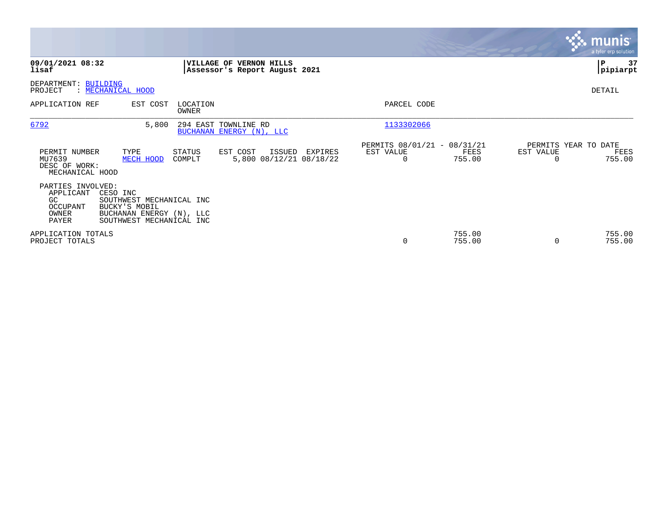|                                                                                                                                                                                      |                                                                                               | <b>munis</b><br>a tyler erp solution                                              |
|--------------------------------------------------------------------------------------------------------------------------------------------------------------------------------------|-----------------------------------------------------------------------------------------------|-----------------------------------------------------------------------------------|
| 09/01/2021 08:32<br><b>VILLAGE OF</b><br>lisaf                                                                                                                                       | <b>VERNON HILLS</b><br>Assessor's Report August 2021                                          | 37<br>P<br> pipiarpt                                                              |
| DEPARTMENT: BUILDING<br>PROJECT<br>: MECHANICAL HOOD                                                                                                                                 |                                                                                               | DETAIL                                                                            |
| APPLICATION REF<br>EST COST<br>LOCATION<br>OWNER                                                                                                                                     | PARCEL CODE                                                                                   |                                                                                   |
| 6792<br>5,800<br>294 EAST TOWNLINE RD<br>BUCHANAN ENERGY (N), LLC                                                                                                                    | 1133302066                                                                                    |                                                                                   |
| EST COST<br>PERMIT NUMBER<br>TYPE<br>STATUS<br>MU7639<br>MECH HOOD<br>COMPLT<br>DESC OF WORK:<br>MECHANICAL HOOD                                                                     | PERMITS 08/01/21 - 08/31/21<br>ISSUED<br>EXPIRES<br>EST VALUE<br>5,800 08/12/21 08/18/22<br>0 | PERMITS YEAR TO DATE<br>EST VALUE<br>FEES<br>FEES<br>755.00<br>755.00<br>$\Omega$ |
| PARTIES INVOLVED:<br>APPLICANT<br>CESO INC<br>GC.<br>SOUTHWEST MECHANICAL INC<br>BUCKY'S MOBIL<br>OCCUPANT<br>OWNER<br>BUCHANAN ENERGY (N), LLC<br>PAYER<br>SOUTHWEST MECHANICAL INC |                                                                                               |                                                                                   |
| APPLICATION TOTALS<br>PROJECT TOTALS                                                                                                                                                 | 0                                                                                             | 755.00<br>755.00<br>755.00<br>$\Omega$<br>755.00                                  |

 $\mathcal{L}^{\text{max}}$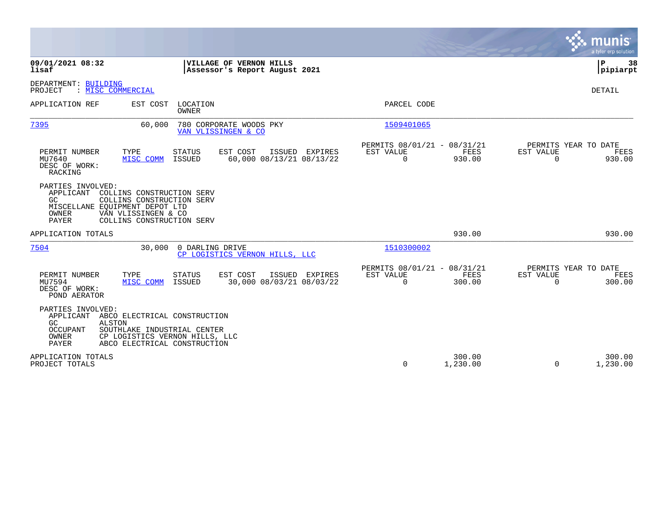|                                                                                                                     |                                                                                                                                         |                          |                                                          |                |                                               |                       |                          | munis<br>a tyler erp solution          |
|---------------------------------------------------------------------------------------------------------------------|-----------------------------------------------------------------------------------------------------------------------------------------|--------------------------|----------------------------------------------------------|----------------|-----------------------------------------------|-----------------------|--------------------------|----------------------------------------|
| 09/01/2021 08:32<br>lisaf                                                                                           |                                                                                                                                         |                          | VILLAGE OF VERNON HILLS<br>Assessor's Report August 2021 |                |                                               |                       |                          | ΙP<br>38<br> pipiarpt                  |
| DEPARTMENT: BUILDING<br>PROJECT                                                                                     | : MISC COMMERCIAL                                                                                                                       |                          |                                                          |                |                                               |                       |                          | DETAIL                                 |
| APPLICATION REF                                                                                                     | EST COST                                                                                                                                | LOCATION<br><b>OWNER</b> |                                                          |                | PARCEL CODE                                   |                       |                          |                                        |
| 7395                                                                                                                | 60,000                                                                                                                                  | VAN VLISSINGEN & CO      | 780 CORPORATE WOODS PKY                                  |                | 1509401065                                    |                       |                          |                                        |
| PERMIT NUMBER<br>MU7640<br>DESC OF WORK:<br>RACKING                                                                 | TYPE<br>MISC COMM                                                                                                                       | <b>STATUS</b><br>ISSUED  | EST COST<br>60,000 08/13/21 08/13/22                     | ISSUED EXPIRES | PERMITS 08/01/21 - 08/31/21<br>EST VALUE<br>0 | <b>FEES</b><br>930.00 | EST VALUE<br>$\mathbf 0$ | PERMITS YEAR TO DATE<br>FEES<br>930.00 |
| PARTIES INVOLVED:<br>APPLICANT COLLINS CONSTRUCTION SERV<br>GC.<br>MISCELLANE EQUIPMENT DEPOT LTD<br>OWNER<br>PAYER | COLLINS CONSTRUCTION SERV<br>VAN VLISSINGEN & CO<br>COLLINS CONSTRUCTION SERV                                                           |                          |                                                          |                |                                               |                       |                          |                                        |
| APPLICATION TOTALS                                                                                                  |                                                                                                                                         |                          |                                                          |                |                                               | 930.00                |                          | 930.00                                 |
| 7504                                                                                                                | 30,000                                                                                                                                  | 0 DARLING DRIVE          | CP LOGISTICS VERNON HILLS, LLC                           |                | 1510300002                                    |                       |                          |                                        |
| PERMIT NUMBER<br>MU7594<br>DESC OF WORK:<br>POND AERATOR                                                            | TYPE<br>MISC COMM                                                                                                                       | <b>STATUS</b><br>ISSUED  | EST COST<br>30,000 08/03/21 08/03/22                     | ISSUED EXPIRES | PERMITS 08/01/21 - 08/31/21<br>EST VALUE<br>0 | FEES<br>300.00        | EST VALUE<br>$\Omega$    | PERMITS YEAR TO DATE<br>FEES<br>300.00 |
| PARTIES INVOLVED:<br>APPLICANT<br>GC.<br>OCCUPANT<br>OWNER<br><b>PAYER</b>                                          | ABCO ELECTRICAL CONSTRUCTION<br>ALSTON<br>SOUTHLAKE INDUSTRIAL CENTER<br>CP LOGISTICS VERNON HILLS, LLC<br>ABCO ELECTRICAL CONSTRUCTION |                          |                                                          |                |                                               |                       |                          |                                        |
| APPLICATION TOTALS<br>PROJECT TOTALS                                                                                |                                                                                                                                         |                          |                                                          |                | 0                                             | 300.00<br>1,230.00    | $\Omega$                 | 300.00<br>1,230.00                     |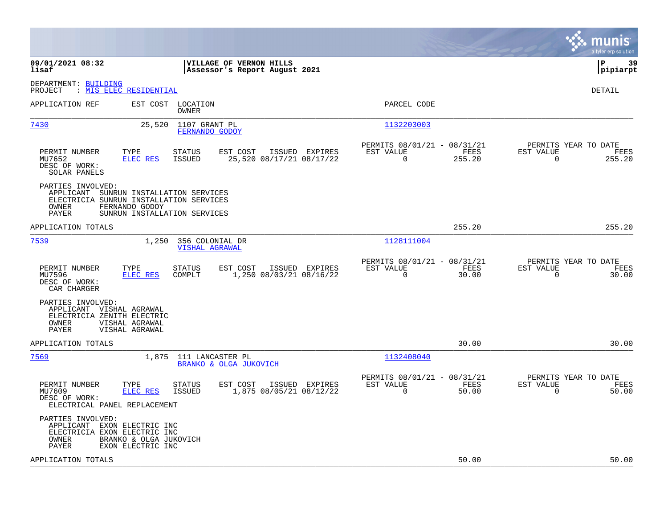|                                                                                                                                                                               |                                                                                          |                                                                           | munis<br>a tyler erp solution                                      |
|-------------------------------------------------------------------------------------------------------------------------------------------------------------------------------|------------------------------------------------------------------------------------------|---------------------------------------------------------------------------|--------------------------------------------------------------------|
| 09/01/2021 08:32<br>lisaf                                                                                                                                                     | VILLAGE OF VERNON HILLS<br>Assessor's Report August 2021                                 |                                                                           | l P<br>-39<br> pipiarpt                                            |
| DEPARTMENT: BUILDING<br>: MIS ELEC RESIDENTIAL<br>PROJECT                                                                                                                     |                                                                                          |                                                                           | DETAIL                                                             |
| APPLICATION REF                                                                                                                                                               | EST COST LOCATION<br><b>OWNER</b>                                                        | PARCEL CODE                                                               |                                                                    |
| <u>7430</u><br>25,520                                                                                                                                                         | 1107 GRANT PL<br>FERNANDO GODOY                                                          | 1132203003                                                                |                                                                    |
| PERMIT NUMBER<br>TYPE<br>ELEC RES<br>MU7652<br>DESC OF WORK:<br>SOLAR PANELS                                                                                                  | <b>STATUS</b><br>EST COST<br>ISSUED EXPIRES<br><b>ISSUED</b><br>25,520 08/17/21 08/17/22 | PERMITS 08/01/21 - 08/31/21<br>EST VALUE<br>FEES<br>$\mathbf 0$<br>255.20 | PERMITS YEAR TO DATE<br>EST VALUE<br>FEES<br>$\mathbf 0$<br>255.20 |
| PARTIES INVOLVED:<br>APPLICANT<br>SUNRUN INSTALLATION SERVICES<br>ELECTRICIA SUNRUN INSTALLATION SERVICES<br>FERNANDO GODOY<br>OWNER<br>PAYER<br>SUNRUN INSTALLATION SERVICES |                                                                                          |                                                                           |                                                                    |
| APPLICATION TOTALS                                                                                                                                                            |                                                                                          | 255.20                                                                    | 255.20                                                             |
| 7539                                                                                                                                                                          | 1,250 356 COLONIAL DR<br>VISHAL AGRAWAL                                                  | 1128111004                                                                |                                                                    |
| PERMIT NUMBER<br>TYPE<br>MU7596<br><b>ELEC RES</b><br>DESC OF WORK:<br>CAR CHARGER                                                                                            | EST COST<br>ISSUED EXPIRES<br>STATUS<br>COMPLT<br>1,250 08/03/21 08/16/22                | PERMITS 08/01/21 - 08/31/21<br>EST VALUE<br>FEES<br>$\Omega$<br>30.00     | PERMITS YEAR TO DATE<br>EST VALUE<br>FEES<br>0<br>30.00            |
| PARTIES INVOLVED:<br>APPLICANT VISHAL AGRAWAL<br>ELECTRICIA ZENITH ELECTRIC<br>VISHAL AGRAWAL<br>OWNER<br>PAYER<br>VISHAL AGRAWAL                                             |                                                                                          |                                                                           |                                                                    |
| APPLICATION TOTALS                                                                                                                                                            |                                                                                          | 30.00                                                                     | 30.00                                                              |
| 7569<br>1,875                                                                                                                                                                 | 111 LANCASTER PL<br>BRANKO & OLGA JUKOVICH                                               | 1132408040                                                                |                                                                    |
| PERMIT NUMBER<br>TYPE<br>MU7609<br>ELEC RES<br>DESC OF WORK:<br>ELECTRICAL PANEL REPLACEMENT                                                                                  | EST COST<br>ISSUED EXPIRES<br>STATUS<br>1,875 08/05/21 08/12/22<br><b>ISSUED</b>         | PERMITS 08/01/21 - 08/31/21<br>EST VALUE<br>FEES<br>0<br>50.00            | PERMITS YEAR TO DATE<br>EST VALUE<br>FEES<br>$\mathbf 0$<br>50.00  |
| PARTIES INVOLVED:<br>APPLICANT EXON ELECTRIC INC<br>ELECTRICIA EXON ELECTRIC INC<br>OWNER<br>BRANKO & OLGA JUKOVICH<br>PAYER<br>EXON ELECTRIC INC                             |                                                                                          |                                                                           |                                                                    |
| APPLICATION TOTALS                                                                                                                                                            |                                                                                          | 50.00                                                                     | 50.00                                                              |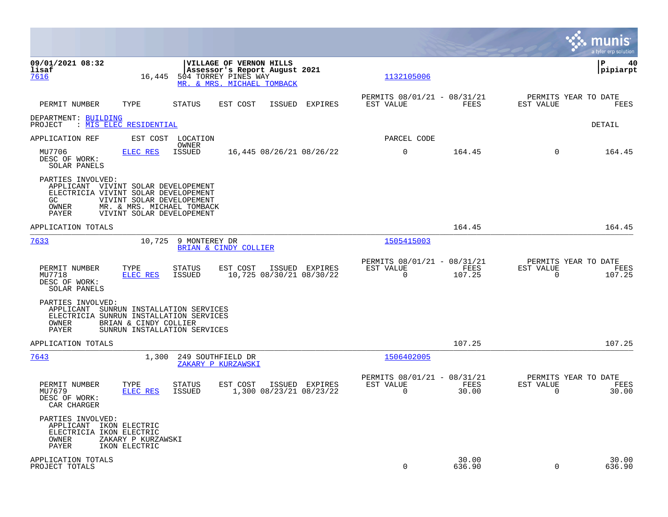|                                                                                                                          |                                                                                       |                                         |                                                                                                                       |        |                                            |                                               |                 |                          | munis<br>a tyler erp solution          |
|--------------------------------------------------------------------------------------------------------------------------|---------------------------------------------------------------------------------------|-----------------------------------------|-----------------------------------------------------------------------------------------------------------------------|--------|--------------------------------------------|-----------------------------------------------|-----------------|--------------------------|----------------------------------------|
| 09/01/2021 08:32<br>lisaf<br>7616                                                                                        | 16,445                                                                                |                                         | <b>VILLAGE OF VERNON HILLS</b><br>Assessor's Report August 2021<br>504 TORREY PINES WAY<br>MR. & MRS. MICHAEL TOMBACK |        |                                            | 1132105006                                    |                 |                          | P<br>40<br> pipiarpt                   |
| PERMIT NUMBER                                                                                                            | TYPE                                                                                  | STATUS                                  | EST COST                                                                                                              | ISSUED | EXPIRES                                    | PERMITS 08/01/21 - 08/31/21<br>EST VALUE      | FEES            | EST VALUE                | PERMITS YEAR TO DATE<br>FEES           |
| DEPARTMENT: BUILDING<br>PROJECT                                                                                          | : MIS ELEC RESIDENTIAL                                                                |                                         |                                                                                                                       |        |                                            |                                               |                 |                          | DETAIL                                 |
| APPLICATION REF                                                                                                          |                                                                                       | EST COST LOCATION                       |                                                                                                                       |        |                                            | PARCEL CODE                                   |                 |                          |                                        |
| MU7706<br>DESC OF WORK:<br>SOLAR PANELS                                                                                  | ELEC RES                                                                              | OWNER<br>ISSUED                         |                                                                                                                       |        | 16,445 08/26/21 08/26/22                   | $\mathsf{O}$                                  | 164.45          | $\Omega$                 | 164.45                                 |
| PARTIES INVOLVED:<br>APPLICANT VIVINT SOLAR DEVELOPEMENT<br>ELECTRICIA VIVINT SOLAR DEVELOPEMENT<br>GC<br>OWNER<br>PAYER | VIVINT SOLAR DEVELOPEMENT<br>MR. & MRS. MICHAEL TOMBACK<br>VIVINT SOLAR DEVELOPEMENT  |                                         |                                                                                                                       |        |                                            |                                               |                 |                          |                                        |
| APPLICATION TOTALS                                                                                                       |                                                                                       |                                         |                                                                                                                       |        |                                            |                                               | 164.45          |                          | 164.45                                 |
| 7633                                                                                                                     |                                                                                       | 10,725 9 MONTEREY DR                    | BRIAN & CINDY COLLIER                                                                                                 |        |                                            | 1505415003                                    |                 |                          |                                        |
| PERMIT NUMBER<br>MU7718<br>DESC OF WORK:<br>SOLAR PANELS                                                                 | TYPE<br>ELEC RES                                                                      | <b>STATUS</b><br>ISSUED                 | EST COST                                                                                                              |        | ISSUED EXPIRES<br>10,725 08/30/21 08/30/22 | PERMITS 08/01/21 - 08/31/21<br>EST VALUE<br>0 | FEES<br>107.25  | EST VALUE<br>$\mathbf 0$ | PERMITS YEAR TO DATE<br>FEES<br>107.25 |
| PARTIES INVOLVED:<br>APPLICANT<br>ELECTRICIA SUNRUN INSTALLATION SERVICES<br>OWNER<br><b>PAYER</b>                       | SUNRUN INSTALLATION SERVICES<br>BRIAN & CINDY COLLIER<br>SUNRUN INSTALLATION SERVICES |                                         |                                                                                                                       |        |                                            |                                               |                 |                          |                                        |
| APPLICATION TOTALS                                                                                                       |                                                                                       |                                         |                                                                                                                       |        |                                            |                                               | 107.25          |                          | 107.25                                 |
| 7643                                                                                                                     | 1,300                                                                                 | 249 SOUTHFIELD DR<br>ZAKARY P KURZAWSKI |                                                                                                                       |        |                                            | 1506402005                                    |                 |                          |                                        |
| PERMIT NUMBER<br>MU7679<br>DESC OF WORK:<br>CAR CHARGER                                                                  | TYPE<br><b>ELEC RES</b>                                                               | STATUS<br>ISSUED                        | EST COST                                                                                                              |        | ISSUED EXPIRES<br>1,300 08/23/21 08/23/22  | PERMITS 08/01/21 - 08/31/21<br>EST VALUE<br>0 | FEES<br>30.00   | EST VALUE<br>$\Omega$    | PERMITS YEAR TO DATE<br>FEES<br>30.00  |
| PARTIES INVOLVED:<br>APPLICANT IKON ELECTRIC<br>ELECTRICIA IKON ELECTRIC<br>OWNER<br>PAYER                               | ZAKARY P KURZAWSKI<br>IKON ELECTRIC                                                   |                                         |                                                                                                                       |        |                                            |                                               |                 |                          |                                        |
| APPLICATION TOTALS<br>PROJECT TOTALS                                                                                     |                                                                                       |                                         |                                                                                                                       |        |                                            | $\mathbf 0$                                   | 30.00<br>636.90 | $\overline{0}$           | 30.00<br>636.90                        |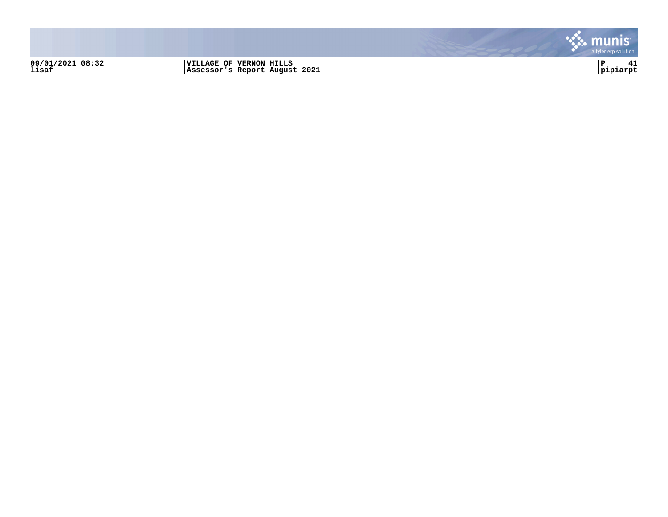**09/01/2021 08:32 |VILLAGE OF VERNON HILLS |P 41 lisaf |Assessor's Report August 2021 |pipiarpt**

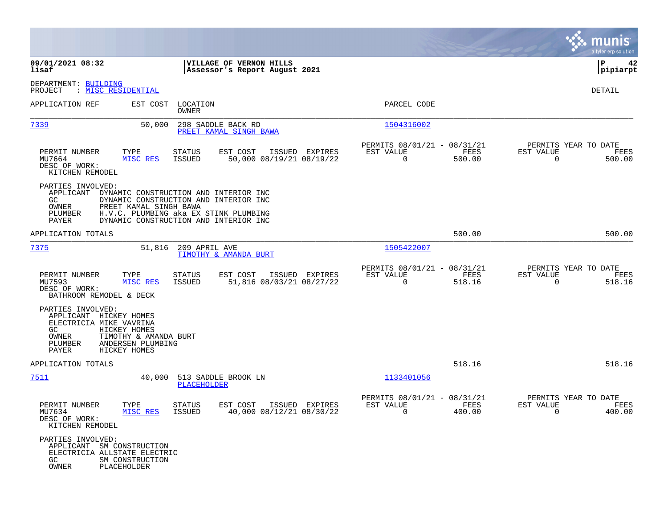|                                                                                                                                                                                          |                                                                                                                                                                  |                                                                        | a tyler erp solution                                               |
|------------------------------------------------------------------------------------------------------------------------------------------------------------------------------------------|------------------------------------------------------------------------------------------------------------------------------------------------------------------|------------------------------------------------------------------------|--------------------------------------------------------------------|
| 09/01/2021 08:32<br>lisaf                                                                                                                                                                | VILLAGE OF VERNON HILLS<br>Assessor's Report August 2021                                                                                                         |                                                                        | ΙP<br>42<br> pipiarpt                                              |
| DEPARTMENT: BUILDING<br>: MISC RESIDENTIAL<br>PROJECT                                                                                                                                    |                                                                                                                                                                  |                                                                        | DETAIL                                                             |
| APPLICATION REF<br>EST COST                                                                                                                                                              | LOCATION<br>OWNER                                                                                                                                                | PARCEL CODE                                                            |                                                                    |
| 7339                                                                                                                                                                                     | 50,000<br>298 SADDLE BACK RD<br>PREET KAMAL SINGH BAWA                                                                                                           | 1504316002                                                             |                                                                    |
| PERMIT NUMBER<br>TYPE<br>MU7664<br>MISC RES<br>DESC OF WORK:<br>KITCHEN REMODEL                                                                                                          | <b>STATUS</b><br>EST COST<br>ISSUED EXPIRES<br>ISSUED<br>50,000 08/19/21 08/19/22                                                                                | PERMITS 08/01/21 - 08/31/21<br>EST VALUE<br>FEES<br>500.00<br>0        | PERMITS YEAR TO DATE<br>EST VALUE<br>FEES<br>$\mathbf 0$<br>500.00 |
| PARTIES INVOLVED:<br>APPLICANT<br>GC.<br>OWNER<br>PREET KAMAL SINGH BAWA<br>PLUMBER<br>PAYER                                                                                             | DYNAMIC CONSTRUCTION AND INTERIOR INC<br>DYNAMIC CONSTRUCTION AND INTERIOR INC<br>H.V.C. PLUMBING aka EX STINK PLUMBING<br>DYNAMIC CONSTRUCTION AND INTERIOR INC |                                                                        |                                                                    |
| APPLICATION TOTALS                                                                                                                                                                       |                                                                                                                                                                  | 500.00                                                                 | 500.00                                                             |
| <u>7375</u>                                                                                                                                                                              | 51,816<br>209 APRIL AVE<br>TIMOTHY & AMANDA BURT                                                                                                                 | 1505422007                                                             |                                                                    |
| PERMIT NUMBER<br>TYPE<br>MU7593<br>MISC RES<br>DESC OF WORK:<br>BATHROOM REMODEL & DECK                                                                                                  | ISSUED EXPIRES<br>STATUS<br>EST COST<br>51,816 08/03/21 08/27/22<br><b>ISSUED</b>                                                                                | PERMITS 08/01/21 - 08/31/21<br>EST VALUE<br>FEES<br>$\Omega$<br>518.16 | PERMITS YEAR TO DATE<br>EST VALUE<br>FEES<br>518.16<br>$\mathbf 0$ |
| PARTIES INVOLVED:<br>APPLICANT HICKEY HOMES<br>ELECTRICIA MIKE VAVRINA<br>HICKEY HOMES<br>GC.<br>OWNER<br>TIMOTHY & AMANDA BURT<br>PLUMBER<br>ANDERSEN PLUMBING<br>PAYER<br>HICKEY HOMES |                                                                                                                                                                  |                                                                        |                                                                    |
| APPLICATION TOTALS                                                                                                                                                                       |                                                                                                                                                                  | 518.16                                                                 | 518.16                                                             |
| 7511                                                                                                                                                                                     | 40,000<br>513 SADDLE BROOK LN<br><b>PLACEHOLDER</b>                                                                                                              | 1133401056                                                             |                                                                    |
| PERMIT NUMBER<br>TYPE<br>MU7634<br>MISC RES<br>DESC OF WORK:<br>KITCHEN REMODEL                                                                                                          | STATUS<br>EST COST ISSUED EXPIRES<br>40,000 08/12/21 08/30/22<br>ISSUED                                                                                          | PERMITS 08/01/21 - 08/31/21<br>EST VALUE<br>FEES<br>$\Omega$<br>400.00 | PERMITS YEAR TO DATE<br>EST VALUE<br>FEES<br>$\Omega$<br>400.00    |
| PARTIES INVOLVED:<br>APPLICANT SM CONSTRUCTION<br>ELECTRICIA ALLSTATE ELECTRIC<br>GC<br>SM CONSTRUCTION<br>OWNER<br>PLACEHOLDER                                                          |                                                                                                                                                                  |                                                                        |                                                                    |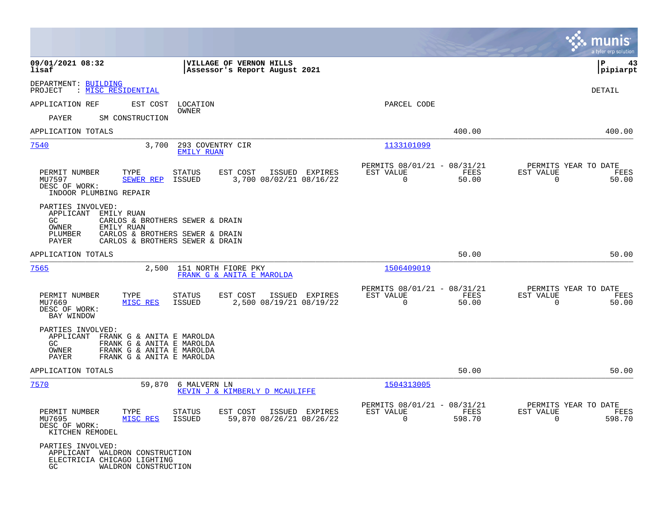|                                                                                                                                                                          |                                                                                                       |                                                                             | munis<br>a tyler erp solution                                     |
|--------------------------------------------------------------------------------------------------------------------------------------------------------------------------|-------------------------------------------------------------------------------------------------------|-----------------------------------------------------------------------------|-------------------------------------------------------------------|
| 09/01/2021 08:32<br>lisaf                                                                                                                                                | VILLAGE OF VERNON HILLS<br>Assessor's Report August 2021                                              |                                                                             | l P<br>43<br> pipiarpt                                            |
| DEPARTMENT: BUILDING<br>: <u>MISC RESIDENTIAL</u><br>PROJECT                                                                                                             |                                                                                                       |                                                                             | DETAIL                                                            |
| APPLICATION REF<br>EST COST                                                                                                                                              | LOCATION                                                                                              | PARCEL CODE                                                                 |                                                                   |
| PAYER<br>SM CONSTRUCTION                                                                                                                                                 | OWNER                                                                                                 |                                                                             |                                                                   |
| APPLICATION TOTALS                                                                                                                                                       |                                                                                                       | 400.00                                                                      | 400.00                                                            |
| 7540<br>3,700                                                                                                                                                            | 293 COVENTRY CIR<br><b>EMILY RUAN</b>                                                                 | 1133101099                                                                  |                                                                   |
| TYPE<br>PERMIT NUMBER<br>MU7597<br>SEWER REP<br>DESC OF WORK:<br>INDOOR PLUMBING REPAIR                                                                                  | ISSUED EXPIRES<br>STATUS<br>EST COST<br>ISSUED<br>3,700 08/02/21 08/16/22                             | PERMITS 08/01/21 - 08/31/21<br>FEES<br>EST VALUE<br>$\overline{0}$<br>50.00 | PERMITS YEAR TO DATE<br>EST VALUE<br>FEES<br>50.00<br>$\mathbf 0$ |
| PARTIES INVOLVED:<br>APPLICANT<br>EMILY RUAN<br>GC.<br>EMILY RUAN<br>OWNER<br>PLUMBER<br>PAYER                                                                           | CARLOS & BROTHERS SEWER & DRAIN<br>CARLOS & BROTHERS SEWER & DRAIN<br>CARLOS & BROTHERS SEWER & DRAIN |                                                                             |                                                                   |
| APPLICATION TOTALS                                                                                                                                                       |                                                                                                       | 50.00                                                                       | 50.00                                                             |
| 7565                                                                                                                                                                     | 2,500 151 NORTH FIORE PKY<br>FRANK G & ANITA E MAROLDA                                                | 1506409019                                                                  |                                                                   |
| PERMIT NUMBER<br>TYPE<br>MISC RES<br>MU7669<br>DESC OF WORK:<br>BAY WINDOW                                                                                               | EST COST<br>ISSUED EXPIRES<br>STATUS<br>ISSUED<br>2,500 08/19/21 08/19/22                             | PERMITS 08/01/21 - 08/31/21<br>EST VALUE<br>FEES<br>$\overline{0}$<br>50.00 | PERMITS YEAR TO DATE<br>EST VALUE<br>FEES<br>0<br>50.00           |
| PARTIES INVOLVED:<br>APPLICANT FRANK G & ANITA E MAROLDA<br>GC.<br>FRANK G & ANITA E MAROLDA<br>FRANK G & ANITA E MAROLDA<br>OWNER<br>PAYER<br>FRANK G & ANITA E MAROLDA |                                                                                                       |                                                                             |                                                                   |
| APPLICATION TOTALS                                                                                                                                                       |                                                                                                       | 50.00                                                                       | 50.00                                                             |
| 7570<br>59,870                                                                                                                                                           | 6 MALVERN LN<br>KEVIN J & KIMBERLY D MCAULIFFE                                                        | 1504313005                                                                  |                                                                   |
| PERMIT NUMBER<br>TYPE<br>MISC RES<br>MU7695<br>DESC OF WORK:<br>KITCHEN REMODEL                                                                                          | STATUS<br>EST COST ISSUED EXPIRES<br>ISSUED<br>59,870 08/26/21 08/26/22                               | PERMITS 08/01/21 - 08/31/21<br>EST VALUE<br>FEES<br>$\Omega$<br>598.70      | PERMITS YEAR TO DATE<br>EST VALUE<br>FEES<br>$\Omega$<br>598.70   |
| PARTIES INVOLVED:<br>APPLICANT WALDRON CONSTRUCTION<br>ELECTRICIA CHICAGO LIGHTING<br>GC<br>WALDRON CONSTRUCTION                                                         |                                                                                                       |                                                                             |                                                                   |

 $\mathcal{L}^{\text{max}}$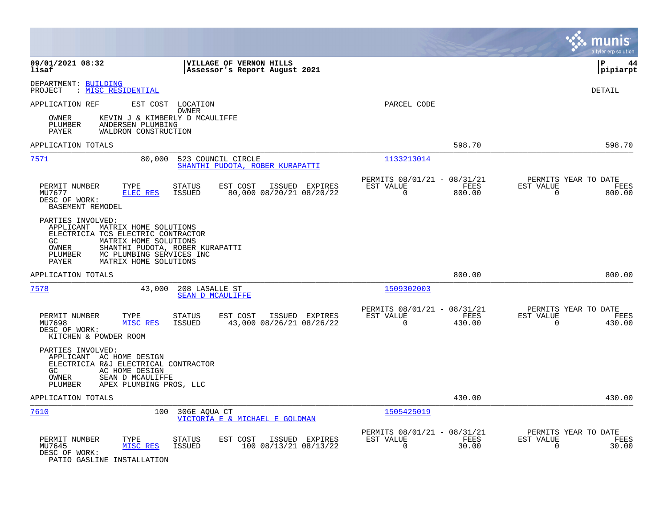|                                                                                                                                                                                                                                                |                                                                           | munis<br>a tyler erp solution                                       |
|------------------------------------------------------------------------------------------------------------------------------------------------------------------------------------------------------------------------------------------------|---------------------------------------------------------------------------|---------------------------------------------------------------------|
| 09/01/2021 08:32<br>VILLAGE OF VERNON HILLS<br>lisaf<br>Assessor's Report August 2021                                                                                                                                                          |                                                                           | P<br>44<br> pipiarpt                                                |
| DEPARTMENT: BUILDING<br>PROJECT<br>: MISC RESIDENTIAL                                                                                                                                                                                          |                                                                           | <b>DETAIL</b>                                                       |
| APPLICATION REF<br>EST COST LOCATION<br>OWNER<br>OWNER<br>KEVIN J & KIMBERLY D MCAULIFFE<br>PLUMBER<br>ANDERSEN PLUMBING<br>PAYER<br>WALDRON CONSTRUCTION                                                                                      | PARCEL CODE                                                               |                                                                     |
| APPLICATION TOTALS                                                                                                                                                                                                                             | 598.70                                                                    | 598.70                                                              |
| 7571<br>80,000<br>523 COUNCIL CIRCLE<br>SHANTHI PUDOTA, ROBER KURAPATTI                                                                                                                                                                        | 1133213014                                                                |                                                                     |
| PERMIT NUMBER<br>TYPE<br><b>STATUS</b><br>EST COST<br>ISSUED EXPIRES<br>MU7677<br>ELEC RES<br><b>ISSUED</b><br>80,000 08/20/21 08/20/22<br>DESC OF WORK:<br>BASEMENT REMODEL                                                                   | PERMITS 08/01/21 - 08/31/21<br>FEES<br>EST VALUE<br>$\mathbf 0$<br>800.00 | PERMITS YEAR TO DATE<br>EST VALUE<br>FEES<br>$\mathsf{O}$<br>800.00 |
| PARTIES INVOLVED:<br>APPLICANT MATRIX HOME SOLUTIONS<br>ELECTRICIA TCS ELECTRIC CONTRACTOR<br>GC<br>MATRIX HOME SOLUTIONS<br>OWNER<br>SHANTHI PUDOTA, ROBER KURAPATTI<br>PLUMBER<br>MC PLUMBING SERVICES INC<br>PAYER<br>MATRIX HOME SOLUTIONS |                                                                           |                                                                     |
| APPLICATION TOTALS                                                                                                                                                                                                                             | 800.00                                                                    | 800.00                                                              |
| 7578<br>43,000<br>208 LASALLE ST<br><b>SEAN D MCAULIFFE</b>                                                                                                                                                                                    | 1509302003                                                                |                                                                     |
| PERMIT NUMBER<br>TYPE<br><b>STATUS</b><br>EST COST<br>ISSUED EXPIRES<br>MISC RES<br>ISSUED<br>43,000 08/26/21 08/26/22<br>MU7698<br>DESC OF WORK:<br>KITCHEN & POWDER ROOM                                                                     | PERMITS 08/01/21 - 08/31/21<br>EST VALUE<br>FEES<br>$\Omega$<br>430.00    | PERMITS YEAR TO DATE<br>EST VALUE<br>FEES<br>$\Omega$<br>430.00     |
| PARTIES INVOLVED:<br>APPLICANT AC HOME DESIGN<br>ELECTRICIA R&J ELECTRICAL CONTRACTOR<br>AC HOME DESIGN<br>GC.<br>OWNER<br>SEAN D MCAULIFFE<br>PLUMBER<br>APEX PLUMBING PROS, LLC                                                              |                                                                           |                                                                     |
| APPLICATION TOTALS                                                                                                                                                                                                                             | 430.00                                                                    | 430.00                                                              |
| 7610<br>100<br>306E AQUA CT<br>VICTORIA E & MICHAEL E GOLDMAN                                                                                                                                                                                  | 1505425019                                                                |                                                                     |
| PERMIT NUMBER<br>TYPE<br><b>STATUS</b><br>EST COST<br>ISSUED EXPIRES<br>MU7645<br>MISC RES<br>ISSUED<br>100 08/13/21 08/13/22<br>DESC OF WORK:<br>PATIO GASLINE INSTALLATION                                                                   | PERMITS 08/01/21 - 08/31/21<br>EST VALUE<br>FEES<br>0<br>30.00            | PERMITS YEAR TO DATE<br>EST VALUE<br>FEES<br>$\mathbf 0$<br>30.00   |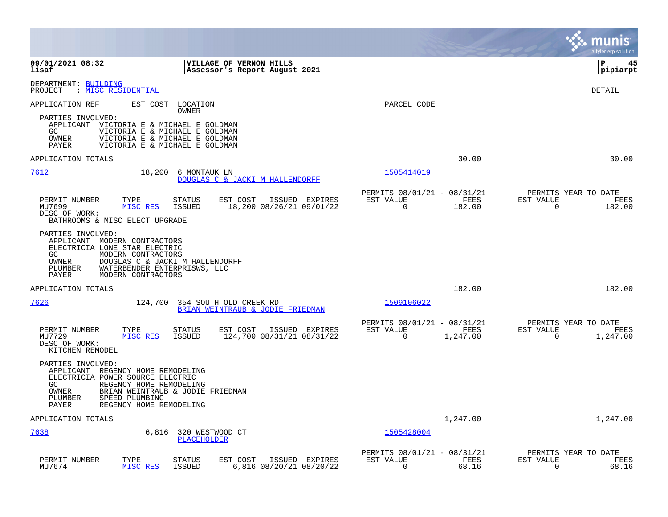|                                                                                                                                                                                                                                            |                                                                             | munis<br>a tyler erp solution                                        |
|--------------------------------------------------------------------------------------------------------------------------------------------------------------------------------------------------------------------------------------------|-----------------------------------------------------------------------------|----------------------------------------------------------------------|
| 09/01/2021 08:32<br><b> VILLAGE OF VERNON HILLS</b><br>lisaf<br>Assessor's Report August 2021                                                                                                                                              |                                                                             | l P<br>45<br> pipiarpt                                               |
| DEPARTMENT: BUILDING<br>: MISC RESIDENTIAL<br>PROJECT                                                                                                                                                                                      |                                                                             | <b>DETAIL</b>                                                        |
| APPLICATION REF<br>EST COST<br>LOCATION<br>OWNER                                                                                                                                                                                           | PARCEL CODE                                                                 |                                                                      |
| PARTIES INVOLVED:<br>APPLICANT VICTORIA E & MICHAEL E GOLDMAN<br>GC.<br>VICTORIA E & MICHAEL E GOLDMAN<br>VICTORIA E & MICHAEL E GOLDMAN<br>OWNER<br>PAYER<br>VICTORIA E & MICHAEL E GOLDMAN                                               |                                                                             |                                                                      |
| APPLICATION TOTALS                                                                                                                                                                                                                         | 30.00                                                                       | 30.00                                                                |
| 7612<br>18,200<br>6 MONTAUK LN<br>DOUGLAS C & JACKI M HALLENDORFF                                                                                                                                                                          | 1505414019                                                                  |                                                                      |
| PERMIT NUMBER<br>TYPE<br><b>STATUS</b><br>EST COST<br>ISSUED EXPIRES<br>18,200 08/26/21 09/01/22<br>MU7699<br>MISC RES<br>ISSUED<br>DESC OF WORK:<br>BATHROOMS & MISC ELECT UPGRADE                                                        | PERMITS 08/01/21 - 08/31/21<br>FEES<br>EST VALUE<br>$\mathbf 0$<br>182.00   | PERMITS YEAR TO DATE<br>EST VALUE<br>FEES<br>$\Omega$<br>182.00      |
| PARTIES INVOLVED:<br>APPLICANT MODERN CONTRACTORS<br>ELECTRICIA LONE STAR ELECTRIC<br>GC<br>MODERN CONTRACTORS<br>OWNER<br>DOUGLAS C & JACKI M HALLENDORFF<br>PLUMBER<br>WATERBENDER ENTERPRISWS, LLC<br>PAYER<br>MODERN CONTRACTORS       |                                                                             |                                                                      |
| APPLICATION TOTALS                                                                                                                                                                                                                         | 182.00                                                                      | 182.00                                                               |
| 7626<br>124,700<br>354 SOUTH OLD CREEK RD<br>BRIAN WEINTRAUB & JODIE FRIEDMAN                                                                                                                                                              | 1509106022                                                                  |                                                                      |
| PERMIT NUMBER<br><b>STATUS</b><br>EST COST<br>ISSUED EXPIRES<br>TYPE<br>124,700 08/31/21 08/31/22<br>MU7729<br>MISC RES<br>ISSUED<br>DESC OF WORK:<br>KITCHEN REMODEL                                                                      | PERMITS 08/01/21 - 08/31/21<br>EST VALUE<br>FEES<br>$\mathbf 0$<br>1,247.00 | PERMITS YEAR TO DATE<br>EST VALUE<br>FEES<br>$\mathbf 0$<br>1,247.00 |
| PARTIES INVOLVED:<br>APPLICANT REGENCY HOME REMODELING<br>ELECTRICIA POWER SOURCE ELECTRIC<br>GC.<br>REGENCY HOME REMODELING<br>OWNER<br>BRIAN WEINTRAUB & JODIE FRIEDMAN<br>PLUMBER<br>SPEED PLUMBING<br>PAYER<br>REGENCY HOME REMODELING |                                                                             |                                                                      |
| APPLICATION TOTALS                                                                                                                                                                                                                         | 1,247.00                                                                    | 1,247.00                                                             |
| 7638<br>6,816<br>320 WESTWOOD CT<br>PLACEHOLDER                                                                                                                                                                                            | 1505428004                                                                  |                                                                      |
| PERMIT NUMBER<br>TYPE<br>EST COST<br>ISSUED EXPIRES<br><b>STATUS</b><br>MU7674<br>MISC RES<br><b>ISSUED</b><br>6,816 08/20/21 08/20/22                                                                                                     | PERMITS 08/01/21 - 08/31/21<br>EST VALUE<br>FEES<br>0<br>68.16              | PERMITS YEAR TO DATE<br>EST VALUE<br>FEES<br>0<br>68.16              |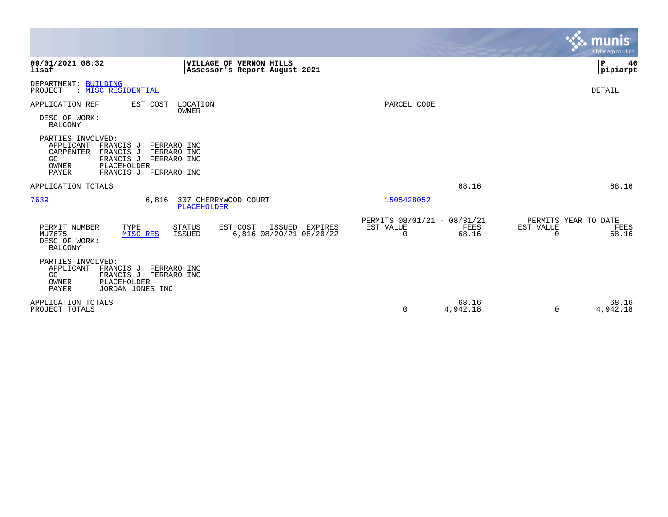|                                                                                                                                                                                            |                                                                                  | munis<br>a tyler erp solution                                  |
|--------------------------------------------------------------------------------------------------------------------------------------------------------------------------------------------|----------------------------------------------------------------------------------|----------------------------------------------------------------|
| 09/01/2021 08:32<br>VILLAGE OF VERNON HILLS<br>lisaf<br>Assessor's Report August 2021                                                                                                      |                                                                                  | ${\bf P}$<br>46<br> pipiarpt                                   |
| DEPARTMENT: BUILDING<br>: MISC RESIDENTIAL<br>PROJECT                                                                                                                                      |                                                                                  | DETAIL                                                         |
| APPLICATION REF<br>LOCATION<br>EST COST<br>OWNER<br>DESC OF WORK:<br><b>BALCONY</b>                                                                                                        | PARCEL CODE                                                                      |                                                                |
| PARTIES INVOLVED:<br>APPLICANT<br>FRANCIS J. FERRARO INC<br>CARPENTER<br>FRANCIS J. FERRARO INC<br>GC<br>FRANCIS J. FERRARO INC<br>PLACEHOLDER<br>OWNER<br>PAYER<br>FRANCIS J. FERRARO INC |                                                                                  |                                                                |
| APPLICATION TOTALS                                                                                                                                                                         | 68.16                                                                            | 68.16                                                          |
| 7639<br>6,816<br>307 CHERRYWOOD COURT<br><b>PLACEHOLDER</b>                                                                                                                                | 1505428052                                                                       |                                                                |
| EST COST<br>PERMIT NUMBER<br>TYPE<br>STATUS<br>MU7675<br>6,816 08/20/21 08/20/22<br><b>ISSUED</b><br>MISC RES<br>DESC OF WORK:<br><b>BALCONY</b>                                           | PERMITS 08/01/21 - 08/31/21<br>ISSUED EXPIRES<br>EST VALUE<br>FEES<br>0<br>68.16 | PERMITS YEAR TO DATE<br>EST VALUE<br>FEES<br>68.16<br>$\Omega$ |
| PARTIES INVOLVED:<br>APPLICANT<br>FRANCIS J. FERRARO INC<br>GC<br>FRANCIS J. FERRARO INC<br>PLACEHOLDER<br>OWNER<br>PAYER<br>JORDAN JONES INC                                              |                                                                                  |                                                                |
| APPLICATION TOTALS<br>PROJECT TOTALS                                                                                                                                                       | 68.16<br>4,942.18<br>0                                                           | 68.16<br>4,942.18<br>$\Omega$                                  |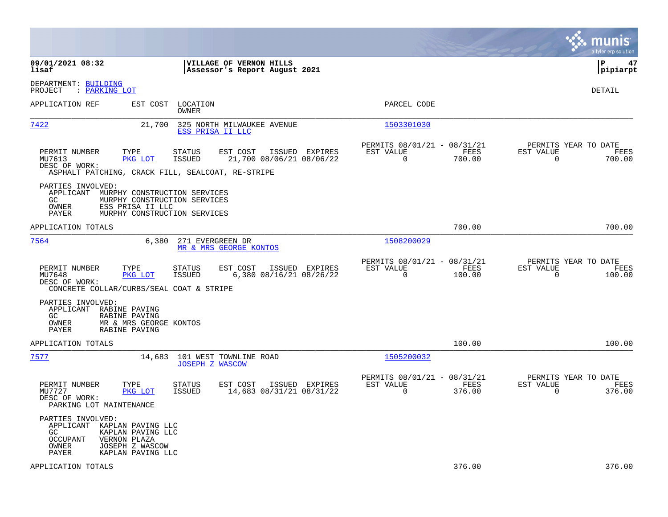|                                                                                                                                                                   |                                                                                                                                               |                                                                           | munis<br>a tyler erp solution                                      |
|-------------------------------------------------------------------------------------------------------------------------------------------------------------------|-----------------------------------------------------------------------------------------------------------------------------------------------|---------------------------------------------------------------------------|--------------------------------------------------------------------|
| 09/01/2021 08:32<br>lisaf                                                                                                                                         | VILLAGE OF VERNON HILLS<br>Assessor's Report August 2021                                                                                      |                                                                           | l P<br>47<br> pipiarpt                                             |
| DEPARTMENT: BUILDING<br>: PARKING LOT<br>PROJECT                                                                                                                  |                                                                                                                                               |                                                                           | <b>DETAIL</b>                                                      |
| APPLICATION REF                                                                                                                                                   | EST COST LOCATION<br>OWNER                                                                                                                    | PARCEL CODE                                                               |                                                                    |
| <u>7422</u>                                                                                                                                                       | 21,700<br>325 NORTH MILWAUKEE AVENUE<br>ESS PRISA II LLC                                                                                      | 1503301030                                                                |                                                                    |
| TYPE<br>PERMIT NUMBER<br>MU7613<br>PKG LOT<br>DESC OF WORK:                                                                                                       | <b>STATUS</b><br>EST COST<br>ISSUED EXPIRES<br><b>ISSUED</b><br>21,700 08/06/21 08/06/22<br>ASPHALT PATCHING, CRACK FILL, SEALCOAT, RE-STRIPE | PERMITS 08/01/21 - 08/31/21<br>EST VALUE<br>FEES<br>$\mathbf 0$<br>700.00 | PERMITS YEAR TO DATE<br>EST VALUE<br>FEES<br>$\mathbf 0$<br>700.00 |
| PARTIES INVOLVED:<br>APPLICANT MURPHY CONSTRUCTION SERVICES<br>GC<br>OWNER<br>ESS PRISA II LLC<br>PAYER                                                           | MURPHY CONSTRUCTION SERVICES<br>MURPHY CONSTRUCTION SERVICES                                                                                  |                                                                           |                                                                    |
| APPLICATION TOTALS                                                                                                                                                |                                                                                                                                               | 700.00                                                                    | 700.00                                                             |
| 7564                                                                                                                                                              | 6,380<br>271 EVERGREEN DR<br>MR & MRS GEORGE KONTOS                                                                                           | 1508200029                                                                |                                                                    |
| PERMIT NUMBER<br>TYPE<br>MU7648<br>PKG LOT<br>DESC OF WORK:<br>CONCRETE COLLAR/CURBS/SEAL COAT & STRIPE                                                           | <b>STATUS</b><br>EST COST<br>ISSUED EXPIRES<br>ISSUED<br>6,380 08/16/21 08/26/22                                                              | PERMITS 08/01/21 - 08/31/21<br>EST VALUE<br>FEES<br>$\mathbf 0$<br>100.00 | PERMITS YEAR TO DATE<br>EST VALUE<br>FEES<br>$\mathbf 0$<br>100.00 |
| PARTIES INVOLVED:<br>APPLICANT RABINE PAVING<br>GC.<br>RABINE PAVING<br>OWNER<br>RABINE PAVING<br>PAYER                                                           | MR & MRS GEORGE KONTOS                                                                                                                        |                                                                           |                                                                    |
| APPLICATION TOTALS                                                                                                                                                |                                                                                                                                               | 100.00                                                                    | 100.00                                                             |
| 7577                                                                                                                                                              | 14,683<br>101 WEST TOWNLINE ROAD<br><b>JOSEPH Z WASCOW</b>                                                                                    | 1505200032                                                                |                                                                    |
| PERMIT NUMBER<br>TYPE<br>MU7727<br>PKG LOT<br>DESC OF WORK:<br>PARKING LOT MAINTENANCE                                                                            | <b>STATUS</b><br>EST COST<br>ISSUED EXPIRES<br>14,683 08/31/21 08/31/22<br>ISSUED                                                             | PERMITS 08/01/21 - 08/31/21<br>EST VALUE<br>FEES<br>0<br>376.00           | PERMITS YEAR TO DATE<br>EST VALUE<br>FEES<br>$\mathbf 0$<br>376.00 |
| PARTIES INVOLVED:<br>APPLICANT KAPLAN PAVING LLC<br>KAPLAN PAVING LLC<br>GC<br>OCCUPANT<br>VERNON PLAZA<br>OWNER<br>JOSEPH Z WASCOW<br>PAYER<br>KAPLAN PAVING LLC |                                                                                                                                               |                                                                           |                                                                    |
| APPLICATION TOTALS                                                                                                                                                |                                                                                                                                               | 376.00                                                                    | 376.00                                                             |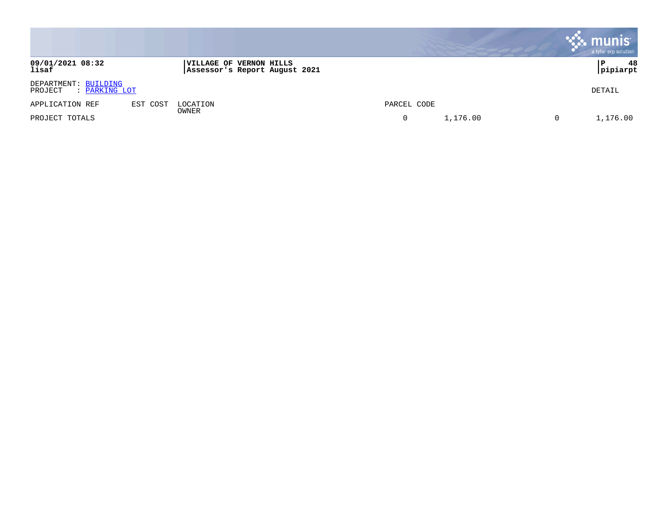|                                                  |          |                                                          |             |          |   | , munis <sup>.</sup><br>a tyler erp solution |
|--------------------------------------------------|----------|----------------------------------------------------------|-------------|----------|---|----------------------------------------------|
| 09/01/2021 08:32<br>lisaf                        |          | VILLAGE OF VERNON HILLS<br>Assessor's Report August 2021 |             |          |   | 48<br>Р<br>pipiarpt                          |
| DEPARTMENT: BUILDING<br>PROJECT<br>: PARKING LOT |          |                                                          |             |          |   | DETAIL                                       |
| APPLICATION REF                                  | EST COST | LOCATION                                                 | PARCEL CODE |          |   |                                              |
| PROJECT TOTALS                                   |          | OWNER                                                    | 0           | 1,176.00 | 0 | 1,176.00                                     |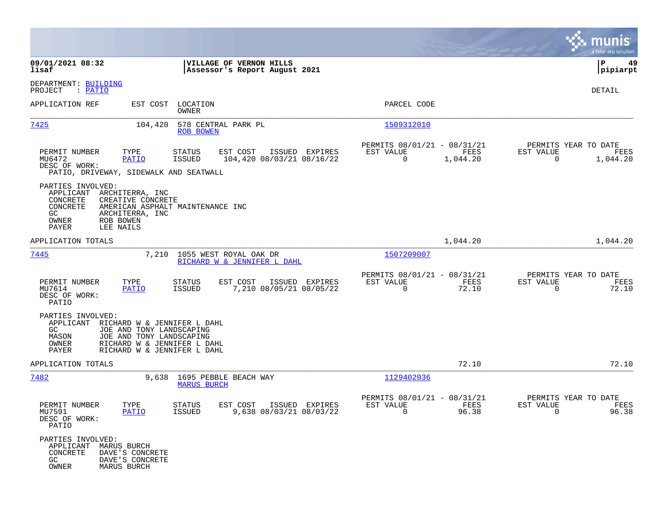|                                                                                                                                                                                                                    |                                                                                  |                                                                             | munis<br>a tyler erp solution                                        |
|--------------------------------------------------------------------------------------------------------------------------------------------------------------------------------------------------------------------|----------------------------------------------------------------------------------|-----------------------------------------------------------------------------|----------------------------------------------------------------------|
| 09/01/2021 08:32<br>lisaf                                                                                                                                                                                          | VILLAGE OF VERNON HILLS<br>Assessor's Report August 2021                         |                                                                             | ΙP<br>49<br> pipiarpt                                                |
| DEPARTMENT: BUILDING<br>PROJECT<br>: PATIO                                                                                                                                                                         |                                                                                  |                                                                             | DETAIL                                                               |
| APPLICATION REF                                                                                                                                                                                                    | EST COST LOCATION<br>OWNER                                                       | PARCEL CODE                                                                 |                                                                      |
| 7425<br>104,420                                                                                                                                                                                                    | 578 CENTRAL PARK PL<br><b>ROB BOWEN</b>                                          | 1509312010                                                                  |                                                                      |
| PERMIT NUMBER<br>TYPE<br>MU6472<br>PATIO<br>DESC OF WORK:<br>PATIO, DRIVEWAY, SIDEWALK AND SEATWALL                                                                                                                | STATUS<br>EST COST<br>ISSUED EXPIRES<br>ISSUED<br>104,420 08/03/21 08/16/22      | PERMITS 08/01/21 - 08/31/21<br>EST VALUE<br>FEES<br>$\mathbf 0$<br>1,044.20 | PERMITS YEAR TO DATE<br>EST VALUE<br>FEES<br>1,044.20<br>$\Omega$    |
| PARTIES INVOLVED:<br>APPLICANT<br>ARCHITERRA, INC<br>CONCRETE<br>CREATIVE CONCRETE<br>CONCRETE<br>GC.<br>ARCHITERRA, INC<br>OWNER<br>ROB BOWEN<br>LEE NAILS<br>PAYER                                               | AMERICAN ASPHALT MAINTENANCE INC                                                 |                                                                             |                                                                      |
| APPLICATION TOTALS                                                                                                                                                                                                 |                                                                                  | 1,044.20                                                                    | 1,044.20                                                             |
| 7445                                                                                                                                                                                                               | 7,210 1055 WEST ROYAL OAK DR<br>RICHARD W & JENNIFER L DAHL                      | 1507209007                                                                  |                                                                      |
| PERMIT NUMBER<br>TYPE<br>MU7614<br><b>PATIO</b><br>DESC OF WORK:<br>PATIO                                                                                                                                          | EST COST<br>ISSUED EXPIRES<br>STATUS<br>ISSUED<br>7,210 08/05/21 08/05/22        | PERMITS 08/01/21 - 08/31/21<br>EST VALUE<br>FEES<br>$\Omega$<br>72.10       | PERMITS YEAR TO DATE<br>EST VALUE<br>FEES<br>$\mathbf 0$<br>72.10    |
| PARTIES INVOLVED:<br>APPLICANT RICHARD W & JENNIFER L DAHL<br>GC.<br>JOE AND TONY LANDSCAPING<br>JOE AND TONY LANDSCAPING<br>MASON<br>OWNER<br>RICHARD W & JENNIFER L DAHL<br>PAYER<br>RICHARD W & JENNIFER L DAHL |                                                                                  |                                                                             |                                                                      |
| APPLICATION TOTALS                                                                                                                                                                                                 |                                                                                  | 72.10                                                                       | 72.10                                                                |
| 7482                                                                                                                                                                                                               | 9,638 1695 PEBBLE BEACH WAY<br><b>MARUS BURCH</b>                                | 1129402036                                                                  |                                                                      |
| PERMIT NUMBER<br>TYPE<br>MU7591<br>PATIO<br>DESC OF WORK:<br>PATIO                                                                                                                                                 | <b>STATUS</b><br>EST COST<br>ISSUED EXPIRES<br>ISSUED<br>9,638 08/03/21 08/03/22 | PERMITS 08/01/21 - 08/31/21<br>EST VALUE<br>FEES<br>$\sim$ 0<br>96.38       | PERMITS YEAR TO DATE<br>EST VALUE<br>FEES<br>$\overline{0}$<br>96.38 |
| PARTIES INVOLVED:<br>APPLICANT MARUS BURCH<br>CONCRETE<br>DAVE'S CONCRETE<br>GC<br>DAVE'S CONCRETE<br>OWNER<br>MARUS BURCH                                                                                         |                                                                                  |                                                                             |                                                                      |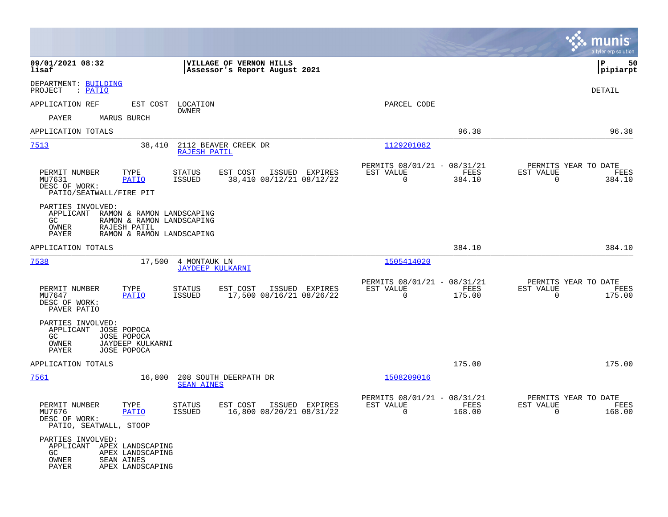|                                                                                                                                                               |                                                                                   |                                                                              | munis<br>a tyler erp solution                                         |
|---------------------------------------------------------------------------------------------------------------------------------------------------------------|-----------------------------------------------------------------------------------|------------------------------------------------------------------------------|-----------------------------------------------------------------------|
| 09/01/2021 08:32<br>lisaf                                                                                                                                     | VILLAGE OF VERNON HILLS<br>Assessor's Report August 2021                          |                                                                              | ΙP<br>50<br> pipiarpt                                                 |
| DEPARTMENT: BUILDING<br>PROJECT<br>: <u>PATIO</u>                                                                                                             |                                                                                   |                                                                              | DETAIL                                                                |
| APPLICATION REF<br>EST COST                                                                                                                                   | LOCATION                                                                          | PARCEL CODE                                                                  |                                                                       |
| PAYER<br>MARUS BURCH                                                                                                                                          | OWNER                                                                             |                                                                              |                                                                       |
| APPLICATION TOTALS                                                                                                                                            |                                                                                   | 96.38                                                                        | 96.38                                                                 |
| 7513<br>38,410                                                                                                                                                | 2112 BEAVER CREEK DR<br>RAJESH PATIL                                              | 1129201082                                                                   |                                                                       |
| TYPE<br>PERMIT NUMBER<br>MU7631<br>PATIO<br>DESC OF WORK:<br>PATIO/SEATWALL/FIRE PIT                                                                          | <b>STATUS</b><br>EST COST<br>ISSUED EXPIRES<br>ISSUED<br>38,410 08/12/21 08/12/22 | PERMITS 08/01/21 - 08/31/21<br>FEES<br>EST VALUE<br>384.10<br>$\overline{0}$ | PERMITS YEAR TO DATE<br>EST VALUE<br>FEES<br>$\overline{0}$<br>384.10 |
| PARTIES INVOLVED:<br>APPLICANT<br>RAMON & RAMON LANDSCAPING<br>GC<br>RAMON & RAMON LANDSCAPING<br>RAJESH PATIL<br>OWNER<br>PAYER<br>RAMON & RAMON LANDSCAPING |                                                                                   |                                                                              |                                                                       |
| APPLICATION TOTALS                                                                                                                                            |                                                                                   | 384.10                                                                       | 384.10                                                                |
| 7538                                                                                                                                                          | 17,500 4 MONTAUK LN<br><b>JAYDEEP KULKARNI</b>                                    | 1505414020                                                                   |                                                                       |
| PERMIT NUMBER<br>TYPE<br>MU7647<br>PATIO<br>DESC OF WORK:<br>PAVER PATIO                                                                                      | <b>STATUS</b><br>EST COST<br>ISSUED EXPIRES<br>ISSUED<br>17,500 08/16/21 08/26/22 | PERMITS 08/01/21 - 08/31/21<br>FEES<br>EST VALUE<br>$\mathbf 0$<br>175.00    | PERMITS YEAR TO DATE<br>EST VALUE<br>FEES<br>$\overline{0}$<br>175.00 |
| PARTIES INVOLVED:<br>APPLICANT<br>JOSE POPOCA<br>GC<br><b>JOSE POPOCA</b><br>OWNER<br>JAYDEEP KULKARNI<br>PAYER<br>JOSE POPOCA                                |                                                                                   |                                                                              |                                                                       |
| APPLICATION TOTALS                                                                                                                                            |                                                                                   | 175.00                                                                       | 175.00                                                                |
| 7561<br>16,800                                                                                                                                                | 208 SOUTH DEERPATH DR<br><b>SEAN AINES</b>                                        | 1508209016                                                                   |                                                                       |
| PERMIT NUMBER<br>TYPE<br>MU7676<br><u>PATIO</u><br>DESC OF WORK:<br>PATIO, SEATWALL, STOOP                                                                    | <b>STATUS</b><br>EST COST<br>ISSUED EXPIRES<br>ISSUED<br>16,800 08/20/21 08/31/22 | PERMITS 08/01/21 - 08/31/21<br>EST VALUE<br>FEES<br>168.00<br>U              | PERMITS YEAR TO DATE<br>EST VALUE<br>FEES<br>0<br>168.00              |
| PARTIES INVOLVED:<br>APPLICANT APEX LANDSCAPING<br>GC<br>APEX LANDSCAPING<br>OWNER<br>SEAN AINES<br>PAYER<br>APEX LANDSCAPING                                 |                                                                                   |                                                                              |                                                                       |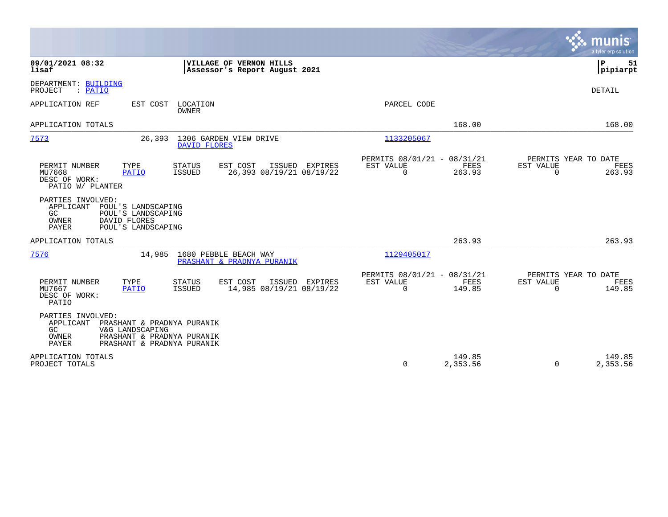|                                                                                                                                                                             | munis<br>a tyler erp solution                                                                                                                                                                  |
|-----------------------------------------------------------------------------------------------------------------------------------------------------------------------------|------------------------------------------------------------------------------------------------------------------------------------------------------------------------------------------------|
| 09/01/2021 08:32<br>VILLAGE OF VERNON HILLS<br>lisaf<br>Assessor's Report August 2021                                                                                       | P<br> pipiarpt                                                                                                                                                                                 |
| DEPARTMENT: BUILDING<br>PROJECT<br>: PATIO                                                                                                                                  | DETAIL                                                                                                                                                                                         |
| APPLICATION REF<br>LOCATION<br>EST COST<br>OWNER                                                                                                                            | PARCEL CODE                                                                                                                                                                                    |
| APPLICATION TOTALS                                                                                                                                                          | 168.00<br>168.00                                                                                                                                                                               |
| 7573<br>26,393 1306 GARDEN VIEW DRIVE<br><b>DAVID FLORES</b>                                                                                                                | 1133205067                                                                                                                                                                                     |
| PERMIT NUMBER<br>TYPE<br><b>STATUS</b><br>EST COST<br>MU7668<br><b>PATIO</b><br>ISSUED<br>DESC OF WORK:<br>PATIO W/ PLANTER                                                 | PERMITS 08/01/21 - 08/31/21<br>PERMITS YEAR TO DATE<br>ISSUED EXPIRES<br>EST VALUE<br>FEES<br>EST VALUE<br>FEES<br>$\mathbf 0$<br>26,393 08/19/21 08/19/22<br>263.93<br>$\Omega$<br>263.93     |
| PARTIES INVOLVED:<br>APPLICANT<br>POUL'S LANDSCAPING<br>GC<br>POUL'S LANDSCAPING<br>OWNER<br>DAVID FLORES<br>PAYER<br>POUL'S LANDSCAPING                                    |                                                                                                                                                                                                |
| APPLICATION TOTALS                                                                                                                                                          | 263.93<br>263.93                                                                                                                                                                               |
| 7576<br>14,985<br>1680 PEBBLE BEACH WAY<br>PRASHANT & PRADNYA PURANIK                                                                                                       | 1129405017                                                                                                                                                                                     |
| TYPE<br>EST COST<br>PERMIT NUMBER<br><b>STATUS</b><br>MU7667<br>ISSUED<br>PATIO<br>DESC OF WORK:<br>PATIO                                                                   | PERMITS 08/01/21 - 08/31/21<br>PERMITS YEAR TO DATE<br>EST VALUE<br><b>FEES</b><br>EST VALUE<br>ISSUED EXPIRES<br>FEES<br>149.85<br>149.85<br>14,985 08/19/21 08/19/22<br>$\Omega$<br>$\Omega$ |
| PARTIES INVOLVED:<br>APPLICANT<br>PRASHANT & PRADNYA PURANIK<br>GC.<br>V&G LANDSCAPING<br>OWNER<br>PRASHANT & PRADNYA PURANIK<br><b>PAYER</b><br>PRASHANT & PRADNYA PURANIK |                                                                                                                                                                                                |
| APPLICATION TOTALS<br>PROJECT TOTALS                                                                                                                                        | 149.85<br>149.85<br>2,353.56<br>0<br>2,353.56<br>$\Omega$                                                                                                                                      |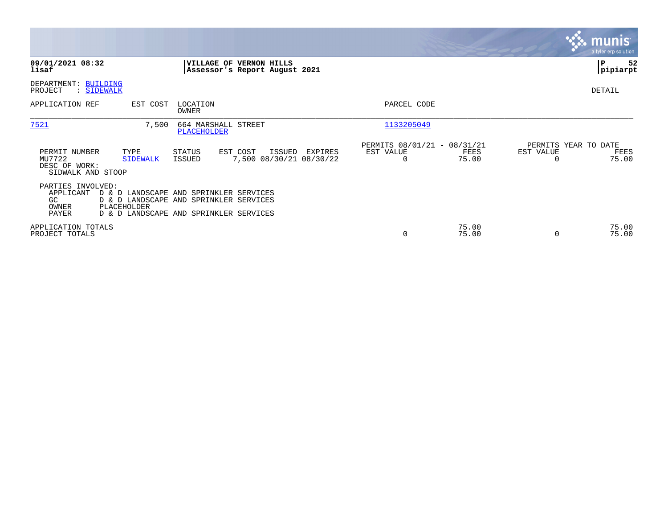|                                                               |                         |                                                                                                                            |          |        |                                    |                                                      |                |                                        | <b>munis</b><br>a tyler erp solution |
|---------------------------------------------------------------|-------------------------|----------------------------------------------------------------------------------------------------------------------------|----------|--------|------------------------------------|------------------------------------------------------|----------------|----------------------------------------|--------------------------------------|
| 09/01/2021 08:32<br>lisaf                                     |                         | <b>VILLAGE OF VERNON HILLS</b><br>Assessor's Report August 2021                                                            |          |        |                                    |                                                      |                |                                        | 52<br>P<br> pipiarpt                 |
| DEPARTMENT: BUILDING<br>PROJECT<br>: SIDEWALK                 |                         |                                                                                                                            |          |        |                                    |                                                      |                |                                        | DETAIL                               |
| APPLICATION REF                                               | EST COST                | LOCATION<br>OWNER                                                                                                          |          |        |                                    | PARCEL CODE                                          |                |                                        |                                      |
| 7521                                                          | 7,500                   | 664 MARSHALL STREET<br>PLACEHOLDER                                                                                         |          |        |                                    | 1133205049                                           |                |                                        |                                      |
| PERMIT NUMBER<br>MU7722<br>DESC OF WORK:<br>SIDWALK AND STOOP | TYPE<br><b>SIDEWALK</b> | STATUS<br>ISSUED                                                                                                           | EST COST | ISSUED | EXPIRES<br>7,500 08/30/21 08/30/22 | PERMITS 08/01/21 - 08/31/21<br>EST VALUE<br>$\Omega$ | FEES<br>75.00  | PERMITS YEAR TO DATE<br>EST VALUE<br>0 | FEES<br>75.00                        |
| PARTIES INVOLVED:<br>APPLICANT<br>GC<br>OWNER<br>PAYER        | PLACEHOLDER             | D & D LANDSCAPE AND SPRINKLER SERVICES<br>D & D LANDSCAPE AND SPRINKLER SERVICES<br>D & D LANDSCAPE AND SPRINKLER SERVICES |          |        |                                    |                                                      |                |                                        |                                      |
| APPLICATION TOTALS<br>PROJECT TOTALS                          |                         |                                                                                                                            |          |        |                                    | 0                                                    | 75.00<br>75.00 | $\Omega$                               | 75.00<br>75.00                       |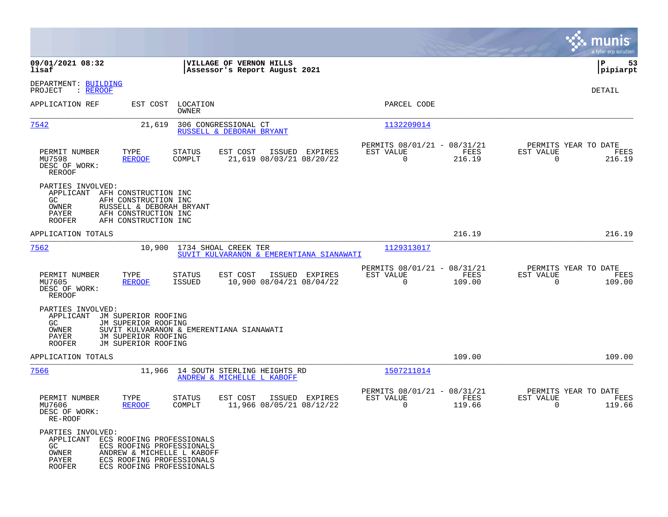|                                                                                                   |                                                                                                                                      |                                                                  |                |                                                         |                       |                                                  | munis<br>a tyler erp solution |
|---------------------------------------------------------------------------------------------------|--------------------------------------------------------------------------------------------------------------------------------------|------------------------------------------------------------------|----------------|---------------------------------------------------------|-----------------------|--------------------------------------------------|-------------------------------|
| 09/01/2021 08:32<br>lisaf                                                                         |                                                                                                                                      | VILLAGE OF VERNON HILLS<br>Assessor's Report August 2021         |                |                                                         |                       |                                                  | P<br>53<br> pipiarpt          |
| DEPARTMENT: BUILDING<br>PROJECT<br>: REROOF                                                       |                                                                                                                                      |                                                                  |                |                                                         |                       |                                                  | DETAIL                        |
| APPLICATION REF                                                                                   | LOCATION<br>EST COST<br>OWNER                                                                                                        |                                                                  |                | PARCEL CODE                                             |                       |                                                  |                               |
| 7542                                                                                              | 21,619                                                                                                                               | 306 CONGRESSIONAL CT<br>RUSSELL & DEBORAH BRYANT                 |                | 1132209014                                              |                       |                                                  |                               |
| PERMIT NUMBER<br>TYPE<br>MU7598<br>DESC OF WORK:<br>REROOF                                        | <b>STATUS</b><br><b>REROOF</b><br>COMPLT                                                                                             | EST COST<br>21,619 08/03/21 08/20/22                             | ISSUED EXPIRES | PERMITS 08/01/21 - 08/31/21<br>EST VALUE<br>$\mathbf 0$ | FEES<br>216.19        | PERMITS YEAR TO DATE<br>EST VALUE<br>$\Omega$    | FEES<br>216.19                |
| PARTIES INVOLVED:<br>APPLICANT AFH CONSTRUCTION INC<br>GC.<br>OWNER<br>PAYER<br><b>ROOFER</b>     | AFH CONSTRUCTION INC<br>RUSSELL & DEBORAH BRYANT<br>AFH CONSTRUCTION INC<br>AFH CONSTRUCTION INC                                     |                                                                  |                |                                                         |                       |                                                  |                               |
| APPLICATION TOTALS                                                                                |                                                                                                                                      |                                                                  |                |                                                         | 216.19                |                                                  | 216.19                        |
| 7562                                                                                              | 10,900                                                                                                                               | 1734 SHOAL CREEK TER<br>SUVIT KULVARANON & EMERENTIANA SIANAWATI |                | 1129313017                                              |                       |                                                  |                               |
| PERMIT NUMBER<br>TYPE<br>MU7605<br>DESC OF WORK:<br>REROOF                                        | <b>STATUS</b><br><b>REROOF</b><br>ISSUED                                                                                             | EST COST<br>10,900 08/04/21 08/04/22                             | ISSUED EXPIRES | PERMITS 08/01/21 - 08/31/21<br>EST VALUE<br>0           | FEES<br>109.00        | PERMITS YEAR TO DATE<br>EST VALUE<br>$\mathbf 0$ | FEES<br>109.00                |
| PARTIES INVOLVED:<br>APPLICANT<br>GC.<br>OWNER<br>PAYER<br>ROOFER                                 | JM SUPERIOR ROOFING<br>JM SUPERIOR ROOFING<br>SUVIT KULVARANON & EMERENTIANA SIANAWATI<br>JM SUPERIOR ROOFING<br>JM SUPERIOR ROOFING |                                                                  |                |                                                         |                       |                                                  |                               |
| APPLICATION TOTALS                                                                                |                                                                                                                                      |                                                                  |                |                                                         | 109.00                |                                                  | 109.00                        |
| 7566                                                                                              | 11,966                                                                                                                               | 14 SOUTH STERLING HEIGHTS RD<br>ANDREW & MICHELLE L KABOFF       |                | 1507211014                                              |                       |                                                  |                               |
| PERMIT NUMBER<br>TYPE<br>MU7606<br>DESC OF WORK:<br>RE-ROOF                                       | <b>STATUS</b><br><b>REROOF</b><br>COMPLT                                                                                             | EST COST<br>11,966 08/05/21 08/12/22                             | ISSUED EXPIRES | PERMITS 08/01/21 - 08/31/21<br>EST VALUE<br>0           | <b>FEES</b><br>119.66 | PERMITS YEAR TO DATE<br>EST VALUE<br>0           | FEES<br>119.66                |
| PARTIES INVOLVED:<br>APPLICANT ECS ROOFING PROFESSIONALS<br>GC<br>OWNER<br>PAYER<br><b>ROOFER</b> | ECS ROOFING PROFESSIONALS<br>ANDREW & MICHELLE L KABOFF<br>ECS ROOFING PROFESSIONALS<br>ECS ROOFING PROFESSIONALS                    |                                                                  |                |                                                         |                       |                                                  |                               |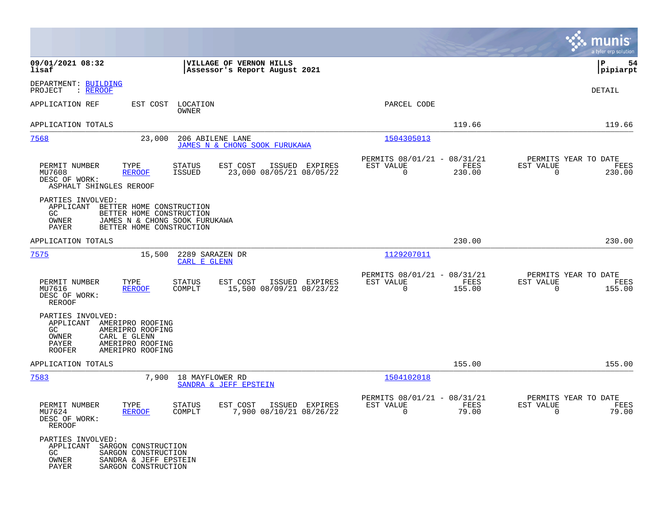|                                                                                                                                                                             |                                                                                   |                                                            |                |                                                     | munis<br>a tyler erp solution |
|-----------------------------------------------------------------------------------------------------------------------------------------------------------------------------|-----------------------------------------------------------------------------------|------------------------------------------------------------|----------------|-----------------------------------------------------|-------------------------------|
| 09/01/2021 08:32<br>lisaf                                                                                                                                                   | VILLAGE OF VERNON HILLS<br>Assessor's Report August 2021                          |                                                            |                |                                                     | P<br>54<br> pipiarpt          |
| DEPARTMENT: BUILDING<br>PROJECT<br>: <u>REROOF</u>                                                                                                                          |                                                                                   |                                                            |                |                                                     | DETAIL                        |
| APPLICATION REF<br>EST COST                                                                                                                                                 | LOCATION<br>OWNER                                                                 | PARCEL CODE                                                |                |                                                     |                               |
| APPLICATION TOTALS                                                                                                                                                          |                                                                                   |                                                            | 119.66         |                                                     | 119.66                        |
| 7568<br>23,000                                                                                                                                                              | 206 ABILENE LANE<br>JAMES N & CHONG SOOK FURUKAWA                                 | 1504305013                                                 |                |                                                     |                               |
| PERMIT NUMBER<br>TYPE<br>MU7608<br><b>REROOF</b><br>DESC OF WORK:<br>ASPHALT SHINGLES REROOF                                                                                | <b>STATUS</b><br>EST COST<br>ISSUED EXPIRES<br>23,000 08/05/21 08/05/22<br>ISSUED | PERMITS 08/01/21 - 08/31/21<br>EST VALUE<br>0              | FEES<br>230.00 | PERMITS YEAR TO DATE<br>EST VALUE<br>0              | FEES<br>230.00                |
| PARTIES INVOLVED:<br>APPLICANT<br>BETTER HOME CONSTRUCTION<br>GC<br>BETTER HOME CONSTRUCTION<br>OWNER<br>JAMES N & CHONG SOOK FURUKAWA<br>PAYER<br>BETTER HOME CONSTRUCTION |                                                                                   |                                                            |                |                                                     |                               |
| APPLICATION TOTALS                                                                                                                                                          |                                                                                   |                                                            | 230.00         |                                                     | 230.00                        |
| 7575<br>15,500                                                                                                                                                              | 2289 SARAZEN DR<br><b>CARL E GLENN</b>                                            | 1129207011                                                 |                |                                                     |                               |
| PERMIT NUMBER<br>TYPE<br>MU7616<br><b>REROOF</b><br>DESC OF WORK:<br>REROOF                                                                                                 | EST COST<br>ISSUED EXPIRES<br>STATUS<br>15,500 08/09/21 08/23/22<br>COMPLT        | PERMITS 08/01/21 - 08/31/21<br>EST VALUE<br>$\mathbf 0$    | FEES<br>155.00 | PERMITS YEAR TO DATE<br>EST VALUE<br>$\Omega$       | FEES<br>155.00                |
| PARTIES INVOLVED:<br>AMERIPRO ROOFING<br>APPLICANT<br>GC.<br>AMERIPRO ROOFING<br>CARL E GLENN<br>OWNER<br>PAYER<br>AMERIPRO ROOFING<br><b>ROOFER</b><br>AMERIPRO ROOFING    |                                                                                   |                                                            |                |                                                     |                               |
| APPLICATION TOTALS                                                                                                                                                          |                                                                                   |                                                            | 155.00         |                                                     | 155.00                        |
| 7583<br>7,900                                                                                                                                                               | 18 MAYFLOWER RD<br>SANDRA & JEFF EPSTEIN                                          | 1504102018                                                 |                |                                                     |                               |
| PERMIT NUMBER<br>TYPE<br>MU7624<br><b>REROOF</b><br>DESC OF WORK:<br>REROOF                                                                                                 | <b>STATUS</b><br>EST COST<br>ISSUED EXPIRES<br>COMPLT<br>7,900 08/10/21 08/26/22  | PERMITS 08/01/21 - 08/31/21<br>EST VALUE<br>$\overline{0}$ | FEES<br>79.00  | PERMITS YEAR TO DATE<br>EST VALUE<br>$\overline{0}$ | FEES<br>79.00                 |
| PARTIES INVOLVED:<br>APPLICANT<br>SARGON CONSTRUCTION<br>GC<br>SARGON CONSTRUCTION<br>OWNER<br>SANDRA & JEFF EPSTEIN<br>PAYER<br>SARGON CONSTRUCTION                        |                                                                                   |                                                            |                |                                                     |                               |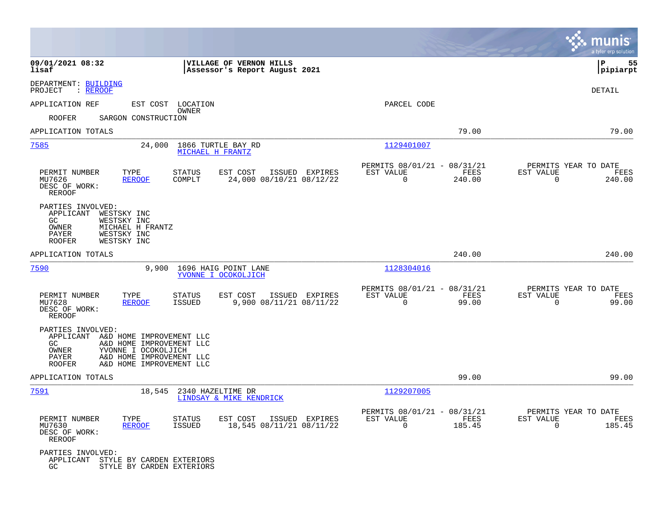|                                                                                                                                                                                                              |                                                                                         |                                                                           | munis<br>a tyler erp solution                                         |
|--------------------------------------------------------------------------------------------------------------------------------------------------------------------------------------------------------------|-----------------------------------------------------------------------------------------|---------------------------------------------------------------------------|-----------------------------------------------------------------------|
| 09/01/2021 08:32<br>lisaf                                                                                                                                                                                    | VILLAGE OF VERNON HILLS<br>Assessor's Report August 2021                                |                                                                           | l P<br>55<br> pipiarpt                                                |
| DEPARTMENT: BUILDING<br>: REROOF<br>PROJECT                                                                                                                                                                  |                                                                                         |                                                                           | <b>DETAIL</b>                                                         |
| APPLICATION REF                                                                                                                                                                                              | EST COST LOCATION                                                                       | PARCEL CODE                                                               |                                                                       |
| SARGON CONSTRUCTION<br><b>ROOFER</b>                                                                                                                                                                         | <b>OWNER</b>                                                                            |                                                                           |                                                                       |
| APPLICATION TOTALS                                                                                                                                                                                           |                                                                                         | 79.00                                                                     | 79.00                                                                 |
| 7585<br>24,000                                                                                                                                                                                               | 1866 TURTLE BAY RD<br>MICHAEL H FRANTZ                                                  | 1129401007                                                                |                                                                       |
| PERMIT NUMBER<br>TYPE<br><b>REROOF</b><br>MU7626<br>DESC OF WORK:<br><b>REROOF</b>                                                                                                                           | EST COST<br>ISSUED EXPIRES<br>STATUS<br>COMPLT<br>24,000 08/10/21 08/12/22              | PERMITS 08/01/21 - 08/31/21<br>EST VALUE<br>FEES<br>$\mathbf 0$<br>240.00 | PERMITS YEAR TO DATE<br>EST VALUE<br>FEES<br>$\overline{0}$<br>240.00 |
| PARTIES INVOLVED:<br>APPLICANT<br>WESTSKY INC<br>WESTSKY INC<br>GC<br>OWNER<br>MICHAEL H FRANTZ<br>WESTSKY INC<br>PAYER<br><b>ROOFER</b><br>WESTSKY INC                                                      |                                                                                         |                                                                           |                                                                       |
| APPLICATION TOTALS                                                                                                                                                                                           |                                                                                         | 240.00                                                                    | 240.00                                                                |
| 7590<br>9,900                                                                                                                                                                                                | 1696 HAIG POINT LANE<br>YVONNE I OCOKOLJICH                                             | 1128304016                                                                |                                                                       |
| PERMIT NUMBER<br>TYPE<br>MU7628<br><b>REROOF</b><br>DESC OF WORK:<br><b>REROOF</b>                                                                                                                           | <b>STATUS</b><br>EST COST<br>ISSUED EXPIRES<br><b>ISSUED</b><br>9,900 08/11/21 08/11/22 | PERMITS 08/01/21 - 08/31/21<br>EST VALUE<br>FEES<br>$\Omega$<br>99.00     | PERMITS YEAR TO DATE<br>EST VALUE<br>FEES<br>$\Omega$<br>99.00        |
| PARTIES INVOLVED:<br>APPLICANT A&D HOME IMPROVEMENT LLC<br>GC.<br>A&D HOME IMPROVEMENT LLC<br>YVONNE I OCOKOLJICH<br>OWNER<br>A&D HOME IMPROVEMENT LLC<br>PAYER<br>A&D HOME IMPROVEMENT LLC<br><b>ROOFER</b> |                                                                                         |                                                                           |                                                                       |
| APPLICATION TOTALS                                                                                                                                                                                           |                                                                                         | 99.00                                                                     | 99.00                                                                 |
| 7591<br>18,545                                                                                                                                                                                               | 2340 HAZELTIME DR<br>LINDSAY & MIKE KENDRICK                                            | 1129207005                                                                |                                                                       |
| PERMIT NUMBER<br>TYPE<br><b>REROOF</b><br>MU7630<br>DESC OF WORK:<br><b>REROOF</b>                                                                                                                           | EST COST<br><b>STATUS</b><br>ISSUED EXPIRES<br>ISSUED<br>18,545 08/11/21 08/11/22       | PERMITS 08/01/21 - 08/31/21<br>EST VALUE<br>FEES<br>$\mathbf 0$<br>185.45 | PERMITS YEAR TO DATE<br>EST VALUE<br>FEES<br>$\overline{0}$<br>185.45 |
| PARTIES INVOLVED:<br>APPLICANT<br>STYLE BY CARDEN EXTERIORS<br>GC<br>STYLE BY CARDEN EXTERIORS                                                                                                               |                                                                                         |                                                                           |                                                                       |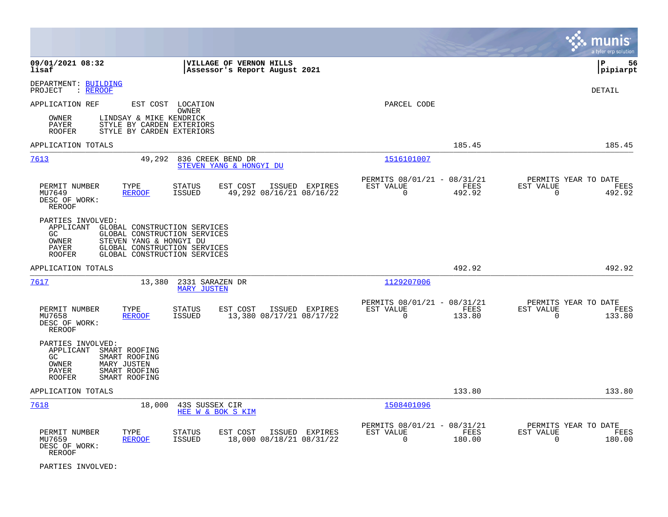|                                                                                                                                                                                                                                         |                                                          |                                                                           | munis<br>a tyler erp solution                                         |
|-----------------------------------------------------------------------------------------------------------------------------------------------------------------------------------------------------------------------------------------|----------------------------------------------------------|---------------------------------------------------------------------------|-----------------------------------------------------------------------|
| 09/01/2021 08:32<br>lisaf                                                                                                                                                                                                               | VILLAGE OF VERNON HILLS<br>Assessor's Report August 2021 |                                                                           | Þ<br>56<br> pipiarpt                                                  |
| DEPARTMENT: BUILDING<br>PROJECT<br>: REROOF                                                                                                                                                                                             |                                                          |                                                                           | DETAIL                                                                |
| APPLICATION REF<br>EST COST LOCATION<br>OWNER<br>LINDSAY & MIKE KENDRICK<br>OWNER<br>PAYER<br>STYLE BY CARDEN EXTERIORS<br><b>ROOFER</b><br>STYLE BY CARDEN EXTERIORS                                                                   |                                                          | PARCEL CODE                                                               |                                                                       |
| APPLICATION TOTALS                                                                                                                                                                                                                      |                                                          | 185.45                                                                    | 185.45                                                                |
| 7613<br>49,292                                                                                                                                                                                                                          | 836 CREEK BEND DR<br>STEVEN YANG & HONGYI DU             | 1516101007                                                                |                                                                       |
| PERMIT NUMBER<br>TYPE<br><b>STATUS</b><br>ISSUED<br>MU7649<br><b>REROOF</b><br>DESC OF WORK:<br><b>REROOF</b>                                                                                                                           | EST COST<br>ISSUED EXPIRES<br>49,292 08/16/21 08/16/22   | PERMITS 08/01/21 - 08/31/21<br>EST VALUE<br>FEES<br>$\mathbf 0$<br>492.92 | PERMITS YEAR TO DATE<br>EST VALUE<br>FEES<br>$\overline{0}$<br>492.92 |
| PARTIES INVOLVED:<br>APPLICANT GLOBAL CONSTRUCTION SERVICES<br>GC.<br>GLOBAL CONSTRUCTION SERVICES<br>STEVEN YANG & HONGYI DU<br>OWNER<br>GLOBAL CONSTRUCTION SERVICES<br><b>PAYER</b><br><b>ROOFER</b><br>GLOBAL CONSTRUCTION SERVICES |                                                          |                                                                           |                                                                       |
| APPLICATION TOTALS                                                                                                                                                                                                                      |                                                          | 492.92                                                                    | 492.92                                                                |
| 7617<br>13,380                                                                                                                                                                                                                          | 2331 SARAZEN DR<br><b>MARY JUSTEN</b>                    | 1129207006                                                                |                                                                       |
| PERMIT NUMBER<br>TYPE<br><b>STATUS</b><br>MU7658<br><b>REROOF</b><br>ISSUED<br>DESC OF WORK:<br><b>REROOF</b>                                                                                                                           | EST COST<br>ISSUED EXPIRES<br>13,380 08/17/21 08/17/22   | PERMITS 08/01/21 - 08/31/21<br>EST VALUE<br>FEES<br>$\Omega$<br>133.80    | PERMITS YEAR TO DATE<br>EST VALUE<br>FEES<br>$\mathbf 0$<br>133.80    |
| PARTIES INVOLVED:<br>APPLICANT<br>SMART ROOFING<br>SMART ROOFING<br>GC<br>MARY JUSTEN<br>OWNER<br>PAYER<br>SMART ROOFING<br>SMART ROOFING<br><b>ROOFER</b>                                                                              |                                                          |                                                                           |                                                                       |
| APPLICATION TOTALS                                                                                                                                                                                                                      |                                                          | 133.80                                                                    | 133.80                                                                |
| 7618<br>18,000                                                                                                                                                                                                                          | 43S SUSSEX CIR<br>HEE W & BOK S KIM                      | 1508401096                                                                |                                                                       |
| PERMIT NUMBER<br>TYPE<br><b>STATUS</b><br>MU7659<br><b>REROOF</b><br><b>ISSUED</b><br>DESC OF WORK:<br>REROOF                                                                                                                           | EST COST<br>ISSUED EXPIRES<br>18,000 08/18/21 08/31/22   | PERMITS 08/01/21 - 08/31/21<br>EST VALUE<br>FEES<br>$\Omega$<br>180.00    | PERMITS YEAR TO DATE<br>EST VALUE<br>FEES<br>$\Omega$<br>180.00       |

PARTIES INVOLVED: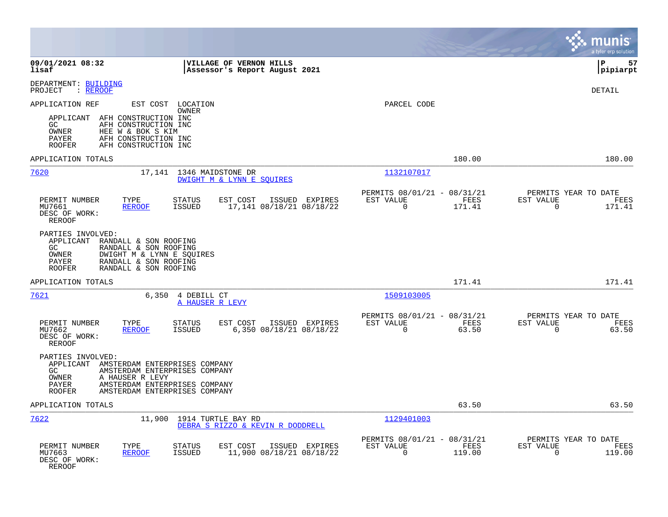|                                                                                                                           |                                                                                                                               |                                                                           | munis<br>a tyler erp solution                                                            |
|---------------------------------------------------------------------------------------------------------------------------|-------------------------------------------------------------------------------------------------------------------------------|---------------------------------------------------------------------------|------------------------------------------------------------------------------------------|
| 09/01/2021 08:32<br>lisaf                                                                                                 | VILLAGE OF VERNON HILLS<br>Assessor's Report August 2021                                                                      |                                                                           | ΙP<br>57<br> pipiarpt                                                                    |
| DEPARTMENT: BUILDING<br>PROJECT<br>: REROOF                                                                               |                                                                                                                               |                                                                           | <b>DETAIL</b>                                                                            |
| APPLICATION REF                                                                                                           | EST COST LOCATION<br>OWNER                                                                                                    | PARCEL CODE                                                               |                                                                                          |
| APPLICANT AFH CONSTRUCTION INC<br>GC<br>OWNER<br>HEE W & BOK S KIM<br>PAYER<br><b>ROOFER</b>                              | AFH CONSTRUCTION INC<br>AFH CONSTRUCTION INC<br>AFH CONSTRUCTION INC                                                          |                                                                           |                                                                                          |
| APPLICATION TOTALS                                                                                                        |                                                                                                                               |                                                                           | 180.00<br>180.00                                                                         |
| 7620                                                                                                                      | 17,141 1346 MAIDSTONE DR<br>DWIGHT M & LYNN E SOUIRES                                                                         | 1132107017                                                                |                                                                                          |
| PERMIT NUMBER<br>TYPE<br><b>REROOF</b><br>MU7661<br>DESC OF WORK:<br><b>REROOF</b>                                        | <b>STATUS</b><br>EST COST<br><b>ISSUED</b><br>17,141 08/18/21 08/18/22                                                        | PERMITS 08/01/21 - 08/31/21<br>ISSUED EXPIRES<br>EST VALUE<br>$\Omega$    | PERMITS YEAR TO DATE<br><b>FEES</b><br>EST VALUE<br>FEES<br>171.41<br>$\Omega$<br>171.41 |
| PARTIES INVOLVED:<br>APPLICANT<br>GC<br>OWNER<br>PAYER<br><b>ROOFER</b>                                                   | RANDALL & SON ROOFING<br>RANDALL & SON ROOFING<br>DWIGHT M & LYNN E SQUIRES<br>RANDALL & SON ROOFING<br>RANDALL & SON ROOFING |                                                                           |                                                                                          |
| APPLICATION TOTALS                                                                                                        |                                                                                                                               |                                                                           | 171.41<br>171.41                                                                         |
| 7621                                                                                                                      | 6,350 4 DEBILL CT<br>A HAUSER R LEVY                                                                                          | 1509103005                                                                |                                                                                          |
| PERMIT NUMBER<br>TYPE<br>MU7662<br><b>REROOF</b><br>DESC OF WORK:<br><b>REROOF</b>                                        | <b>STATUS</b><br>EST COST<br><b>ISSUED</b><br>6,350 08/18/21 08/18/22                                                         | PERMITS 08/01/21 - 08/31/21<br>ISSUED EXPIRES<br>EST VALUE<br>$\mathbf 0$ | PERMITS YEAR TO DATE<br>FEES<br>EST VALUE<br>FEES<br>$\Omega$<br>63.50<br>63.50          |
| PARTIES INVOLVED:<br>APPLICANT AMSTERDAM ENTERPRISES COMPANY<br>GC.<br>OWNER<br>A HAUSER R LEVY<br>PAYER<br><b>ROOFER</b> | AMSTERDAM ENTERPRISES COMPANY<br>AMSTERDAM ENTERPRISES COMPANY<br>AMSTERDAM ENTERPRISES COMPANY                               |                                                                           |                                                                                          |
| APPLICATION TOTALS                                                                                                        |                                                                                                                               |                                                                           | 63.50<br>63.50                                                                           |
| 7622                                                                                                                      | 11,900<br>1914 TURTLE BAY RD<br>DEBRA S RIZZO & KEVIN R DODDRELL                                                              | 1129401003                                                                |                                                                                          |
| PERMIT NUMBER<br>TYPE<br>MU7663<br><b>REROOF</b><br>DESC OF WORK:<br>REROOF                                               | <b>STATUS</b><br>EST COST<br><b>ISSUED</b><br>11,900 08/18/21 08/18/22                                                        | PERMITS 08/01/21 - 08/31/21<br>ISSUED EXPIRES<br>EST VALUE<br>$\mathbf 0$ | PERMITS YEAR TO DATE<br>FEES<br>EST VALUE<br>FEES<br>119.00<br>$\mathbf 0$<br>119.00     |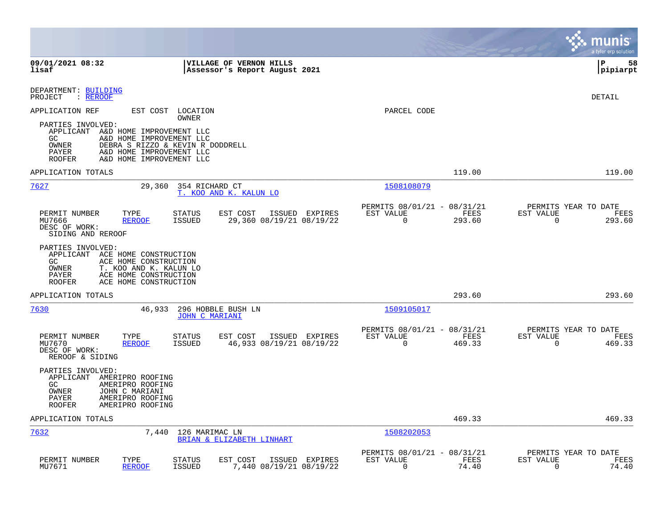|                                                                                                                                                                                                                           |                                                                           | munis<br>a tyler erp solution                                      |
|---------------------------------------------------------------------------------------------------------------------------------------------------------------------------------------------------------------------------|---------------------------------------------------------------------------|--------------------------------------------------------------------|
| 09/01/2021 08:32<br>VILLAGE OF VERNON HILLS<br>lisaf<br>Assessor's Report August 2021                                                                                                                                     |                                                                           | l P<br>58<br> pipiarpt                                             |
| DEPARTMENT: BUILDING<br>: <u>REROOF</u><br>PROJECT                                                                                                                                                                        |                                                                           | DETAIL                                                             |
| APPLICATION REF<br>EST COST<br>LOCATION<br>OWNER                                                                                                                                                                          | PARCEL CODE                                                               |                                                                    |
| PARTIES INVOLVED:<br>APPLICANT A&D HOME IMPROVEMENT LLC<br>GC.<br>A&D HOME IMPROVEMENT LLC<br>OWNER<br>DEBRA S RIZZO & KEVIN R DODDRELL<br>PAYER<br>A&D HOME IMPROVEMENT LLC<br>A&D HOME IMPROVEMENT LLC<br><b>ROOFER</b> |                                                                           |                                                                    |
| APPLICATION TOTALS                                                                                                                                                                                                        | 119.00                                                                    | 119.00                                                             |
| 7627<br>29,360<br>354 RICHARD CT<br>T. KOO AND K. KALUN LO                                                                                                                                                                | 1508108079                                                                |                                                                    |
| EST COST<br>PERMIT NUMBER<br>TYPE<br>STATUS<br>ISSUED EXPIRES<br>29,360 08/19/21 08/19/22<br>MU7666<br><b>REROOF</b><br>ISSUED<br>DESC OF WORK:<br>SIDING AND REROOF                                                      | PERMITS 08/01/21 - 08/31/21<br>FEES<br>EST VALUE<br>$\mathbf 0$<br>293.60 | PERMITS YEAR TO DATE<br>EST VALUE<br>FEES<br>$\mathbf 0$<br>293.60 |
| PARTIES INVOLVED:<br>APPLICANT ACE HOME CONSTRUCTION<br>GC.<br>ACE HOME CONSTRUCTION<br>OWNER<br>T. KOO AND K. KALUN LO<br>PAYER<br>ACE HOME CONSTRUCTION<br>ACE HOME CONSTRUCTION<br>ROOFER                              |                                                                           |                                                                    |
| APPLICATION TOTALS                                                                                                                                                                                                        | 293.60                                                                    | 293.60                                                             |
| 7630<br>46,933<br>296 HOBBLE BUSH LN<br><b>JOHN C MARIANI</b>                                                                                                                                                             | 1509105017                                                                |                                                                    |
| EST COST<br>ISSUED EXPIRES<br>PERMIT NUMBER<br>TYPE<br>STATUS<br>MU7670<br><b>REROOF</b><br>ISSUED<br>46,933 08/19/21 08/19/22<br>DESC OF WORK:<br>REROOF & SIDING                                                        | PERMITS 08/01/21 - 08/31/21<br>EST VALUE<br>FEES<br>$\mathbf 0$<br>469.33 | PERMITS YEAR TO DATE<br>EST VALUE<br>FEES<br>$\mathbf 0$<br>469.33 |
| PARTIES INVOLVED:<br>APPLICANT<br>AMERIPRO ROOFING<br>GC<br>AMERIPRO ROOFING<br>OWNER<br>JOHN C MARIANI<br>PAYER<br>AMERIPRO ROOFING<br><b>ROOFER</b><br>AMERIPRO ROOFING                                                 |                                                                           |                                                                    |
| APPLICATION TOTALS                                                                                                                                                                                                        | 469.33                                                                    | 469.33                                                             |
| 7632<br>7,440<br>126 MARIMAC LN<br>BRIAN & ELIZABETH LINHART                                                                                                                                                              | 1508202053                                                                |                                                                    |
| PERMIT NUMBER<br>TYPE<br>EST COST<br><b>STATUS</b><br>ISSUED EXPIRES<br>7,440 08/19/21 08/19/22<br>MU7671<br><b>REROOF</b><br>ISSUED                                                                                      | PERMITS 08/01/21 - 08/31/21<br>EST VALUE<br>FEES<br>$\Omega$<br>74.40     | PERMITS YEAR TO DATE<br>EST VALUE<br>FEES<br>0<br>74.40            |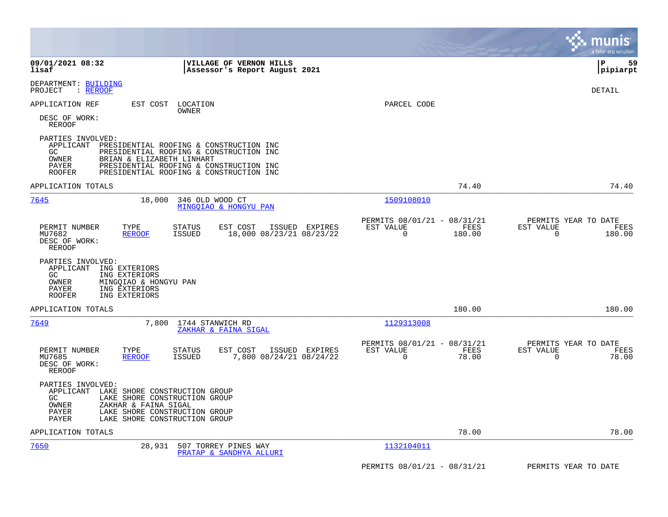|                                                                                                                                                                                                                                                                                   |                                                                 | a tyler erp solution                                               |
|-----------------------------------------------------------------------------------------------------------------------------------------------------------------------------------------------------------------------------------------------------------------------------------|-----------------------------------------------------------------|--------------------------------------------------------------------|
| 09/01/2021 08:32<br>VILLAGE OF VERNON HILLS<br>lisaf<br>Assessor's Report August 2021                                                                                                                                                                                             |                                                                 | l P<br>59<br> pipiarpt                                             |
| DEPARTMENT: BUILDING<br>: REROOF<br>PROJECT                                                                                                                                                                                                                                       |                                                                 | DETAIL                                                             |
| APPLICATION REF<br>EST COST LOCATION<br>OWNER                                                                                                                                                                                                                                     | PARCEL CODE                                                     |                                                                    |
| DESC OF WORK:<br>REROOF                                                                                                                                                                                                                                                           |                                                                 |                                                                    |
| PARTIES INVOLVED:<br>APPLICANT<br>PRESIDENTIAL ROOFING & CONSTRUCTION INC<br>GC.<br>PRESIDENTIAL ROOFING & CONSTRUCTION INC<br>OWNER<br>BRIAN & ELIZABETH LINHART<br>PRESIDENTIAL ROOFING & CONSTRUCTION INC<br>PAYER<br>PRESIDENTIAL ROOFING & CONSTRUCTION INC<br><b>ROOFER</b> |                                                                 |                                                                    |
| APPLICATION TOTALS                                                                                                                                                                                                                                                                | 74.40                                                           | 74.40                                                              |
| 7645<br>18,000<br>346 OLD WOOD CT<br>MINGOIAO & HONGYU PAN                                                                                                                                                                                                                        | 1509108010                                                      |                                                                    |
| ISSUED EXPIRES<br>PERMIT NUMBER<br>TYPE<br>STATUS<br>EST COST<br>18,000 08/23/21 08/23/22<br>MU7682<br><b>ISSUED</b><br><b>REROOF</b><br>DESC OF WORK:<br>REROOF                                                                                                                  | PERMITS 08/01/21 - 08/31/21<br>EST VALUE<br>FEES<br>0<br>180.00 | PERMITS YEAR TO DATE<br>EST VALUE<br>FEES<br>$\mathbf 0$<br>180.00 |
| PARTIES INVOLVED:<br>APPLICANT<br>ING EXTERIORS<br>GC<br>ING EXTERIORS<br>OWNER<br>MINGQIAO & HONGYU PAN<br>ING EXTERIORS<br>PAYER<br><b>ROOFER</b><br>ING EXTERIORS                                                                                                              |                                                                 |                                                                    |
| APPLICATION TOTALS                                                                                                                                                                                                                                                                | 180.00                                                          | 180.00                                                             |
| 7649<br>7,800<br>1744 STANWICH RD<br>ZAKHAR & FAINA SIGAL                                                                                                                                                                                                                         | 1129313008                                                      |                                                                    |
| TYPE<br>ISSUED EXPIRES<br>PERMIT NUMBER<br>STATUS<br>EST COST<br>7,800 08/24/21 08/24/22<br>MU7685<br><b>REROOF</b><br><b>ISSUED</b><br>DESC OF WORK:<br>REROOF                                                                                                                   | PERMITS 08/01/21 - 08/31/21<br>EST VALUE<br>FEES<br>78.00<br>0  | PERMITS YEAR TO DATE<br>EST VALUE<br>FEES<br>78.00<br>0            |
| PARTIES INVOLVED:<br>APPLICANT<br>LAKE SHORE CONSTRUCTION GROUP<br>GC<br>LAKE SHORE CONSTRUCTION GROUP<br>OWNER<br>ZAKHAR & FAINA SIGAL<br>PAYER<br>LAKE SHORE CONSTRUCTION GROUP<br>PAYER<br>LAKE SHORE CONSTRUCTION GROUP                                                       |                                                                 |                                                                    |
| APPLICATION TOTALS                                                                                                                                                                                                                                                                | 78.00                                                           | 78.00                                                              |
| 7650<br>28,931<br>507 TORREY PINES WAY<br>PRATAP & SANDHYA ALLURI                                                                                                                                                                                                                 | 1132104011                                                      |                                                                    |
|                                                                                                                                                                                                                                                                                   | PERMITS 08/01/21 - 08/31/21                                     | PERMITS YEAR TO DATE                                               |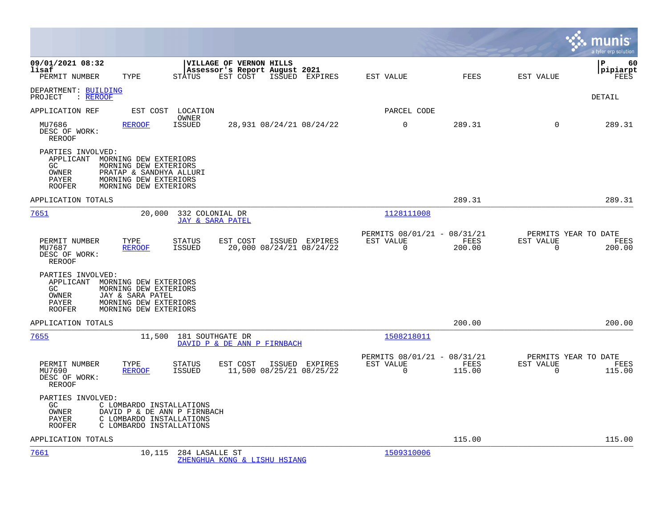|                                                                                                                                                                                                         |                                            |                                                         |                |                                                  | munis<br>a tyler erp solution |
|---------------------------------------------------------------------------------------------------------------------------------------------------------------------------------------------------------|--------------------------------------------|---------------------------------------------------------|----------------|--------------------------------------------------|-------------------------------|
| 09/01/2021 08:32<br>VILLAGE OF VERNON HILLS<br>lisaf<br>Assessor's Report August 2021<br><b>STATUS</b><br>EST COST<br>PERMIT NUMBER<br>TYPE                                                             | ISSUED EXPIRES                             | EST VALUE                                               | <b>FEES</b>    | EST VALUE                                        | 60<br>ΙP<br>pipiarpt<br>FEES  |
| DEPARTMENT: BUILDING<br>: REROOF<br>PROJECT                                                                                                                                                             |                                            |                                                         |                |                                                  | DETAIL                        |
| APPLICATION REF<br>EST COST<br>LOCATION                                                                                                                                                                 |                                            | PARCEL CODE                                             |                |                                                  |                               |
| OWNER<br>MU7686<br><b>REROOF</b><br><b>ISSUED</b><br>DESC OF WORK:<br><b>REROOF</b>                                                                                                                     | 28,931 08/24/21 08/24/22                   | $\mathbf 0$                                             | 289.31         | $\Omega$                                         | 289.31                        |
| PARTIES INVOLVED:<br>APPLICANT<br>MORNING DEW EXTERIORS<br>GC.<br>MORNING DEW EXTERIORS<br>OWNER<br>PRATAP & SANDHYA ALLURI<br>PAYER<br>MORNING DEW EXTERIORS<br>MORNING DEW EXTERIORS<br><b>ROOFER</b> |                                            |                                                         |                |                                                  |                               |
| APPLICATION TOTALS                                                                                                                                                                                      |                                            |                                                         | 289.31         |                                                  | 289.31                        |
| 7651<br>20,000<br>332 COLONIAL DR<br><b>JAY &amp; SARA PATEL</b>                                                                                                                                        |                                            | 1128111008                                              |                |                                                  |                               |
| EST COST<br>PERMIT NUMBER<br>TYPE<br><b>STATUS</b><br>MU7687<br><b>ISSUED</b><br><b>REROOF</b><br>DESC OF WORK:<br><b>REROOF</b>                                                                        | ISSUED EXPIRES<br>20,000 08/24/21 08/24/22 | PERMITS 08/01/21 - 08/31/21<br>EST VALUE<br>$\mathbf 0$ | FEES<br>200.00 | PERMITS YEAR TO DATE<br>EST VALUE<br>$\mathbf 0$ | FEES<br>200.00                |
| PARTIES INVOLVED:<br>APPLICANT<br>MORNING DEW EXTERIORS<br>MORNING DEW EXTERIORS<br>GC.<br>OWNER<br>JAY & SARA PATEL<br>MORNING DEW EXTERIORS<br>PAYER<br>MORNING DEW EXTERIORS<br><b>ROOFER</b>        |                                            |                                                         |                |                                                  |                               |
| APPLICATION TOTALS                                                                                                                                                                                      |                                            |                                                         | 200.00         |                                                  | 200.00                        |
| 7655<br>11,500<br>181 SOUTHGATE DR<br>DAVID P & DE ANN P FIRNBACH                                                                                                                                       |                                            | 1508218011                                              |                |                                                  |                               |
| PERMIT NUMBER<br>TYPE<br><b>STATUS</b><br>EST COST<br>MU7690<br><b>REROOF</b><br><b>ISSUED</b><br>DESC OF WORK:<br><b>REROOF</b>                                                                        | ISSUED EXPIRES<br>11,500 08/25/21 08/25/22 | PERMITS 08/01/21 - 08/31/21<br>EST VALUE<br>$\mathbf 0$ | FEES<br>115.00 | PERMITS YEAR TO DATE<br>EST VALUE<br>$\Omega$    | FEES<br>115.00                |
| PARTIES INVOLVED:<br>GC.<br>C LOMBARDO INSTALLATIONS<br>OWNER<br>DAVID P & DE ANN P FIRNBACH<br>C LOMBARDO INSTALLATIONS<br>PAYER<br>C LOMBARDO INSTALLATIONS<br><b>ROOFER</b>                          |                                            |                                                         |                |                                                  |                               |
| APPLICATION TOTALS                                                                                                                                                                                      |                                            |                                                         | 115.00         |                                                  | 115.00                        |
| 7661<br>10,115<br>284 LASALLE ST<br>ZHENGHUA KONG & LISHU HSIANG                                                                                                                                        |                                            | 1509310006                                              |                |                                                  |                               |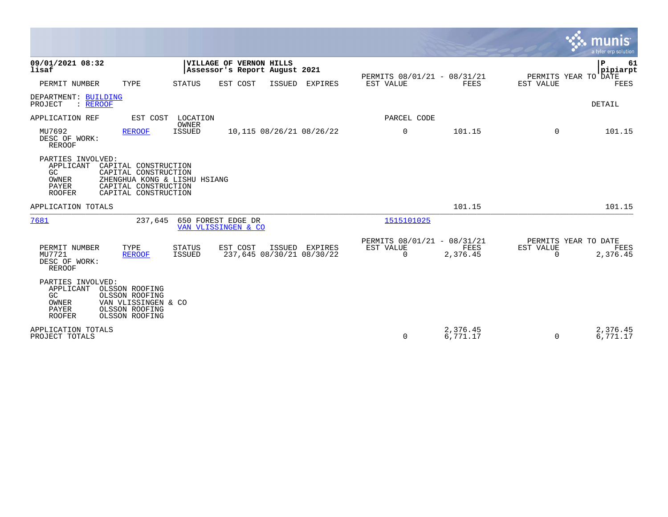|                                                                                                                                                                                                                |                                                          |                           |                |                                               |                      |                       | munis<br>a tyler erp solution                  |
|----------------------------------------------------------------------------------------------------------------------------------------------------------------------------------------------------------------|----------------------------------------------------------|---------------------------|----------------|-----------------------------------------------|----------------------|-----------------------|------------------------------------------------|
| 09/01/2021 08:32<br>lisaf                                                                                                                                                                                      | VILLAGE OF VERNON HILLS<br>Assessor's Report August 2021 |                           |                | PERMITS 08/01/21 - 08/31/21                   |                      |                       | l P<br>61<br> pipiarpt<br>PERMITS YEAR TO DATE |
| PERMIT NUMBER<br>TYPE                                                                                                                                                                                          | <b>STATUS</b><br>EST COST                                | ISSUED                    | <b>EXPIRES</b> | EST VALUE                                     | <b>FEES</b>          | EST VALUE             | <b>FEES</b>                                    |
| DEPARTMENT: BUILDING<br>PROJECT<br>: REROOF                                                                                                                                                                    |                                                          |                           |                |                                               |                      |                       | DETAIL                                         |
| APPLICATION REF<br>EST COST                                                                                                                                                                                    | LOCATION<br>OWNER                                        |                           |                | PARCEL CODE                                   |                      |                       |                                                |
| MU7692<br><b>REROOF</b><br>DESC OF WORK:<br><b>REROOF</b>                                                                                                                                                      | <b>ISSUED</b>                                            | 10,115 08/26/21 08/26/22  |                | $\mathbf 0$                                   | 101.15               | $\mathbf 0$           | 101.15                                         |
| PARTIES INVOLVED:<br>APPLICANT<br>CAPITAL CONSTRUCTION<br>GC<br>CAPITAL CONSTRUCTION<br><b>OWNER</b><br>ZHENGHUA KONG & LISHU HSIANG<br>PAYER<br>CAPITAL CONSTRUCTION<br><b>ROOFER</b><br>CAPITAL CONSTRUCTION |                                                          |                           |                |                                               |                      |                       |                                                |
| APPLICATION TOTALS                                                                                                                                                                                             |                                                          |                           |                |                                               | 101.15               |                       | 101.15                                         |
| 7681<br>237,645                                                                                                                                                                                                | 650 FOREST EDGE DR<br>VAN VLISSINGEN & CO                |                           |                | 1515101025                                    |                      |                       |                                                |
| PERMIT NUMBER<br>TYPE<br>MU7721<br><b>REROOF</b><br>DESC OF WORK:<br><b>REROOF</b>                                                                                                                             | EST COST<br><b>STATUS</b><br><b>ISSUED</b>               | 237,645 08/30/21 08/30/22 | ISSUED EXPIRES | PERMITS 08/01/21 - 08/31/21<br>EST VALUE<br>0 | FEES<br>2,376.45     | <b>EST VALUE</b><br>0 | PERMITS YEAR TO DATE<br>FEES<br>2,376.45       |
| PARTIES INVOLVED:<br>APPLICANT<br>OLSSON ROOFING<br>GC<br>OLSSON ROOFING<br>OWNER<br>VAN VLISSINGEN & CO<br>PAYER<br>OLSSON ROOFING<br>OLSSON ROOFING<br><b>ROOFER</b>                                         |                                                          |                           |                |                                               |                      |                       |                                                |
| APPLICATION TOTALS<br>PROJECT TOTALS                                                                                                                                                                           |                                                          |                           |                | $\mathbf 0$                                   | 2,376.45<br>6,771.17 | $\Omega$              | 2,376.45<br>6,771.17                           |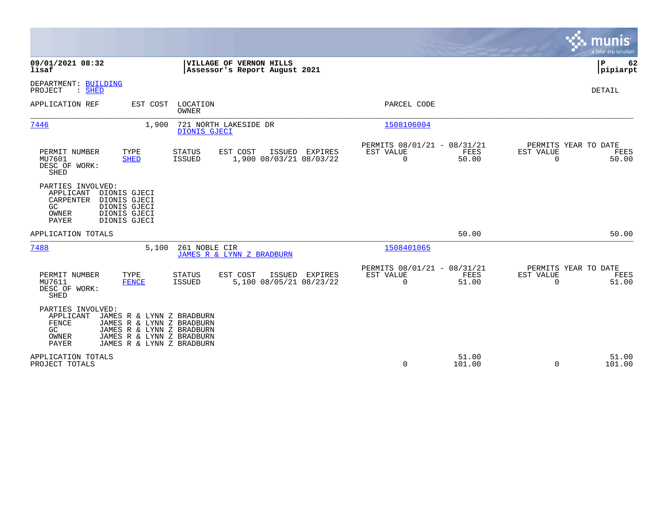|                                                                                                                                                                                                                   |                                                                                                                        | munis<br>a tyler erp solution         |
|-------------------------------------------------------------------------------------------------------------------------------------------------------------------------------------------------------------------|------------------------------------------------------------------------------------------------------------------------|---------------------------------------|
| 09/01/2021 08:32<br>VILLAGE OF VERNON HILLS<br>lisaf<br>Assessor's Report August 2021                                                                                                                             |                                                                                                                        | P<br>62<br> pipiarpt                  |
| DEPARTMENT: BUILDING<br>PROJECT<br>: SHED                                                                                                                                                                         |                                                                                                                        | DETAIL                                |
| APPLICATION REF<br>EST COST LOCATION<br><b>OWNER</b>                                                                                                                                                              | PARCEL CODE                                                                                                            |                                       |
| 7446<br>1,900<br>721 NORTH LAKESIDE DR<br><b>DIONIS GJECI</b>                                                                                                                                                     | 1508106004                                                                                                             |                                       |
| PERMIT NUMBER<br>TYPE<br>EST COST<br><b>STATUS</b><br>MU7601<br><b>SHED</b><br>1,900 08/03/21 08/03/22<br>ISSUED<br>DESC OF WORK:<br><b>SHED</b>                                                                  | PERMITS 08/01/21 - 08/31/21<br>ISSUED EXPIRES<br>EST VALUE<br>FEES<br>EST VALUE<br>$\Omega$<br>50.00<br>$\Omega$       | PERMITS YEAR TO DATE<br>FEES<br>50.00 |
| PARTIES INVOLVED:<br>APPLICANT<br>DIONIS GJECI<br>CARPENTER<br>DIONIS GJECI<br>DIONIS GJECI<br>GC<br>DIONIS GJECI<br>OWNER<br>PAYER<br>DIONIS GJECI                                                               |                                                                                                                        |                                       |
| APPLICATION TOTALS                                                                                                                                                                                                | 50.00                                                                                                                  | 50.00                                 |
| 7488<br>5,100<br>261 NOBLE CIR<br>JAMES R & LYNN Z BRADBURN                                                                                                                                                       | 1508401065                                                                                                             |                                       |
| TYPE<br>EST COST<br>PERMIT NUMBER<br><b>STATUS</b><br>5,100 08/05/21 08/23/22<br>MU7611<br><b>ISSUED</b><br><b>FENCE</b><br>DESC OF WORK:<br>SHED                                                                 | PERMITS 08/01/21 - 08/31/21<br>ISSUED EXPIRES<br>EST VALUE<br>FEES<br>EST VALUE<br>$\mathbf 0$<br>51.00<br>$\mathbf 0$ | PERMITS YEAR TO DATE<br>FEES<br>51.00 |
| PARTIES INVOLVED:<br>APPLICANT<br>JAMES R & LYNN Z BRADBURN<br>FENCE<br>JAMES R & LYNN Z BRADBURN<br>JAMES R & LYNN Z BRADBURN<br>GC.<br>JAMES R & LYNN Z BRADBURN<br>OWNER<br>PAYER<br>JAMES R & LYNN Z BRADBURN |                                                                                                                        |                                       |
| APPLICATION TOTALS<br>PROJECT TOTALS                                                                                                                                                                              | 51.00<br>0<br>101.00<br>$\Omega$                                                                                       | 51.00<br>101.00                       |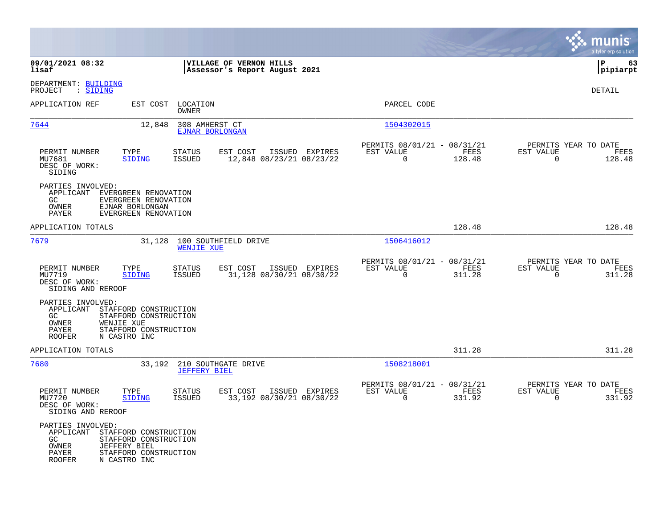|                                                                          |                                                                                                                |                                   |                                                          |                |                                                            |                |                                                  | munis<br>a tyler erp solution |
|--------------------------------------------------------------------------|----------------------------------------------------------------------------------------------------------------|-----------------------------------|----------------------------------------------------------|----------------|------------------------------------------------------------|----------------|--------------------------------------------------|-------------------------------|
| 09/01/2021 08:32<br>lisaf                                                |                                                                                                                |                                   | VILLAGE OF VERNON HILLS<br>Assessor's Report August 2021 |                |                                                            |                |                                                  | P<br>63<br> pipiarpt          |
| DEPARTMENT: BUILDING<br>: SIDING<br>PROJECT                              |                                                                                                                |                                   |                                                          |                |                                                            |                |                                                  | <b>DETAIL</b>                 |
| APPLICATION REF                                                          |                                                                                                                | EST COST LOCATION<br>OWNER        |                                                          |                | PARCEL CODE                                                |                |                                                  |                               |
| 7644                                                                     | 12,848                                                                                                         | 308 AMHERST CT<br>EJNAR BORLONGAN |                                                          |                | 1504302015                                                 |                |                                                  |                               |
| PERMIT NUMBER<br>MU7681<br>DESC OF WORK:<br>SIDING                       | TYPE<br><b>SIDING</b>                                                                                          | <b>STATUS</b><br>ISSUED           | EST COST<br>12,848 08/23/21 08/23/22                     | ISSUED EXPIRES | PERMITS 08/01/21 - 08/31/21<br>EST VALUE<br>$\Omega$       | FEES<br>128.48 | PERMITS YEAR TO DATE<br>EST VALUE<br>$\Omega$    | FEES<br>128.48                |
| PARTIES INVOLVED:<br>APPLICANT<br>GC<br>OWNER<br>PAYER                   | EVERGREEN RENOVATION<br>EVERGREEN RENOVATION<br>EJNAR BORLONGAN<br>EVERGREEN RENOVATION                        |                                   |                                                          |                |                                                            |                |                                                  |                               |
| APPLICATION TOTALS                                                       |                                                                                                                |                                   |                                                          |                |                                                            | 128.48         |                                                  | 128.48                        |
| 7679                                                                     |                                                                                                                | <b>WENJIE XUE</b>                 | 31,128 100 SOUTHFIELD DRIVE                              |                | 1506416012                                                 |                |                                                  |                               |
| PERMIT NUMBER<br>MU7719<br>DESC OF WORK:<br>SIDING AND REROOF            | TYPE<br>SIDING                                                                                                 | STATUS<br><b>ISSUED</b>           | EST COST<br>31,128 08/30/21 08/30/22                     | ISSUED EXPIRES | PERMITS 08/01/21 - 08/31/21<br>EST VALUE<br>$\mathbf 0$    | FEES<br>311.28 | PERMITS YEAR TO DATE<br>EST VALUE<br>$\mathbf 0$ | FEES<br>311.28                |
| PARTIES INVOLVED:<br>APPLICANT<br>GC<br>OWNER<br>PAYER<br><b>ROOFER</b>  | STAFFORD CONSTRUCTION<br>STAFFORD CONSTRUCTION<br>WENJIE XUE<br>STAFFORD CONSTRUCTION<br>N CASTRO INC          |                                   |                                                          |                |                                                            |                |                                                  |                               |
| APPLICATION TOTALS                                                       |                                                                                                                |                                   |                                                          |                |                                                            | 311.28         |                                                  | 311.28                        |
| 7680                                                                     | 33,192                                                                                                         | <b>JEFFERY BIEL</b>               | 210 SOUTHGATE DRIVE                                      |                | 1508218001                                                 |                |                                                  |                               |
| PERMIT NUMBER<br>MU7720<br>DESC OF WORK:<br>SIDING AND REROOF            | TYPE<br><b>SIDING</b>                                                                                          | STATUS<br>ISSUED                  | EST COST<br>33,192 08/30/21 08/30/22                     | ISSUED EXPIRES | PERMITS 08/01/21 - 08/31/21<br>EST VALUE<br>$\overline{0}$ | FEES<br>331.92 | PERMITS YEAR TO DATE<br>EST VALUE<br>0           | FEES<br>331.92                |
| PARTIES INVOLVED:<br>APPLICANT<br>GC.<br>OWNER<br>PAYER<br><b>ROOFER</b> | STAFFORD CONSTRUCTION<br>STAFFORD CONSTRUCTION<br><b>JEFFERY BIEL</b><br>STAFFORD CONSTRUCTION<br>N CASTRO INC |                                   |                                                          |                |                                                            |                |                                                  |                               |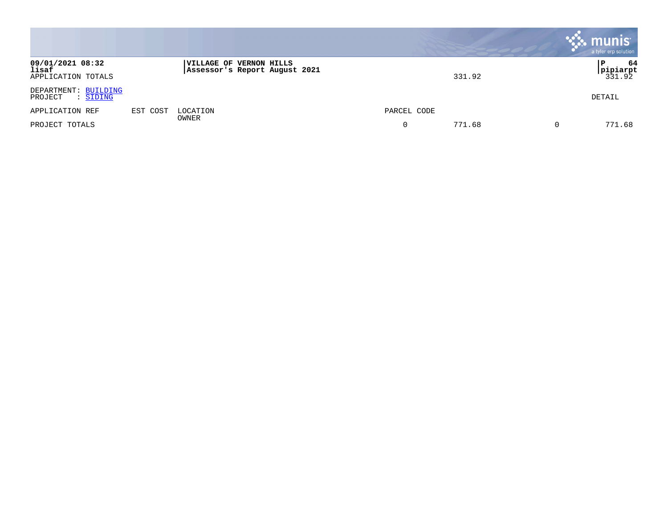|                                                 |          |                                                          |             |        |          | . munis<br>a tyler erp solution                 |
|-------------------------------------------------|----------|----------------------------------------------------------|-------------|--------|----------|-------------------------------------------------|
| 09/01/2021 08:32<br>lisaf<br>APPLICATION TOTALS |          | VILLAGE OF VERNON HILLS<br>Assessor's Report August 2021 |             | 331.92 |          | -64<br>l P<br> pipiarpt<br>$3\bar{3}1.9\bar{2}$ |
| DEPARTMENT: BUILDING<br>PROJECT<br>: SIDING     |          |                                                          |             |        |          | DETAIL                                          |
| APPLICATION REF                                 | EST COST | LOCATION<br>OWNER                                        | PARCEL CODE |        |          |                                                 |
| PROJECT TOTALS                                  |          |                                                          |             | 771.68 | $\Omega$ | 771.68                                          |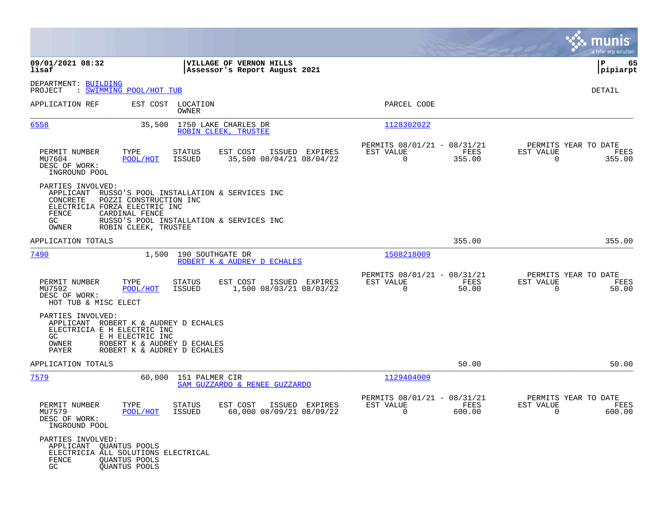|                                                                                                                                                                                                      |                                                                                      |                                                                              | munis<br>a tyler erp solution                                         |
|------------------------------------------------------------------------------------------------------------------------------------------------------------------------------------------------------|--------------------------------------------------------------------------------------|------------------------------------------------------------------------------|-----------------------------------------------------------------------|
| 09/01/2021 08:32<br>lisaf                                                                                                                                                                            | VILLAGE OF VERNON HILLS<br>Assessor's Report August 2021                             |                                                                              | lР<br>65<br> pipiarpt                                                 |
| DEPARTMENT: BUILDING<br>PROJECT<br>: SWIMMING POOL/HOT TUB                                                                                                                                           |                                                                                      |                                                                              | DETAIL                                                                |
| APPLICATION REF                                                                                                                                                                                      | EST COST LOCATION<br>OWNER                                                           | PARCEL CODE                                                                  |                                                                       |
| 6558                                                                                                                                                                                                 | 35,500 1750 LAKE CHARLES DR<br>ROBIN CLEEK, TRUSTEE                                  | 1128302022                                                                   |                                                                       |
| PERMIT NUMBER<br>TYPE<br>MU7604<br>POOL/HOT<br>DESC OF WORK:<br>INGROUND POOL                                                                                                                        | STATUS<br>EST COST<br>ISSUED EXPIRES<br>35,500 08/04/21 08/04/22<br>ISSUED           | PERMITS 08/01/21 - 08/31/21<br>EST VALUE<br>FEES<br>$\overline{0}$<br>355.00 | PERMITS YEAR TO DATE<br>EST VALUE<br>FEES<br>0<br>355.00              |
| PARTIES INVOLVED:<br>APPLICANT<br>CONCRETE<br>POZZI CONSTRUCTION INC<br>ELECTRICIA FORZA ELECTRIC INC<br>FENCE<br>CARDINAL FENCE<br>GC<br>OWNER<br>ROBIN CLEEK, TRUSTEE                              | RUSSO'S POOL INSTALLATION & SERVICES INC<br>RUSSO'S POOL INSTALLATION & SERVICES INC |                                                                              |                                                                       |
| APPLICATION TOTALS                                                                                                                                                                                   |                                                                                      | 355.00                                                                       | 355.00                                                                |
| 7490                                                                                                                                                                                                 | 1,500 190 SOUTHGATE DR<br>ROBERT K & AUDREY D ECHALES                                | 1508218009                                                                   |                                                                       |
| PERMIT NUMBER<br>TYPE<br>MU7592<br>POOL/HOT<br>DESC OF WORK:<br>HOT TUB & MISC ELECT                                                                                                                 | EST COST<br>STATUS<br>ISSUED EXPIRES<br>1,500 08/03/21 08/03/22<br>ISSUED            | PERMITS 08/01/21 - 08/31/21<br>EST VALUE<br>FEES<br>$\overline{0}$<br>50.00  | PERMITS YEAR TO DATE<br>EST VALUE<br>FEES<br>50.00<br>0               |
| PARTIES INVOLVED:<br>APPLICANT ROBERT K & AUDREY D ECHALES<br>ELECTRICIA E H ELECTRIC INC<br>E H ELECTRIC INC<br>GC.<br>OWNER<br>ROBERT K & AUDREY D ECHALES<br>ROBERT K & AUDREY D ECHALES<br>PAYER |                                                                                      |                                                                              |                                                                       |
| APPLICATION TOTALS                                                                                                                                                                                   |                                                                                      | 50.00                                                                        | 50.00                                                                 |
| 7579                                                                                                                                                                                                 | 60,000 151 PALMER CIR<br>SAM GUZZARDO & RENEE GUZZARDO                               | 1129404009                                                                   |                                                                       |
| PERMIT NUMBER<br>TYPE<br>MU7579<br>POOL/HOT<br>DESC OF WORK:<br>INGROUND POOL                                                                                                                        | EST COST<br>ISSUED EXPIRES<br>STATUS<br>ISSUED<br>60,000 08/09/21 08/09/22           | PERMITS 08/01/21 - 08/31/21<br>EST VALUE<br>FEES<br>600.00<br>$\overline{a}$ | PERMITS YEAR TO DATE<br>EST VALUE<br>FEES<br>600.00<br>$\overline{a}$ |
| PARTIES INVOLVED:<br>APPLICANT QUANTUS POOLS<br>ELECTRICIA ALL SOLUTIONS ELECTRICAL<br>FENCE<br>QUANTUS POOLS<br>GC<br>QUANTUS POOLS                                                                 |                                                                                      |                                                                              |                                                                       |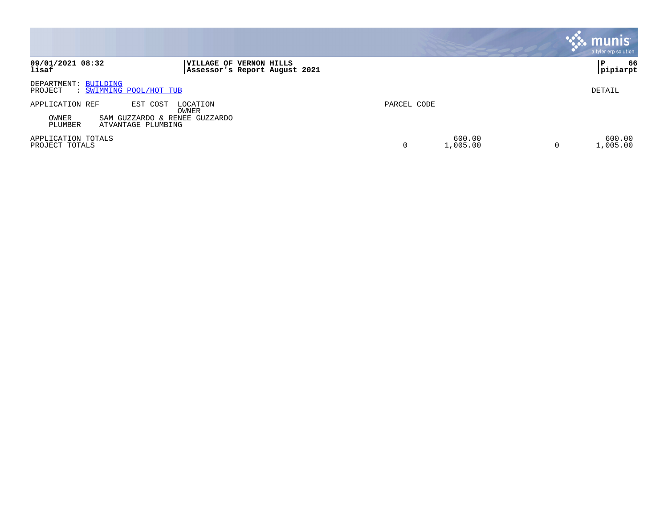|                                                                                                                             |                    | <b>munis</b><br>a tyler erp solution |
|-----------------------------------------------------------------------------------------------------------------------------|--------------------|--------------------------------------|
| 09/01/2021 08:32<br>VILLAGE OF VERNON HILLS<br>lisaf<br>Assessor's Report August 2021                                       |                    | 66<br>P<br> pipiarpt                 |
| DEPARTMENT: BUILDING<br>: SWIMMING POOL/HOT TUB<br>PROJECT                                                                  |                    | DETAIL                               |
| APPLICATION REF<br>EST COST<br>LOCATION<br>OWNER<br>OWNER<br>SAM GUZZARDO & RENEE GUZZARDO<br>PLUMBER<br>ATVANTAGE PLUMBING | PARCEL CODE        |                                      |
| APPLICATION TOTALS<br>PROJECT TOTALS                                                                                        | 600.00<br>1,005.00 | 600.00<br>1,005.00                   |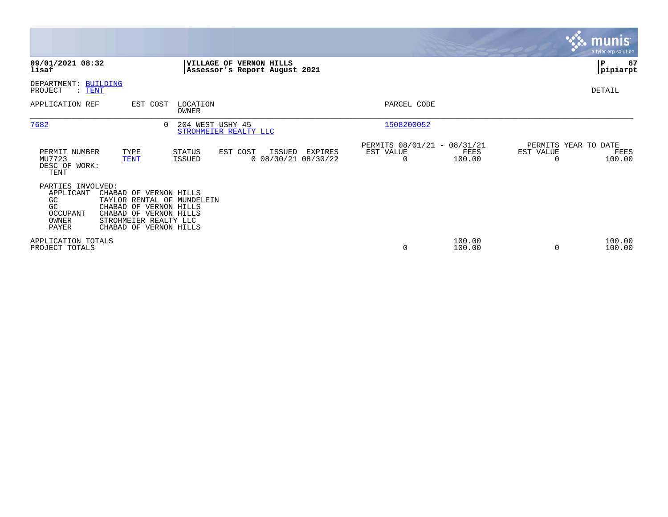|                                                                                  |                                                                                                                                                             |                         |                                           |                     |                                  |                                                      |                  |           | <b>munis</b><br>a tyler erp solution   |
|----------------------------------------------------------------------------------|-------------------------------------------------------------------------------------------------------------------------------------------------------------|-------------------------|-------------------------------------------|---------------------|----------------------------------|------------------------------------------------------|------------------|-----------|----------------------------------------|
| 09/01/2021 08:32<br>lisaf                                                        |                                                                                                                                                             | <b>VILLAGE OF</b>       | Assessor's Report August 2021             | <b>VERNON HILLS</b> |                                  |                                                      |                  |           | 67<br>P<br> pipiarpt                   |
| DEPARTMENT: BUILDING<br>PROJECT<br>$:$ TENT                                      |                                                                                                                                                             |                         |                                           |                     |                                  |                                                      |                  |           | DETAIL                                 |
| APPLICATION REF                                                                  | EST COST                                                                                                                                                    | LOCATION<br>OWNER       |                                           |                     |                                  | PARCEL CODE                                          |                  |           |                                        |
| 7682                                                                             | $\Omega$                                                                                                                                                    |                         | 204 WEST USHY 45<br>STROHMEIER REALTY LLC |                     |                                  | 1508200052                                           |                  |           |                                        |
| PERMIT NUMBER<br>MU7723<br>DESC OF WORK:<br>TENT                                 | TYPE<br><b>TENT</b>                                                                                                                                         | <b>STATUS</b><br>ISSUED | EST COST                                  | ISSUED              | EXPIRES<br>$0$ 08/30/21 08/30/22 | PERMITS 08/01/21 - 08/31/21<br>EST VALUE<br>$\Omega$ | FEES<br>100.00   | EST VALUE | PERMITS YEAR TO DATE<br>FEES<br>100.00 |
| PARTIES INVOLVED:<br>APPLICANT<br>GC<br>GC.<br>OCCUPANT<br>OWNER<br><b>PAYER</b> | CHABAD OF VERNON HILLS<br>TAYLOR RENTAL OF MUNDELEIN<br>CHABAD OF VERNON HILLS<br>CHABAD OF VERNON HILLS<br>STROHMEIER REALTY LLC<br>CHABAD OF VERNON HILLS |                         |                                           |                     |                                  |                                                      |                  |           |                                        |
| APPLICATION TOTALS<br>PROJECT TOTALS                                             |                                                                                                                                                             |                         |                                           |                     |                                  | $\mathbf 0$                                          | 100.00<br>100.00 | $\Omega$  | 100.00<br>100.00                       |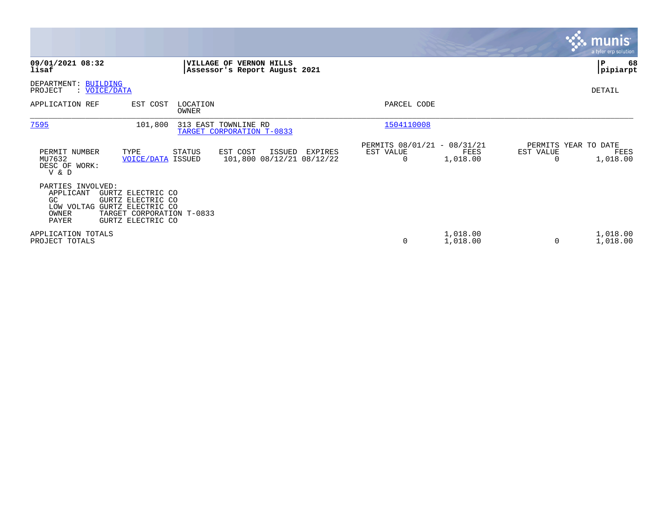|                                                                                         |                                                                                          |                   |                                                                 |                   |                                               |                      |                                   | <b>munis</b><br>a tyler erp solution |
|-----------------------------------------------------------------------------------------|------------------------------------------------------------------------------------------|-------------------|-----------------------------------------------------------------|-------------------|-----------------------------------------------|----------------------|-----------------------------------|--------------------------------------|
| 09/01/2021 08:32<br>lisaf                                                               |                                                                                          |                   | <b>VILLAGE OF VERNON HILLS</b><br>Assessor's Report August 2021 |                   |                                               |                      |                                   | ∣₽<br>68<br> pipiarpt                |
| DEPARTMENT: BUILDING<br>PROJECT<br>: VOICE/DATA                                         |                                                                                          |                   |                                                                 |                   |                                               |                      |                                   | DETAIL                               |
| APPLICATION REF                                                                         | EST COST                                                                                 | LOCATION<br>OWNER |                                                                 |                   | PARCEL CODE                                   |                      |                                   |                                      |
| 7595                                                                                    | 101,800                                                                                  |                   | 313 EAST TOWNLINE RD<br>TARGET CORPORATION T-0833               |                   | 1504110008                                    |                      |                                   |                                      |
| PERMIT NUMBER<br>MU7632<br>DESC OF WORK:<br>V & D                                       | TYPE<br><b>VOICE/DATA ISSUED</b>                                                         | STATUS            | EST COST<br>101,800 08/12/21 08/12/22                           | ISSUED<br>EXPIRES | PERMITS 08/01/21 - 08/31/21<br>EST VALUE<br>0 | FEES<br>1,018.00     | PERMITS YEAR TO DATE<br>EST VALUE | FEES<br>1,018.00                     |
| PARTIES INVOLVED:<br>APPLICANT<br>GC.<br>LOW VOLTAG GURTZ ELECTRIC CO<br>OWNER<br>PAYER | GURTZ ELECTRIC CO<br>GURTZ ELECTRIC CO<br>TARGET CORPORATION T-0833<br>GURTZ ELECTRIC CO |                   |                                                                 |                   |                                               |                      |                                   |                                      |
| APPLICATION TOTALS<br>PROJECT TOTALS                                                    |                                                                                          |                   |                                                                 |                   | 0                                             | 1,018.00<br>1,018.00 |                                   | 1,018.00<br>1,018.00                 |

**Contract**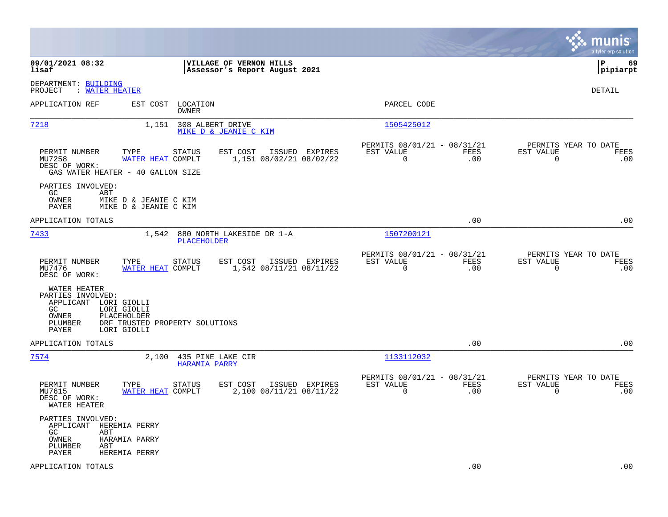|                                                                                               |                                                                             |                                                          |                |                                                         |                    |                          | munis<br>a tyler erp solution       |
|-----------------------------------------------------------------------------------------------|-----------------------------------------------------------------------------|----------------------------------------------------------|----------------|---------------------------------------------------------|--------------------|--------------------------|-------------------------------------|
| 09/01/2021 08:32<br>lisaf                                                                     |                                                                             | VILLAGE OF VERNON HILLS<br>Assessor's Report August 2021 |                |                                                         |                    |                          | l P<br>69<br> pipiarpt              |
| DEPARTMENT: BUILDING<br>: WATER HEATER<br>PROJECT                                             |                                                                             |                                                          |                |                                                         |                    |                          | DETAIL                              |
| APPLICATION REF                                                                               | EST COST LOCATION<br>OWNER                                                  |                                                          |                | PARCEL CODE                                             |                    |                          |                                     |
| 7218                                                                                          | 1,151                                                                       | 308 ALBERT DRIVE<br>MIKE D & JEANIE C KIM                |                | 1505425012                                              |                    |                          |                                     |
| PERMIT NUMBER<br>MU7258<br>DESC OF WORK:                                                      | TYPE<br>STATUS<br>WATER HEAT COMPLT<br>GAS WATER HEATER - 40 GALLON SIZE    | EST COST<br>1,151 08/02/21 08/02/22                      | ISSUED EXPIRES | PERMITS 08/01/21 - 08/31/21<br>EST VALUE<br>0           | FEES<br>.00        | EST VALUE<br>0           | PERMITS YEAR TO DATE<br>FEES<br>.00 |
| PARTIES INVOLVED:<br>GC<br>ABT<br>OWNER<br>PAYER                                              | MIKE D & JEANIE C KIM<br>MIKE D & JEANIE C KIM                              |                                                          |                |                                                         |                    |                          |                                     |
| APPLICATION TOTALS                                                                            |                                                                             |                                                          |                |                                                         | .00                |                          | .00                                 |
| 7433                                                                                          | 1,542<br>PLACEHOLDER                                                        | 880 NORTH LAKESIDE DR 1-A                                |                | 1507200121                                              |                    |                          |                                     |
| PERMIT NUMBER<br>MU7476<br>DESC OF WORK:                                                      | TYPE<br>STATUS<br>WATER HEAT COMPLT                                         | EST COST<br>1,542 08/11/21 08/11/22                      | ISSUED EXPIRES | PERMITS 08/01/21 - 08/31/21<br>EST VALUE<br>$\mathbf 0$ | FEES<br>.00        | EST VALUE<br>$\mathbf 0$ | PERMITS YEAR TO DATE<br>FEES<br>.00 |
| WATER HEATER<br>PARTIES INVOLVED:<br>APPLICANT LORI GIOLLI<br>GC<br>OWNER<br>PLUMBER<br>PAYER | LORI GIOLLI<br>PLACEHOLDER<br>DRF TRUSTED PROPERTY SOLUTIONS<br>LORI GIOLLI |                                                          |                |                                                         |                    |                          |                                     |
| APPLICATION TOTALS                                                                            |                                                                             |                                                          |                |                                                         | .00                |                          | .00                                 |
| 7574                                                                                          | 2,100                                                                       | 435 PINE LAKE CIR<br>HARAMIA PARRY                       |                | 1133112032                                              |                    |                          |                                     |
| PERMIT NUMBER<br>MU7615<br>DESC OF WORK:<br>WATER HEATER                                      | TYPE<br>STATUS<br>WATER HEAT COMPLT                                         | EST COST<br>2,100 08/11/21 08/11/22                      | ISSUED EXPIRES | PERMITS 08/01/21 - 08/31/21<br>EST VALUE<br>0           | <b>FEES</b><br>.00 | EST VALUE<br>0           | PERMITS YEAR TO DATE<br>FEES<br>.00 |
| PARTIES INVOLVED:<br>APPLICANT HEREMIA PERRY<br>GC<br>ABT<br>OWNER<br>PLUMBER<br>ABT<br>PAYER | HARAMIA PARRY<br>HEREMIA PERRY                                              |                                                          |                |                                                         |                    |                          |                                     |
| APPLICATION TOTALS                                                                            |                                                                             |                                                          |                |                                                         | .00                |                          | .00                                 |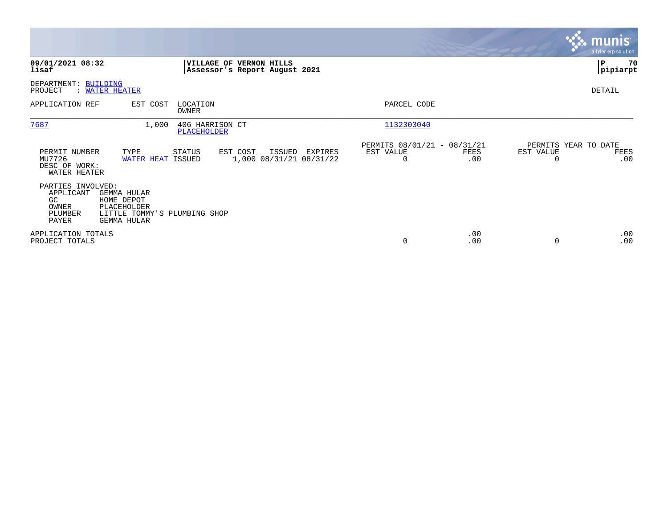|                                                                    |                                                                                                |                                |                                                          |         |                                               |             |                                   | <b>munis</b><br>a tyler erp solution |
|--------------------------------------------------------------------|------------------------------------------------------------------------------------------------|--------------------------------|----------------------------------------------------------|---------|-----------------------------------------------|-------------|-----------------------------------|--------------------------------------|
| 09/01/2021 08:32<br>lisaf                                          |                                                                                                |                                | VILLAGE OF VERNON HILLS<br>Assessor's Report August 2021 |         |                                               |             |                                   | ∣P<br>70<br> pipiarpt                |
| DEPARTMENT: BUILDING<br>PROJECT                                    | <b>WATER HEATER</b>                                                                            |                                |                                                          |         |                                               |             |                                   | DETAIL                               |
| APPLICATION REF                                                    | EST COST                                                                                       | LOCATION<br>OWNER              |                                                          |         | PARCEL CODE                                   |             |                                   |                                      |
| 7687                                                               | 1,000                                                                                          | 406 HARRISON CT<br>PLACEHOLDER |                                                          |         | 1132303040                                    |             |                                   |                                      |
| PERMIT NUMBER<br>MU7726<br>DESC OF WORK:<br>WATER HEATER           | TYPE<br>WATER HEAT ISSUED                                                                      | STATUS                         | EST COST<br>ISSUED<br>1,000 08/31/21 08/31/22            | EXPIRES | PERMITS 08/01/21 - 08/31/21<br>EST VALUE<br>0 | FEES<br>.00 | PERMITS YEAR TO DATE<br>EST VALUE | FEES<br>.00                          |
| PARTIES INVOLVED:<br>APPLICANT<br>GC.<br>OWNER<br>PLUMBER<br>PAYER | GEMMA HULAR<br>HOME DEPOT<br>PLACEHOLDER<br>LITTLE TOMMY'S PLUMBING SHOP<br><b>GEMMA HULAR</b> |                                |                                                          |         |                                               |             |                                   |                                      |
| APPLICATION TOTALS<br>PROJECT TOTALS                               |                                                                                                |                                |                                                          |         | $\mathbf 0$                                   | .00<br>.00  | $\Omega$                          | .00<br>.00                           |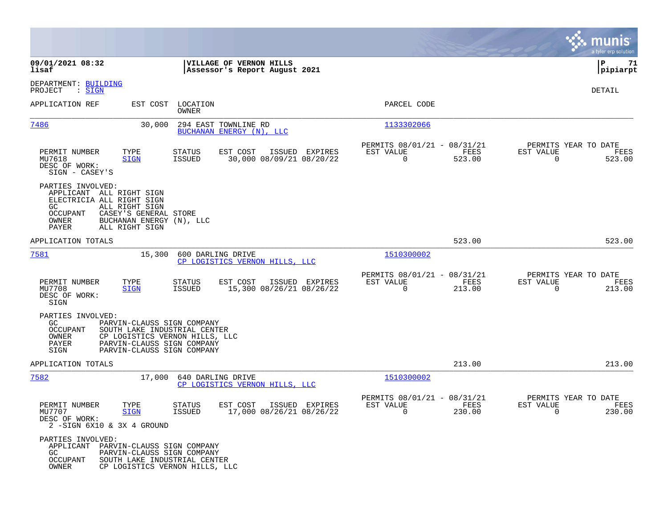|                                                                                                                 |                                                                                                                                                          |                      |                                                          |                |                                                            |                |                                                     | munis<br>a tyler erp solution |
|-----------------------------------------------------------------------------------------------------------------|----------------------------------------------------------------------------------------------------------------------------------------------------------|----------------------|----------------------------------------------------------|----------------|------------------------------------------------------------|----------------|-----------------------------------------------------|-------------------------------|
| 09/01/2021 08:32<br>lisaf                                                                                       |                                                                                                                                                          |                      | VILLAGE OF VERNON HILLS<br>Assessor's Report August 2021 |                |                                                            |                |                                                     | ΙP<br>71<br> pipiarpt         |
| DEPARTMENT: BUILDING<br>: SIGN<br>PROJECT                                                                       |                                                                                                                                                          |                      |                                                          |                |                                                            |                |                                                     | DETAIL                        |
| APPLICATION REF                                                                                                 | EST COST LOCATION<br>OWNER                                                                                                                               |                      |                                                          |                | PARCEL CODE                                                |                |                                                     |                               |
| 7486                                                                                                            | 30,000                                                                                                                                                   | 294 EAST TOWNLINE RD | BUCHANAN ENERGY (N), LLC                                 |                | 1133302066                                                 |                |                                                     |                               |
| PERMIT NUMBER<br>MU7618<br>DESC OF WORK:<br>SIGN - CASEY'S                                                      | TYPE<br><b>STATUS</b><br>ISSUED<br><b>SIGN</b>                                                                                                           | EST COST             | 30,000 08/09/21 08/20/22                                 | ISSUED EXPIRES | PERMITS 08/01/21 - 08/31/21<br>EST VALUE<br>$\mathbf 0$    | FEES<br>523.00 | PERMITS YEAR TO DATE<br>EST VALUE<br>$\Omega$       | FEES<br>523.00                |
| PARTIES INVOLVED:<br>APPLICANT ALL RIGHT SIGN<br>ELECTRICIA ALL RIGHT SIGN<br>GC.<br>OCCUPANT<br>OWNER<br>PAYER | ALL RIGHT SIGN<br>CASEY'S GENERAL STORE<br>BUCHANAN ENERGY (N), LLC<br>ALL RIGHT SIGN                                                                    |                      |                                                          |                |                                                            |                |                                                     |                               |
| APPLICATION TOTALS                                                                                              |                                                                                                                                                          |                      |                                                          |                |                                                            | 523.00         |                                                     | 523.00                        |
| 7581                                                                                                            | 15,300                                                                                                                                                   | 600 DARLING DRIVE    | CP LOGISTICS VERNON HILLS, LLC                           |                | 1510300002                                                 |                |                                                     |                               |
| PERMIT NUMBER<br>MU7708<br>DESC OF WORK:<br>SIGN                                                                | TYPE<br>STATUS<br>ISSUED<br><b>SIGN</b>                                                                                                                  | EST COST             | 15,300 08/26/21 08/26/22                                 | ISSUED EXPIRES | PERMITS 08/01/21 - 08/31/21<br>EST VALUE<br>$\Omega$       | FEES<br>213.00 | PERMITS YEAR TO DATE<br>EST VALUE<br>0              | FEES<br>213.00                |
| PARTIES INVOLVED:<br>GC.<br>OCCUPANT<br>OWNER<br>PAYER<br>SIGN                                                  | PARVIN-CLAUSS SIGN COMPANY<br>SOUTH LAKE INDUSTRIAL CENTER<br>CP LOGISTICS VERNON HILLS, LLC<br>PARVIN-CLAUSS SIGN COMPANY<br>PARVIN-CLAUSS SIGN COMPANY |                      |                                                          |                |                                                            |                |                                                     |                               |
| APPLICATION TOTALS                                                                                              |                                                                                                                                                          |                      |                                                          |                |                                                            | 213.00         |                                                     | 213.00                        |
| 7582                                                                                                            | 17,000                                                                                                                                                   | 640 DARLING DRIVE    | CP LOGISTICS VERNON HILLS, LLC                           |                | 1510300002                                                 |                |                                                     |                               |
| PERMIT NUMBER<br>MU7707<br>DESC OF WORK:<br>2 -SIGN 6X10 & 3X 4 GROUND                                          | TYPE<br><b>STATUS</b><br>ISSUED<br><b>SIGN</b>                                                                                                           | EST COST             | 17,000 08/26/21 08/26/22                                 | ISSUED EXPIRES | PERMITS 08/01/21 - 08/31/21<br>EST VALUE<br>$\overline{0}$ | FEES<br>230.00 | PERMITS YEAR TO DATE<br>EST VALUE<br>$\overline{0}$ | FEES<br>230.00                |
| PARTIES INVOLVED:<br>APPLICANT PARVIN-CLAUSS SIGN COMPANY<br>GC<br><b>OCCUPANT</b><br>OWNER                     | PARVIN-CLAUSS SIGN COMPANY<br>SOUTH LAKE INDUSTRIAL CENTER<br>CP LOGISTICS VERNON HILLS, LLC                                                             |                      |                                                          |                |                                                            |                |                                                     |                               |

 $\mathcal{L}^{\text{max}}$